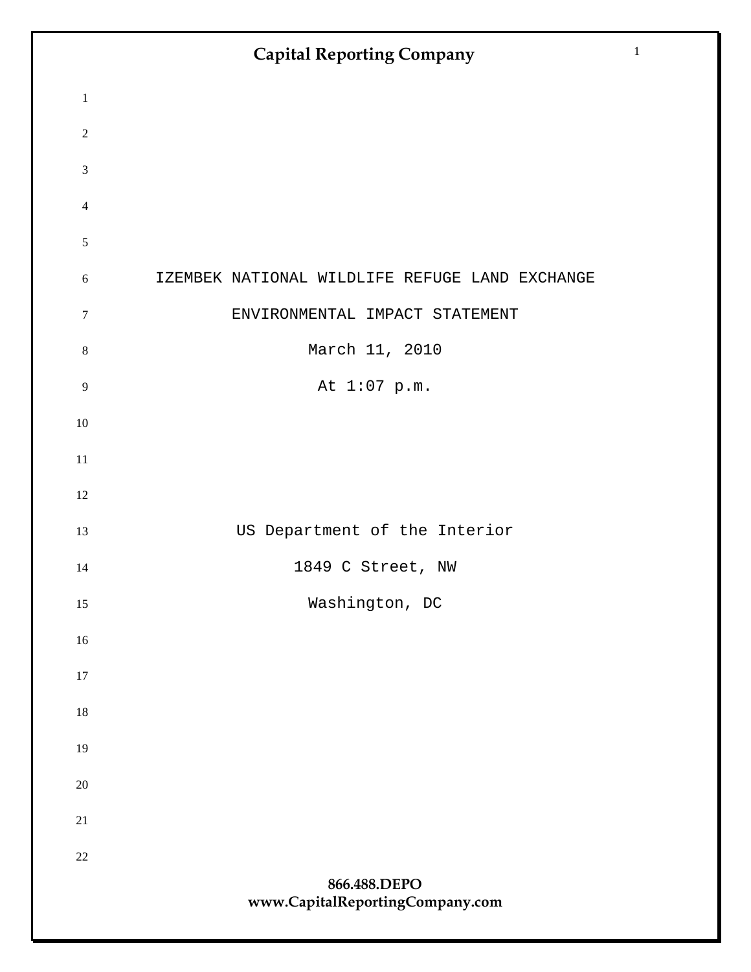| $\mathbf 1$                 |                                                |
|-----------------------------|------------------------------------------------|
| $\sqrt{2}$                  |                                                |
| $\ensuremath{\mathfrak{Z}}$ |                                                |
| $\overline{4}$              |                                                |
| $\sqrt{5}$                  |                                                |
| $\sqrt{6}$                  | IZEMBEK NATIONAL WILDLIFE REFUGE LAND EXCHANGE |
| $\boldsymbol{7}$            | ENVIRONMENTAL IMPACT STATEMENT                 |
| $\,8\,$                     | March 11, 2010                                 |
| $\mathbf{9}$                | At 1:07 p.m.                                   |
| $10\,$                      |                                                |
| $11\,$                      |                                                |
| 12                          |                                                |
| 13                          | US Department of the Interior                  |
| 14                          | 1849 C Street, NW                              |
| 15                          | Washington, DC                                 |
| 16                          |                                                |
| 17                          |                                                |
| 18                          |                                                |
| 19                          |                                                |
| $20\,$                      |                                                |
| 21                          |                                                |
| $22\,$                      | 866.488.DEPO                                   |
|                             | www.CapitalReportingCompany.com                |
|                             |                                                |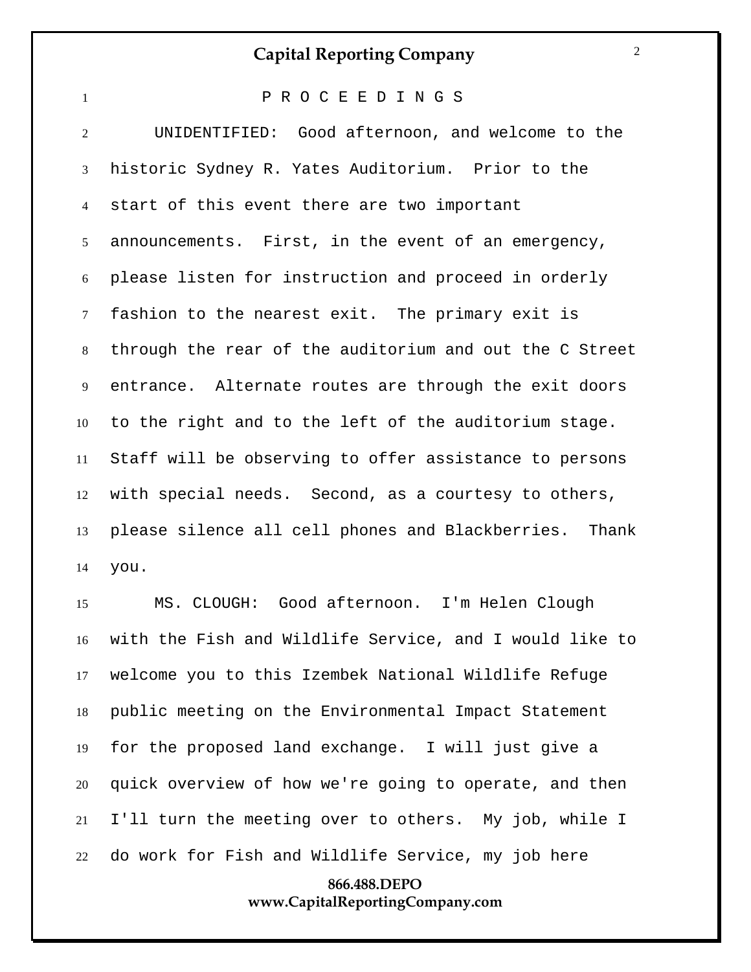| $\mathbf{1}$   | PROCEEDINGS                                             |
|----------------|---------------------------------------------------------|
| $\overline{2}$ | UNIDENTIFIED: Good afternoon, and welcome to the        |
| 3              | historic Sydney R. Yates Auditorium. Prior to the       |
| $\overline{4}$ | start of this event there are two important             |
| 5 <sup>1</sup> | announcements. First, in the event of an emergency,     |
| 6              | please listen for instruction and proceed in orderly    |
| $\tau$         | fashion to the nearest exit. The primary exit is        |
| 8              | through the rear of the auditorium and out the C Street |
| 9              | entrance. Alternate routes are through the exit doors   |
| 10             | to the right and to the left of the auditorium stage.   |
| 11             | Staff will be observing to offer assistance to persons  |
| 12             | with special needs. Second, as a courtesy to others,    |
| 13             | please silence all cell phones and Blackberries. Thank  |
| 14             | you.                                                    |

 MS. CLOUGH: Good afternoon. I'm Helen Clough with the Fish and Wildlife Service, and I would like to welcome you to this Izembek National Wildlife Refuge public meeting on the Environmental Impact Statement for the proposed land exchange. I will just give a quick overview of how we're going to operate, and then I'll turn the meeting over to others. My job, while I do work for Fish and Wildlife Service, my job here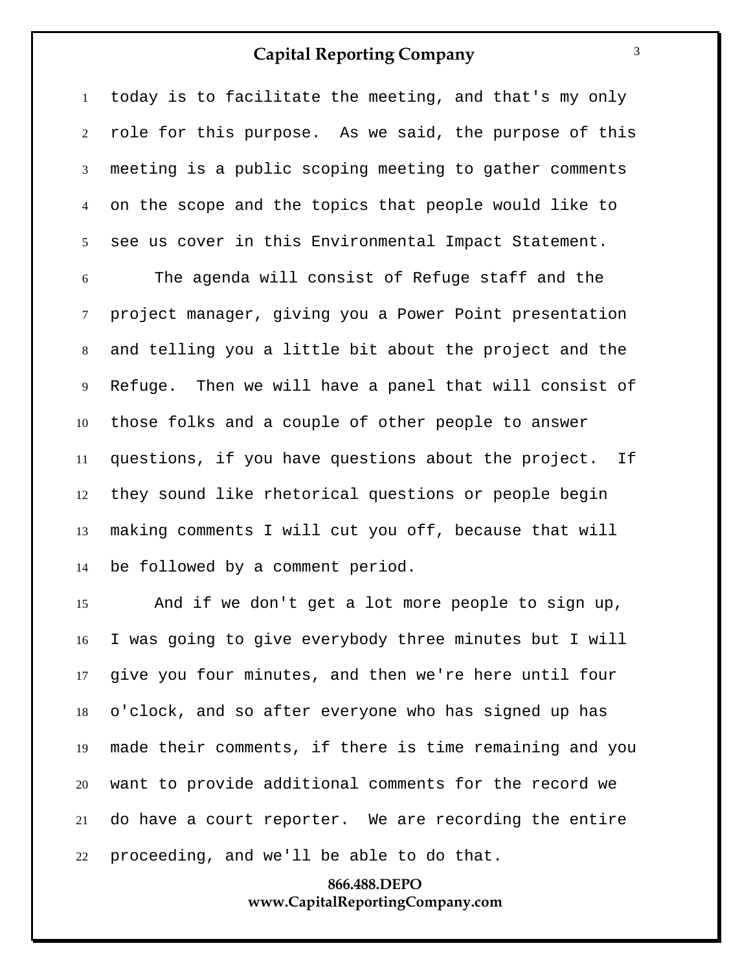today is to facilitate the meeting, and that's my only role for this purpose. As we said, the purpose of this meeting is a public scoping meeting to gather comments on the scope and the topics that people would like to see us cover in this Environmental Impact Statement.

 The agenda will consist of Refuge staff and the project manager, giving you a Power Point presentation and telling you a little bit about the project and the Refuge. Then we will have a panel that will consist of those folks and a couple of other people to answer questions, if you have questions about the project. If they sound like rhetorical questions or people begin making comments I will cut you off, because that will be followed by a comment period.

 And if we don't get a lot more people to sign up, I was going to give everybody three minutes but I will give you four minutes, and then we're here until four o'clock, and so after everyone who has signed up has made their comments, if there is time remaining and you want to provide additional comments for the record we do have a court reporter. We are recording the entire proceeding, and we'll be able to do that.

#### **866.488.DEPO www.CapitalReportingCompany.com**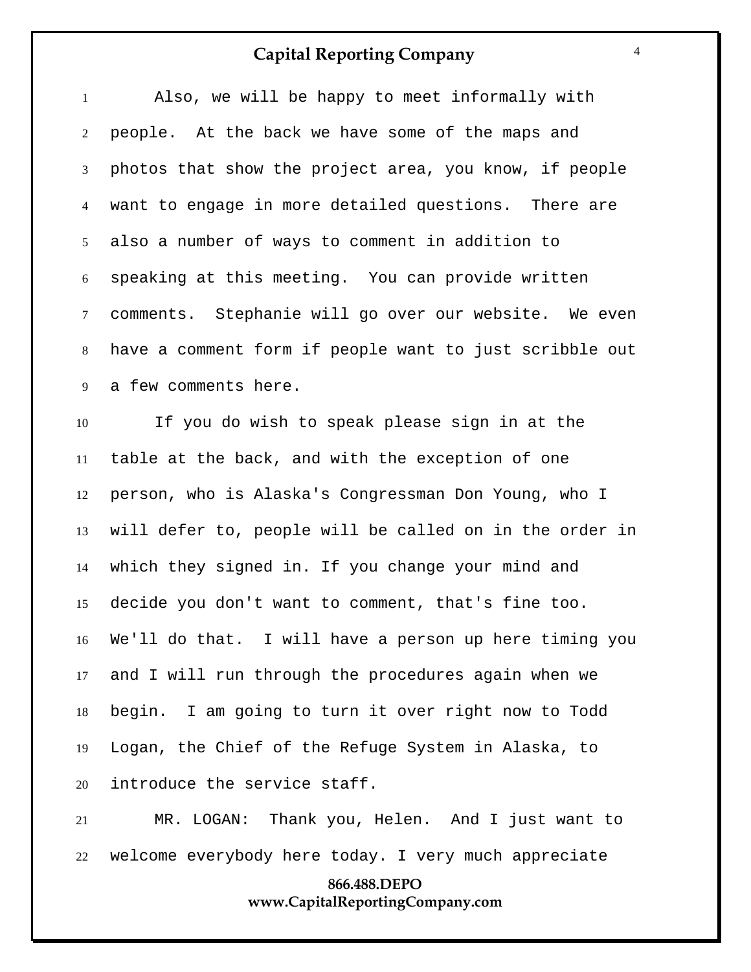| $\mathbf{1}$   | Also, we will be happy to meet informally with            |
|----------------|-----------------------------------------------------------|
| $\overline{2}$ | people. At the back we have some of the maps and          |
| $\mathfrak{Z}$ | photos that show the project area, you know, if people    |
| $\overline{4}$ | want to engage in more detailed questions. There are      |
| 5 <sup>5</sup> | also a number of ways to comment in addition to           |
| 6              | speaking at this meeting. You can provide written         |
| $\tau$         | comments. Stephanie will go over our website. We even     |
| 8              | have a comment form if people want to just scribble out   |
| 9              | a few comments here.                                      |
| 10             | If you do wish to speak please sign in at the             |
| 11             | table at the back, and with the exception of one          |
| 12             | person, who is Alaska's Congressman Don Young, who I      |
| 13             | will defer to, people will be called on in the order in   |
| 14             | which they signed in. If you change your mind and         |
| 15             | decide you don't want to comment, that's fine too.        |
|                | 16 We'll do that. I will have a person up here timing you |
| 17             | and I will run through the procedures again when we       |
| 18             | begin. I am going to turn it over right now to Todd       |
| 19             | Logan, the Chief of the Refuge System in Alaska, to       |
| 20             | introduce the service staff.                              |
| 21             | MR. LOGAN: Thank you, Helen. And I just want to           |
| 22             | welcome everybody here today. I very much appreciate      |
|                | 866.488.DEPO                                              |

## **www.CapitalReportingCompany.com**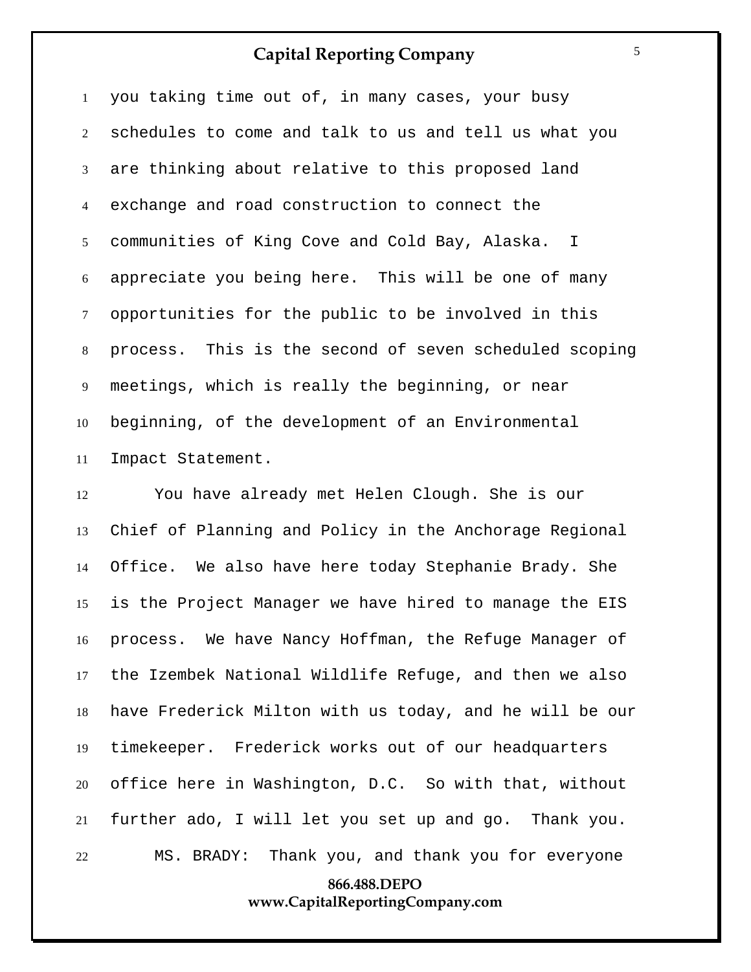you taking time out of, in many cases, your busy schedules to come and talk to us and tell us what you are thinking about relative to this proposed land exchange and road construction to connect the communities of King Cove and Cold Bay, Alaska. I appreciate you being here. This will be one of many opportunities for the public to be involved in this process. This is the second of seven scheduled scoping meetings, which is really the beginning, or near beginning, of the development of an Environmental Impact Statement.

 You have already met Helen Clough. She is our Chief of Planning and Policy in the Anchorage Regional Office. We also have here today Stephanie Brady. She is the Project Manager we have hired to manage the EIS process. We have Nancy Hoffman, the Refuge Manager of the Izembek National Wildlife Refuge, and then we also have Frederick Milton with us today, and he will be our timekeeper. Frederick works out of our headquarters office here in Washington, D.C. So with that, without further ado, I will let you set up and go. Thank you. MS. BRADY: Thank you, and thank you for everyone

#### **866.488.DEPO www.CapitalReportingCompany.com**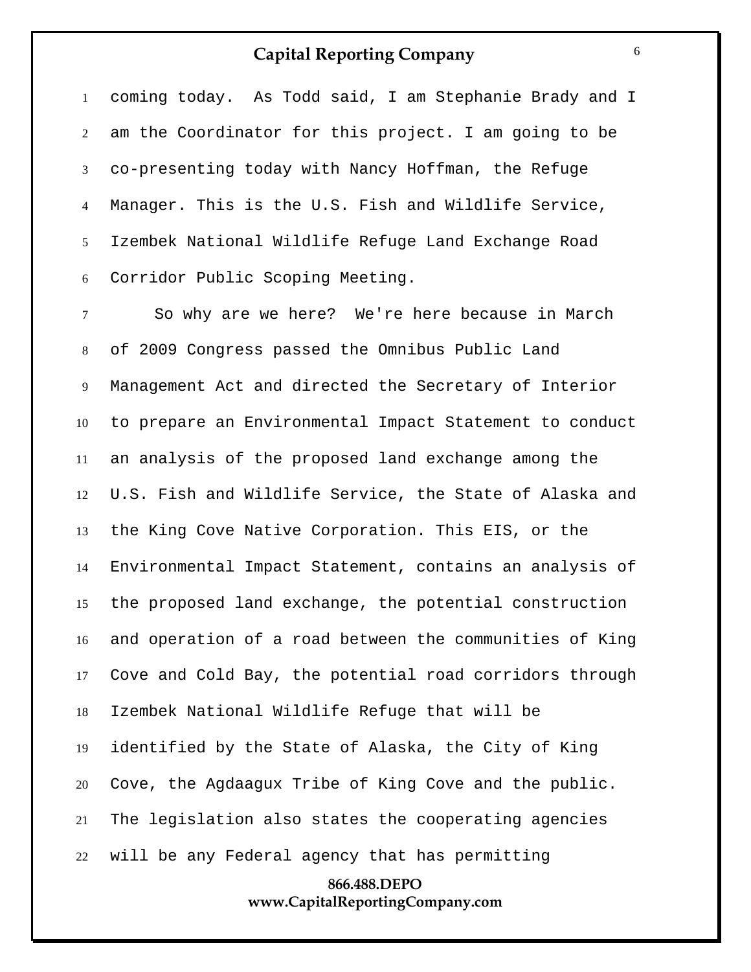coming today. As Todd said, I am Stephanie Brady and I am the Coordinator for this project. I am going to be co-presenting today with Nancy Hoffman, the Refuge Manager. This is the U.S. Fish and Wildlife Service, Izembek National Wildlife Refuge Land Exchange Road Corridor Public Scoping Meeting.

 So why are we here? We're here because in March of 2009 Congress passed the Omnibus Public Land Management Act and directed the Secretary of Interior to prepare an Environmental Impact Statement to conduct an analysis of the proposed land exchange among the U.S. Fish and Wildlife Service, the State of Alaska and the King Cove Native Corporation. This EIS, or the Environmental Impact Statement, contains an analysis of the proposed land exchange, the potential construction and operation of a road between the communities of King Cove and Cold Bay, the potential road corridors through Izembek National Wildlife Refuge that will be identified by the State of Alaska, the City of King Cove, the Agdaagux Tribe of King Cove and the public. The legislation also states the cooperating agencies will be any Federal agency that has permitting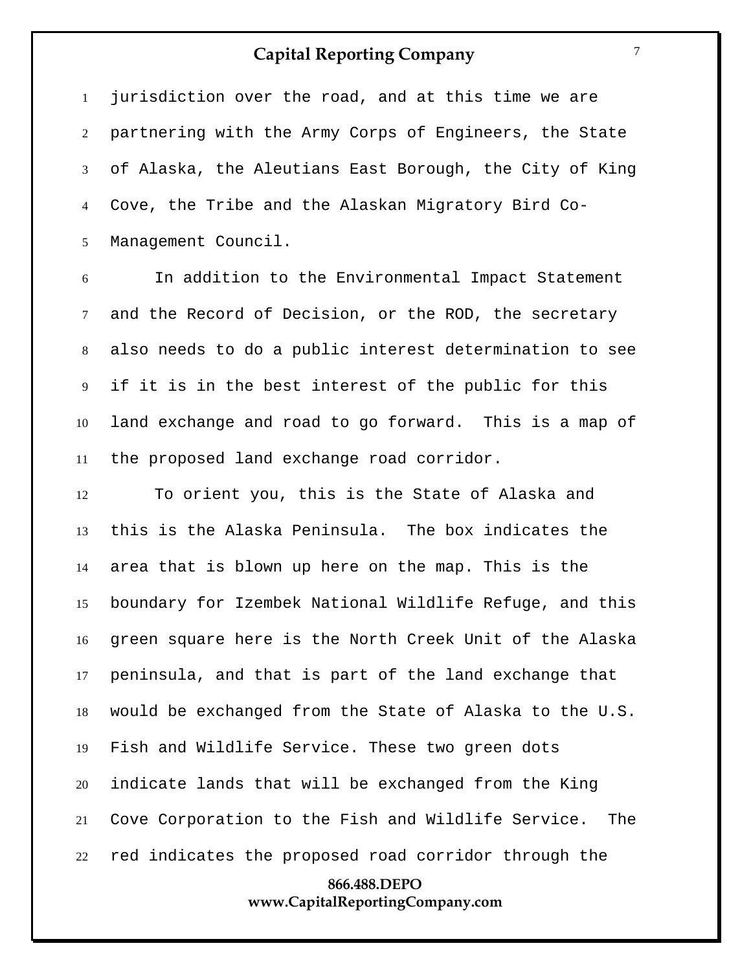jurisdiction over the road, and at this time we are partnering with the Army Corps of Engineers, the State of Alaska, the Aleutians East Borough, the City of King Cove, the Tribe and the Alaskan Migratory Bird Co-Management Council.

 In addition to the Environmental Impact Statement and the Record of Decision, or the ROD, the secretary also needs to do a public interest determination to see if it is in the best interest of the public for this land exchange and road to go forward. This is a map of the proposed land exchange road corridor.

**866.488.DEPO** To orient you, this is the State of Alaska and this is the Alaska Peninsula. The box indicates the area that is blown up here on the map. This is the boundary for Izembek National Wildlife Refuge, and this green square here is the North Creek Unit of the Alaska peninsula, and that is part of the land exchange that would be exchanged from the State of Alaska to the U.S. Fish and Wildlife Service. These two green dots indicate lands that will be exchanged from the King Cove Corporation to the Fish and Wildlife Service. The red indicates the proposed road corridor through the

## **www.CapitalReportingCompany.com**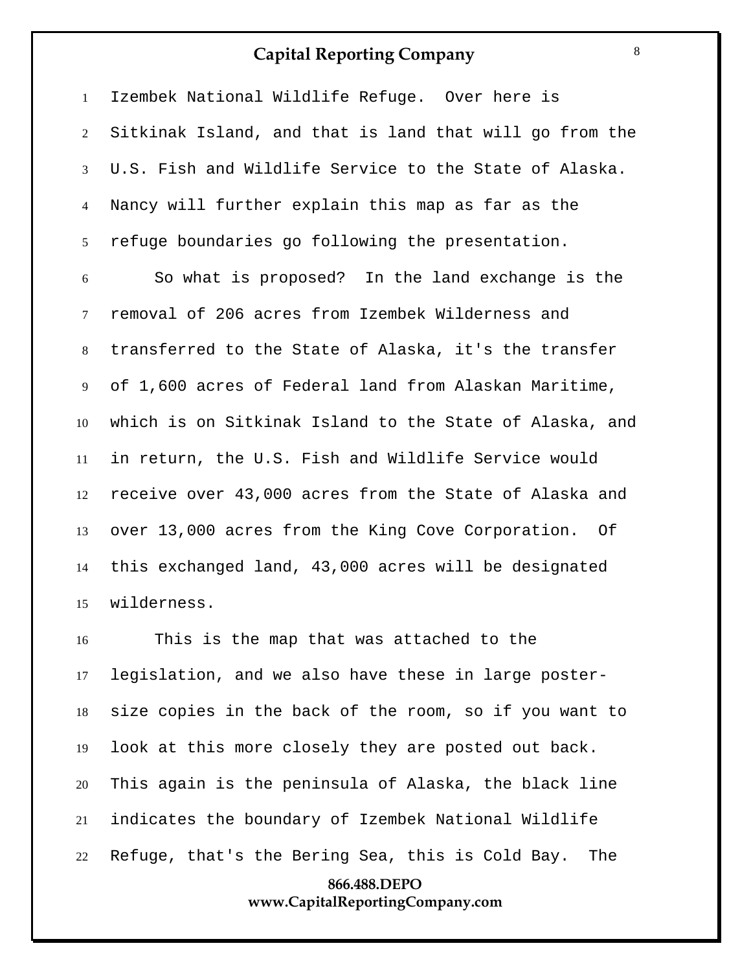Izembek National Wildlife Refuge. Over here is Sitkinak Island, and that is land that will go from the U.S. Fish and Wildlife Service to the State of Alaska. Nancy will further explain this map as far as the refuge boundaries go following the presentation.

 So what is proposed? In the land exchange is the removal of 206 acres from Izembek Wilderness and transferred to the State of Alaska, it's the transfer of 1,600 acres of Federal land from Alaskan Maritime, which is on Sitkinak Island to the State of Alaska, and in return, the U.S. Fish and Wildlife Service would receive over 43,000 acres from the State of Alaska and over 13,000 acres from the King Cove Corporation. Of this exchanged land, 43,000 acres will be designated wilderness.

 This is the map that was attached to the legislation, and we also have these in large poster- size copies in the back of the room, so if you want to look at this more closely they are posted out back. This again is the peninsula of Alaska, the black line indicates the boundary of Izembek National Wildlife Refuge, that's the Bering Sea, this is Cold Bay. The

#### **866.488.DEPO www.CapitalReportingCompany.com**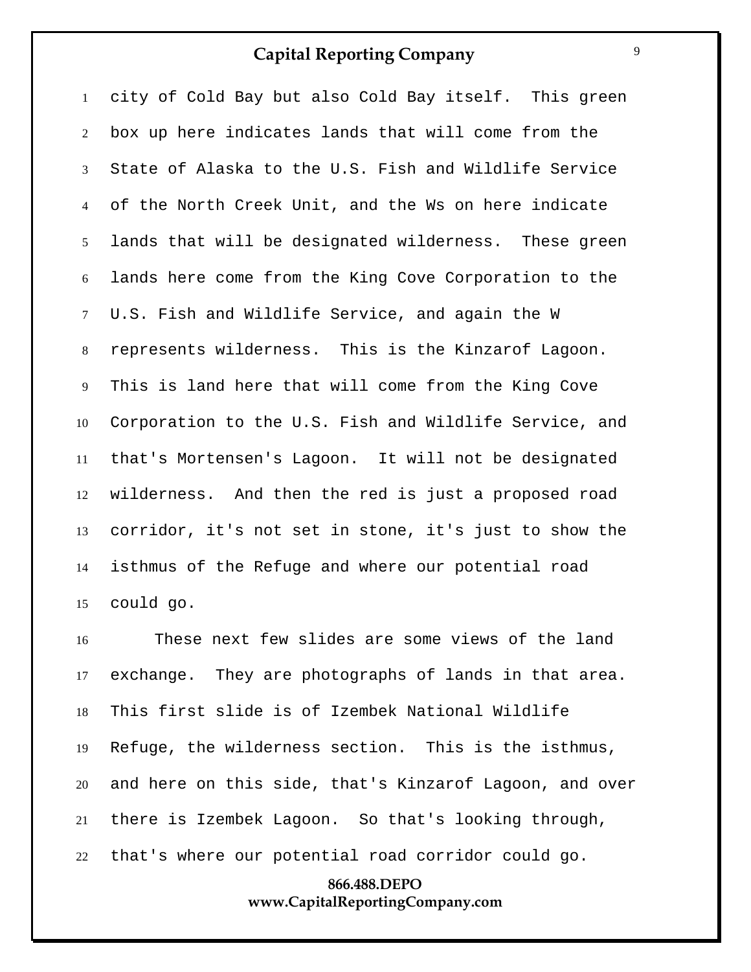city of Cold Bay but also Cold Bay itself. This green box up here indicates lands that will come from the State of Alaska to the U.S. Fish and Wildlife Service of the North Creek Unit, and the Ws on here indicate lands that will be designated wilderness. These green lands here come from the King Cove Corporation to the U.S. Fish and Wildlife Service, and again the W represents wilderness. This is the Kinzarof Lagoon. This is land here that will come from the King Cove Corporation to the U.S. Fish and Wildlife Service, and that's Mortensen's Lagoon. It will not be designated wilderness. And then the red is just a proposed road corridor, it's not set in stone, it's just to show the isthmus of the Refuge and where our potential road could go.

 These next few slides are some views of the land exchange. They are photographs of lands in that area. This first slide is of Izembek National Wildlife Refuge, the wilderness section. This is the isthmus, and here on this side, that's Kinzarof Lagoon, and over there is Izembek Lagoon. So that's looking through, that's where our potential road corridor could go.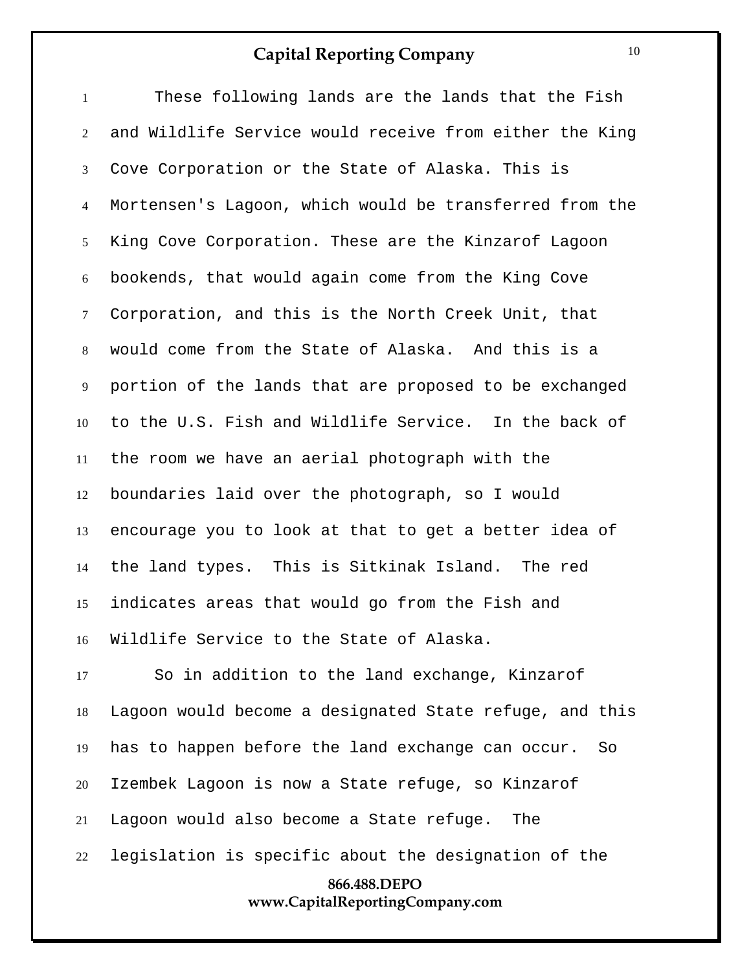These following lands are the lands that the Fish and Wildlife Service would receive from either the King Cove Corporation or the State of Alaska. This is Mortensen's Lagoon, which would be transferred from the King Cove Corporation. These are the Kinzarof Lagoon bookends, that would again come from the King Cove Corporation, and this is the North Creek Unit, that would come from the State of Alaska. And this is a portion of the lands that are proposed to be exchanged to the U.S. Fish and Wildlife Service. In the back of the room we have an aerial photograph with the boundaries laid over the photograph, so I would encourage you to look at that to get a better idea of the land types. This is Sitkinak Island. The red indicates areas that would go from the Fish and Wildlife Service to the State of Alaska.

**866.488.DEPO www.CapitalReportingCompany.com** So in addition to the land exchange, Kinzarof Lagoon would become a designated State refuge, and this has to happen before the land exchange can occur. So Izembek Lagoon is now a State refuge, so Kinzarof Lagoon would also become a State refuge. The legislation is specific about the designation of the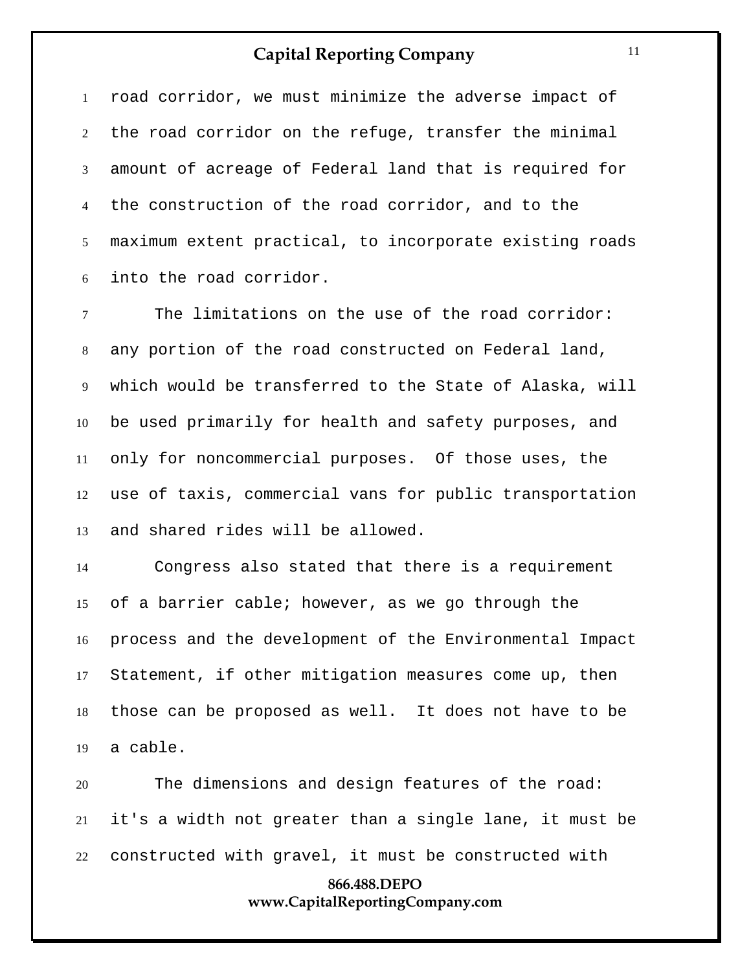road corridor, we must minimize the adverse impact of the road corridor on the refuge, transfer the minimal amount of acreage of Federal land that is required for the construction of the road corridor, and to the maximum extent practical, to incorporate existing roads into the road corridor.

 The limitations on the use of the road corridor: any portion of the road constructed on Federal land, which would be transferred to the State of Alaska, will be used primarily for health and safety purposes, and only for noncommercial purposes. Of those uses, the use of taxis, commercial vans for public transportation and shared rides will be allowed.

 Congress also stated that there is a requirement of a barrier cable; however, as we go through the process and the development of the Environmental Impact Statement, if other mitigation measures come up, then those can be proposed as well. It does not have to be a cable.

 The dimensions and design features of the road: it's a width not greater than a single lane, it must be constructed with gravel, it must be constructed with

#### **866.488.DEPO www.CapitalReportingCompany.com**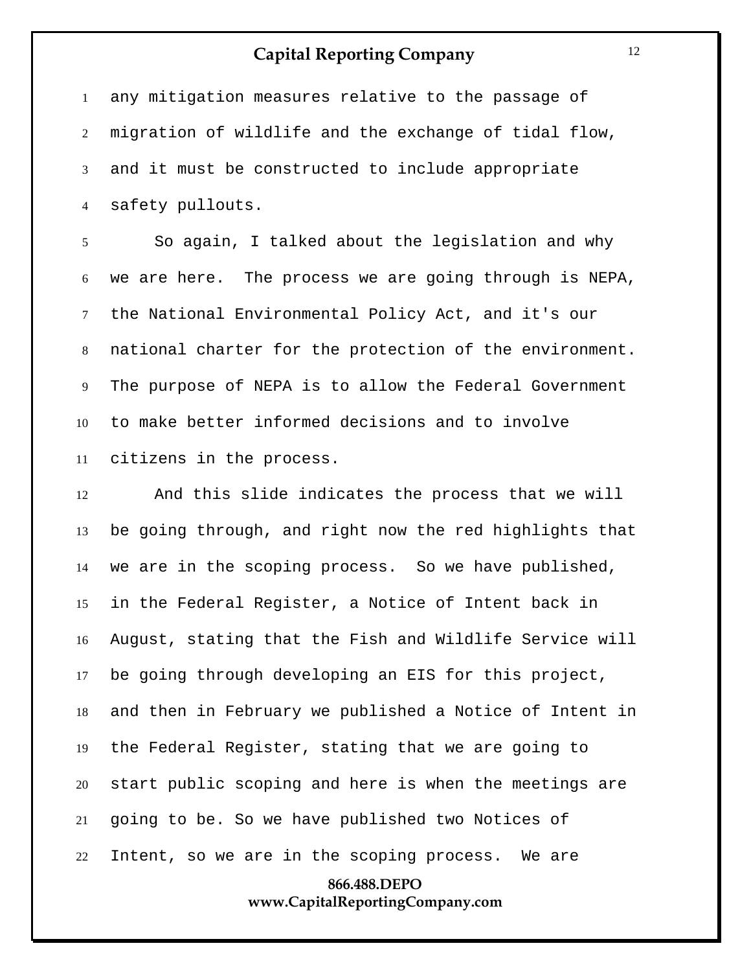any mitigation measures relative to the passage of migration of wildlife and the exchange of tidal flow, and it must be constructed to include appropriate safety pullouts.

 So again, I talked about the legislation and why we are here. The process we are going through is NEPA, the National Environmental Policy Act, and it's our national charter for the protection of the environment. The purpose of NEPA is to allow the Federal Government to make better informed decisions and to involve citizens in the process.

 And this slide indicates the process that we will be going through, and right now the red highlights that we are in the scoping process. So we have published, in the Federal Register, a Notice of Intent back in August, stating that the Fish and Wildlife Service will be going through developing an EIS for this project, and then in February we published a Notice of Intent in the Federal Register, stating that we are going to start public scoping and here is when the meetings are going to be. So we have published two Notices of Intent, so we are in the scoping process. We are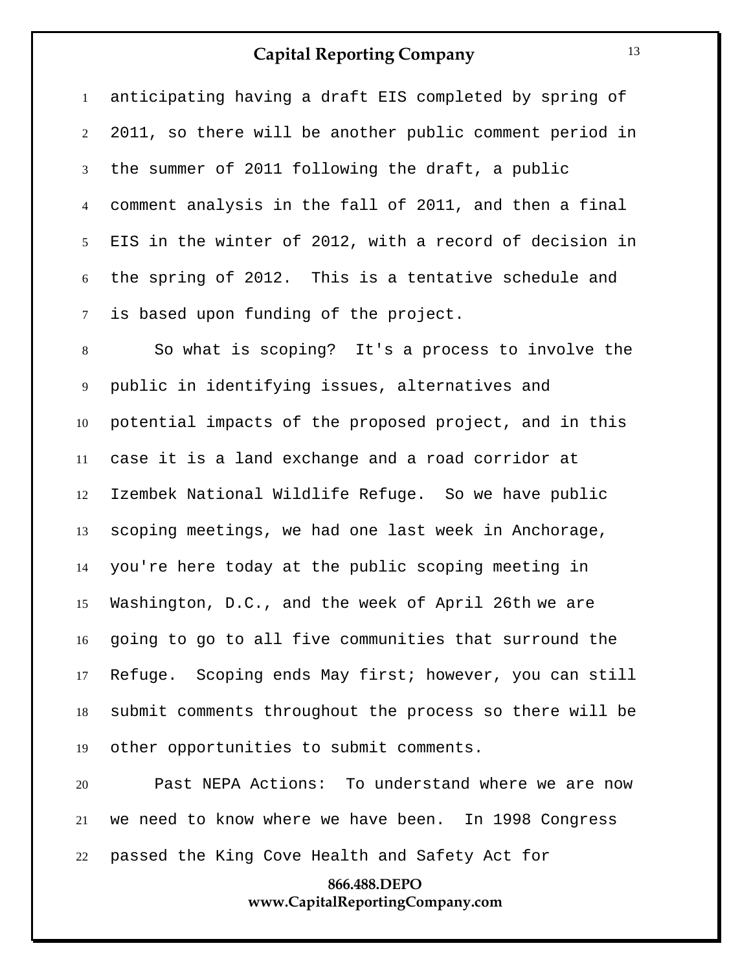anticipating having a draft EIS completed by spring of 2011, so there will be another public comment period in the summer of 2011 following the draft, a public comment analysis in the fall of 2011, and then a final EIS in the winter of 2012, with a record of decision in the spring of 2012. This is a tentative schedule and is based upon funding of the project.

 So what is scoping? It's a process to involve the public in identifying issues, alternatives and potential impacts of the proposed project, and in this case it is a land exchange and a road corridor at Izembek National Wildlife Refuge. So we have public scoping meetings, we had one last week in Anchorage, you're here today at the public scoping meeting in Washington, D.C., and the week of April 26th we are going to go to all five communities that surround the Refuge. Scoping ends May first; however, you can still submit comments throughout the process so there will be other opportunities to submit comments.

 Past NEPA Actions: To understand where we are now we need to know where we have been. In 1998 Congress passed the King Cove Health and Safety Act for

#### **866.488.DEPO www.CapitalReportingCompany.com**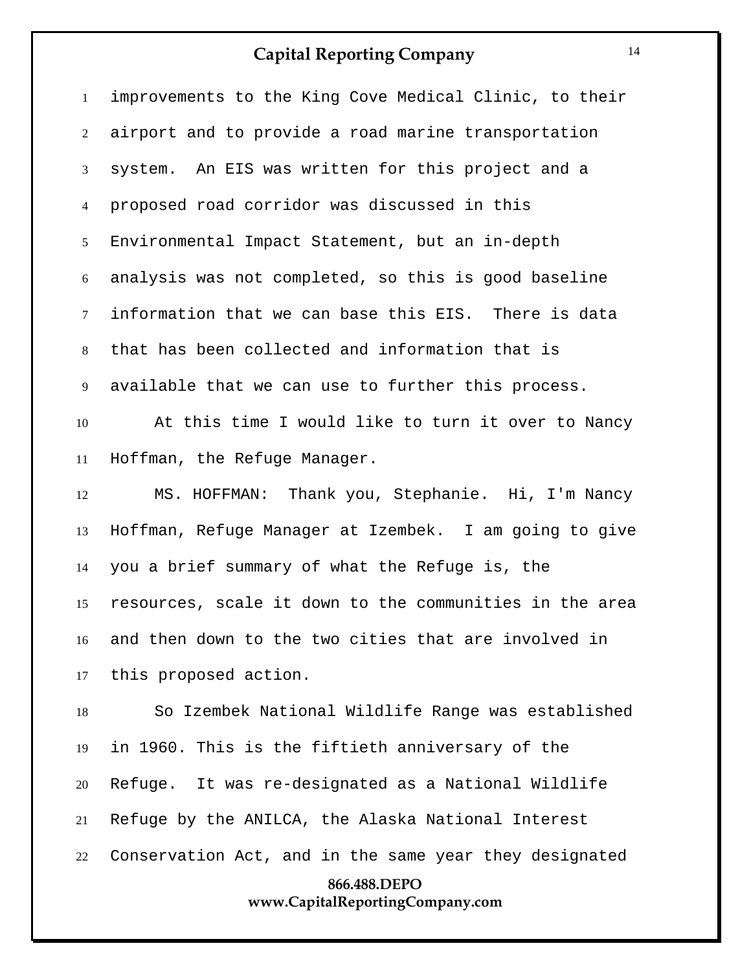| $\mathbf{1}$   | improvements to the King Cove Medical Clinic, to their  |
|----------------|---------------------------------------------------------|
| $\overline{2}$ | airport and to provide a road marine transportation     |
| 3              | system. An EIS was written for this project and a       |
| $\overline{4}$ | proposed road corridor was discussed in this            |
| 5 <sup>5</sup> | Environmental Impact Statement, but an in-depth         |
| 6              | analysis was not completed, so this is good baseline    |
| $\tau$         | information that we can base this EIS. There is data    |
| 8              | that has been collected and information that is         |
| 9              | available that we can use to further this process.      |
| 10             | At this time I would like to turn it over to Nancy      |
| 11             | Hoffman, the Refuge Manager.                            |
| 12             | MS. HOFFMAN: Thank you, Stephanie. Hi, I'm Nancy        |
| 13             | Hoffman, Refuge Manager at Izembek. I am going to give  |
| 14             | you a brief summary of what the Refuge is, the          |
| 15             | resources, scale it down to the communities in the area |
| 16 —           | and then down to the two cities that are involved in    |
| 17             | this proposed action.                                   |
| 18             | So Izembek National Wildlife Range was established      |
| 19             | in 1960. This is the fiftieth anniversary of the        |
| 20             | Refuge. It was re-designated as a National Wildlife     |
| 21             | Refuge by the ANILCA, the Alaska National Interest      |
| 22             | Conservation Act, and in the same year they designated  |
|                | 866.488.DEPO                                            |
|                | www.CapitalReportingCompany.com                         |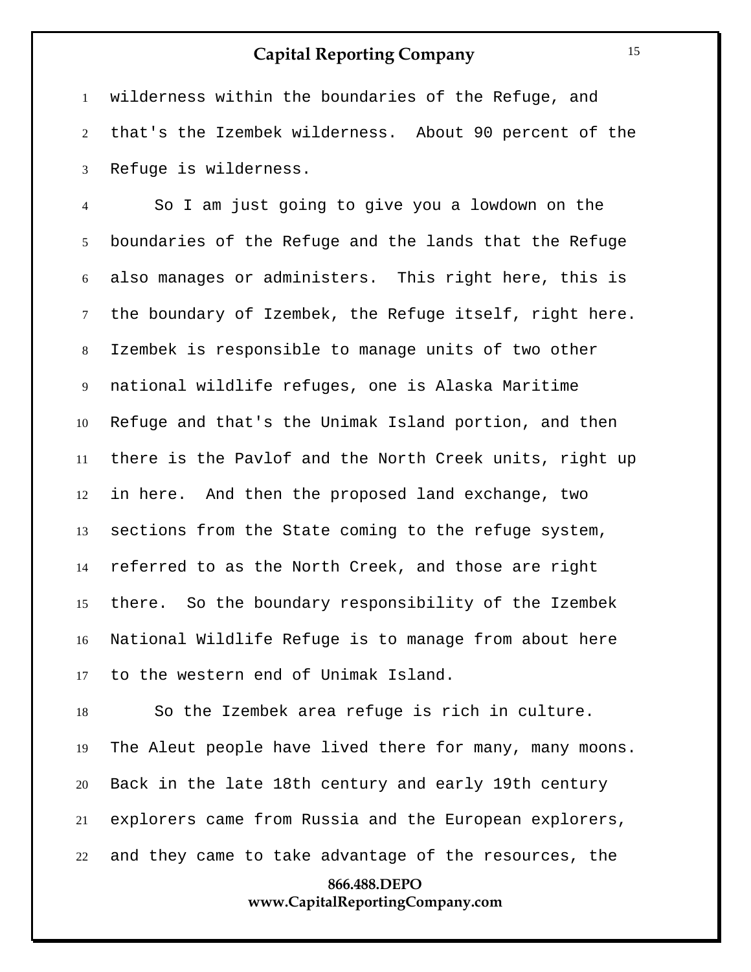wilderness within the boundaries of the Refuge, and that's the Izembek wilderness. About 90 percent of the Refuge is wilderness.

 So I am just going to give you a lowdown on the boundaries of the Refuge and the lands that the Refuge also manages or administers. This right here, this is the boundary of Izembek, the Refuge itself, right here. Izembek is responsible to manage units of two other national wildlife refuges, one is Alaska Maritime Refuge and that's the Unimak Island portion, and then there is the Pavlof and the North Creek units, right up in here. And then the proposed land exchange, two sections from the State coming to the refuge system, referred to as the North Creek, and those are right there. So the boundary responsibility of the Izembek National Wildlife Refuge is to manage from about here to the western end of Unimak Island.

 So the Izembek area refuge is rich in culture. The Aleut people have lived there for many, many moons. Back in the late 18th century and early 19th century explorers came from Russia and the European explorers, and they came to take advantage of the resources, the

#### **866.488.DEPO www.CapitalReportingCompany.com**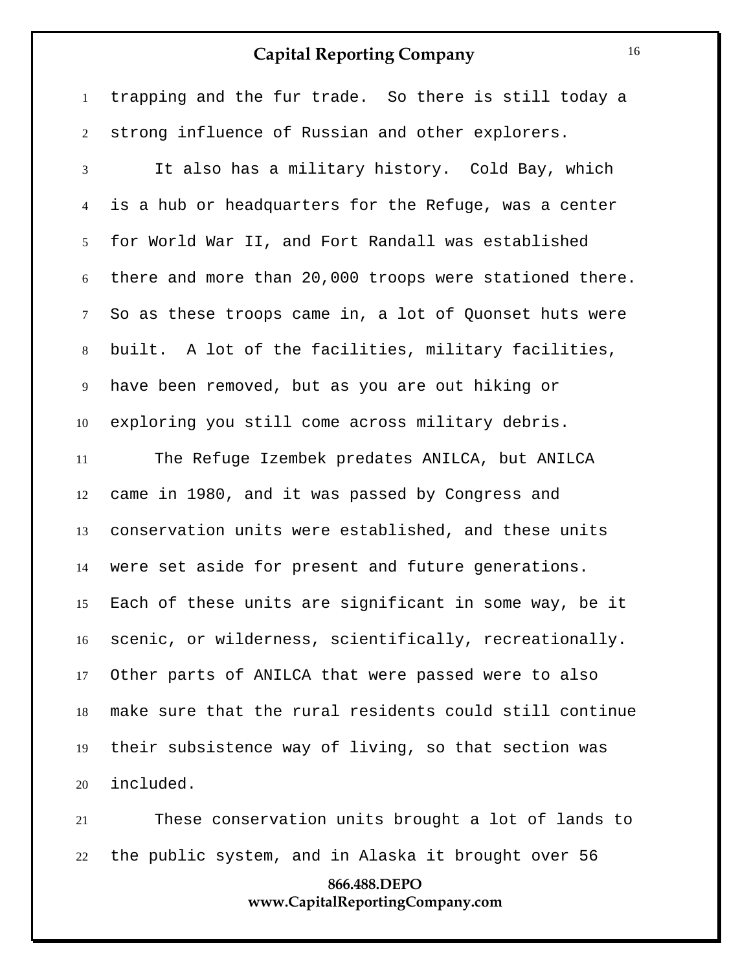trapping and the fur trade. So there is still today a strong influence of Russian and other explorers.

 It also has a military history. Cold Bay, which is a hub or headquarters for the Refuge, was a center for World War II, and Fort Randall was established there and more than 20,000 troops were stationed there. So as these troops came in, a lot of Quonset huts were built. A lot of the facilities, military facilities, have been removed, but as you are out hiking or exploring you still come across military debris.

 The Refuge Izembek predates ANILCA, but ANILCA came in 1980, and it was passed by Congress and conservation units were established, and these units were set aside for present and future generations. Each of these units are significant in some way, be it scenic, or wilderness, scientifically, recreationally. Other parts of ANILCA that were passed were to also make sure that the rural residents could still continue their subsistence way of living, so that section was included.

 These conservation units brought a lot of lands to the public system, and in Alaska it brought over 56

#### **866.488.DEPO www.CapitalReportingCompany.com**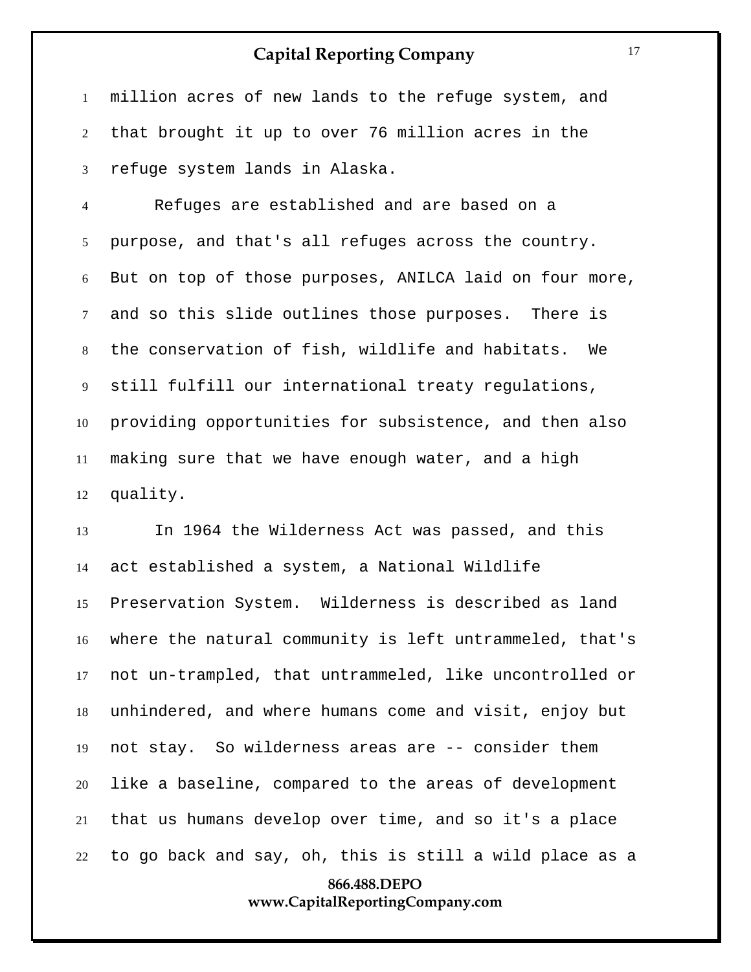million acres of new lands to the refuge system, and that brought it up to over 76 million acres in the refuge system lands in Alaska.

 Refuges are established and are based on a purpose, and that's all refuges across the country. But on top of those purposes, ANILCA laid on four more, and so this slide outlines those purposes. There is the conservation of fish, wildlife and habitats. We still fulfill our international treaty regulations, providing opportunities for subsistence, and then also making sure that we have enough water, and a high quality.

**866.488.DEPO** In 1964 the Wilderness Act was passed, and this act established a system, a National Wildlife Preservation System. Wilderness is described as land where the natural community is left untrammeled, that's not un-trampled, that untrammeled, like uncontrolled or unhindered, and where humans come and visit, enjoy but not stay. So wilderness areas are -- consider them like a baseline, compared to the areas of development that us humans develop over time, and so it's a place to go back and say, oh, this is still a wild place as a

## **www.CapitalReportingCompany.com**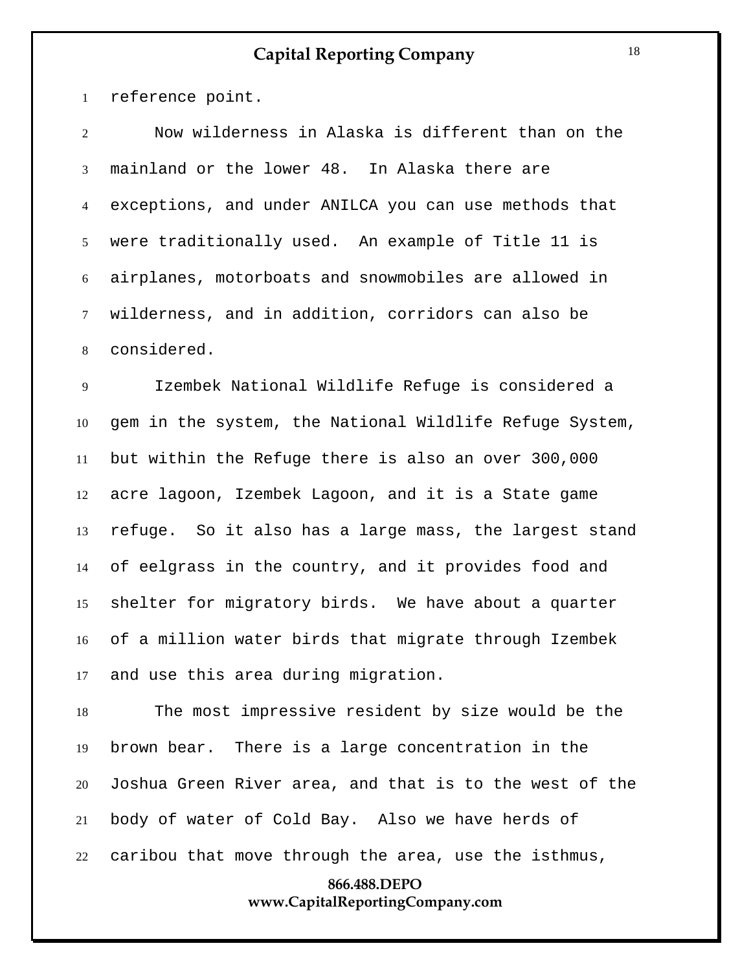reference point.

 Now wilderness in Alaska is different than on the mainland or the lower 48. In Alaska there are exceptions, and under ANILCA you can use methods that were traditionally used. An example of Title 11 is airplanes, motorboats and snowmobiles are allowed in wilderness, and in addition, corridors can also be considered.

 Izembek National Wildlife Refuge is considered a gem in the system, the National Wildlife Refuge System, but within the Refuge there is also an over 300,000 acre lagoon, Izembek Lagoon, and it is a State game refuge. So it also has a large mass, the largest stand of eelgrass in the country, and it provides food and shelter for migratory birds. We have about a quarter of a million water birds that migrate through Izembek and use this area during migration.

 The most impressive resident by size would be the brown bear. There is a large concentration in the Joshua Green River area, and that is to the west of the body of water of Cold Bay. Also we have herds of caribou that move through the area, use the isthmus,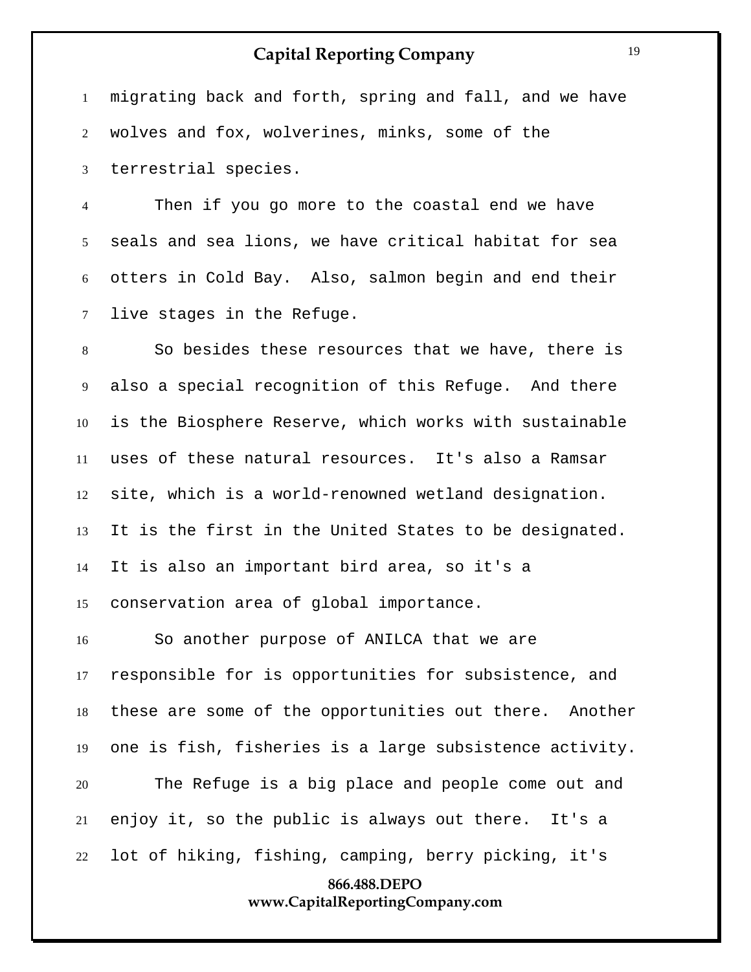migrating back and forth, spring and fall, and we have wolves and fox, wolverines, minks, some of the terrestrial species.

 Then if you go more to the coastal end we have seals and sea lions, we have critical habitat for sea otters in Cold Bay. Also, salmon begin and end their live stages in the Refuge.

 So besides these resources that we have, there is also a special recognition of this Refuge. And there is the Biosphere Reserve, which works with sustainable uses of these natural resources. It's also a Ramsar site, which is a world-renowned wetland designation. It is the first in the United States to be designated. It is also an important bird area, so it's a conservation area of global importance.

 So another purpose of ANILCA that we are responsible for is opportunities for subsistence, and these are some of the opportunities out there. Another one is fish, fisheries is a large subsistence activity. The Refuge is a big place and people come out and enjoy it, so the public is always out there. It's a lot of hiking, fishing, camping, berry picking, it's

#### **866.488.DEPO www.CapitalReportingCompany.com**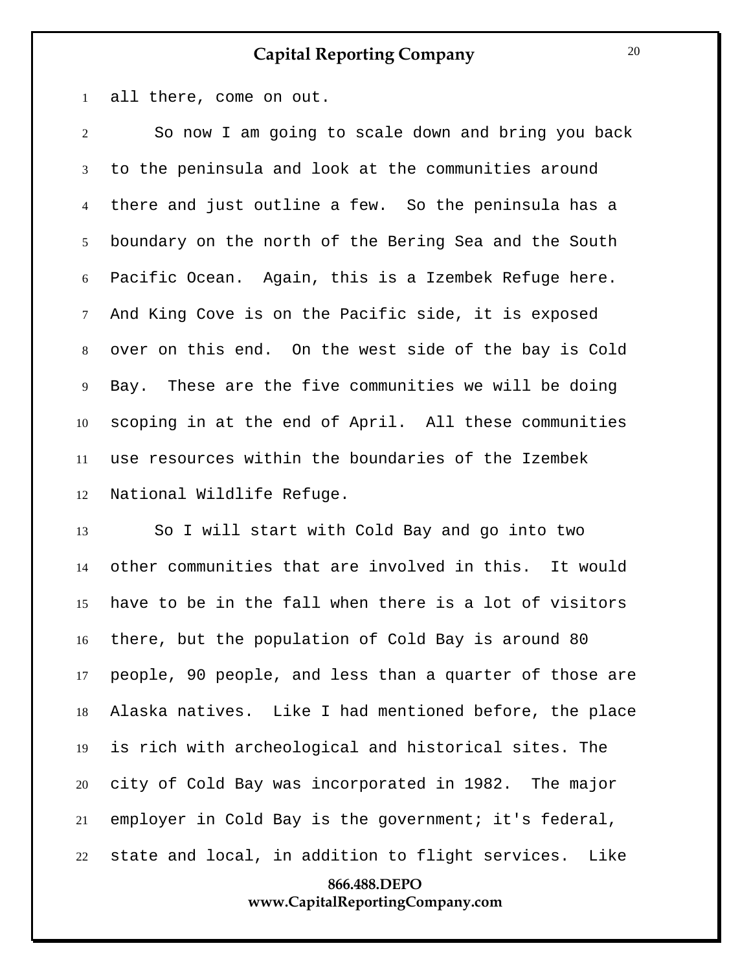all there, come on out.

 So now I am going to scale down and bring you back to the peninsula and look at the communities around there and just outline a few. So the peninsula has a boundary on the north of the Bering Sea and the South Pacific Ocean. Again, this is a Izembek Refuge here. And King Cove is on the Pacific side, it is exposed over on this end. On the west side of the bay is Cold Bay. These are the five communities we will be doing scoping in at the end of April. All these communities use resources within the boundaries of the Izembek National Wildlife Refuge.

 So I will start with Cold Bay and go into two other communities that are involved in this. It would have to be in the fall when there is a lot of visitors there, but the population of Cold Bay is around 80 people, 90 people, and less than a quarter of those are Alaska natives. Like I had mentioned before, the place is rich with archeological and historical sites. The city of Cold Bay was incorporated in 1982. The major employer in Cold Bay is the government; it's federal, state and local, in addition to flight services. Like

#### **866.488.DEPO www.CapitalReportingCompany.com**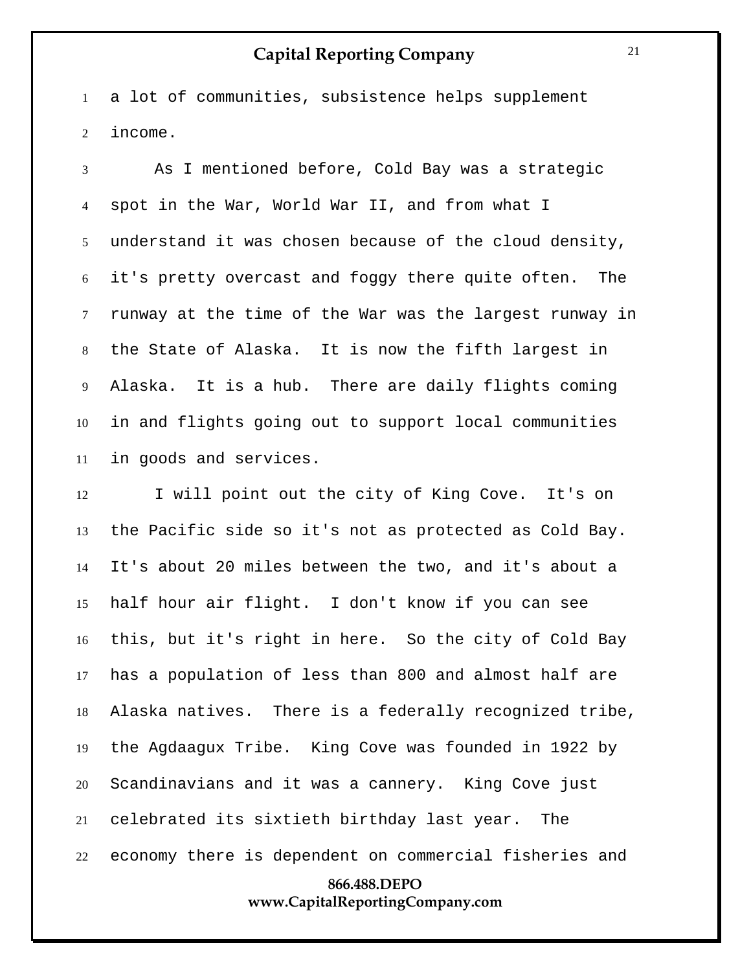a lot of communities, subsistence helps supplement income.

 As I mentioned before, Cold Bay was a strategic spot in the War, World War II, and from what I understand it was chosen because of the cloud density, it's pretty overcast and foggy there quite often. The runway at the time of the War was the largest runway in the State of Alaska. It is now the fifth largest in Alaska. It is a hub. There are daily flights coming in and flights going out to support local communities in goods and services.

**866.488.DEPO** I will point out the city of King Cove. It's on the Pacific side so it's not as protected as Cold Bay. It's about 20 miles between the two, and it's about a half hour air flight. I don't know if you can see this, but it's right in here. So the city of Cold Bay has a population of less than 800 and almost half are Alaska natives. There is a federally recognized tribe, the Agdaagux Tribe. King Cove was founded in 1922 by Scandinavians and it was a cannery. King Cove just celebrated its sixtieth birthday last year. The economy there is dependent on commercial fisheries and

**www.CapitalReportingCompany.com**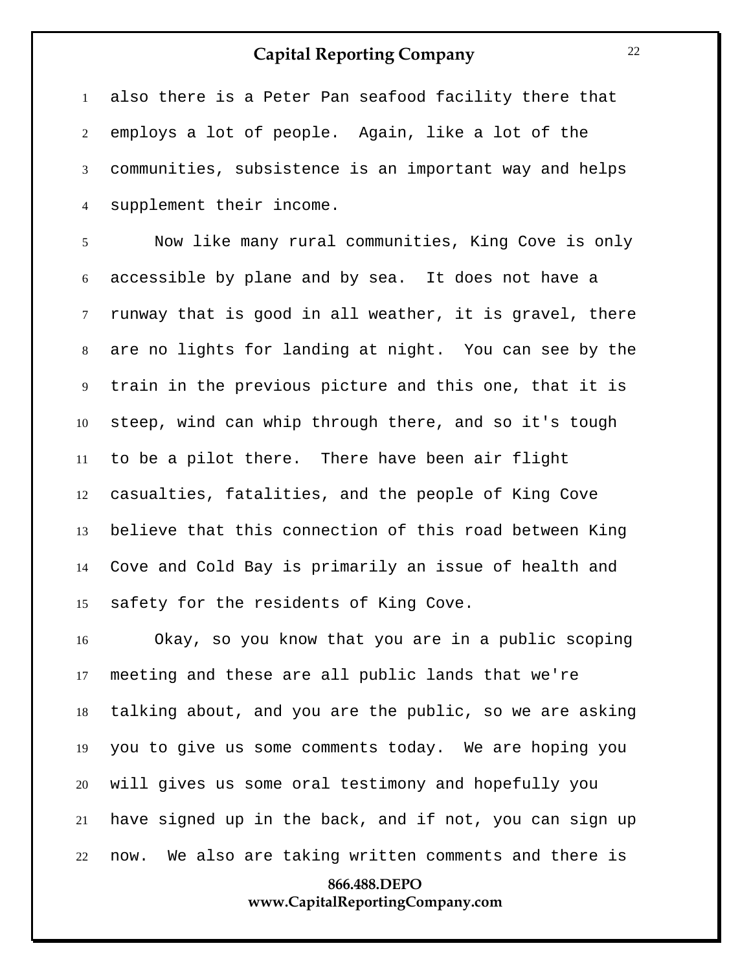also there is a Peter Pan seafood facility there that employs a lot of people. Again, like a lot of the communities, subsistence is an important way and helps supplement their income.

 Now like many rural communities, King Cove is only accessible by plane and by sea. It does not have a runway that is good in all weather, it is gravel, there are no lights for landing at night. You can see by the train in the previous picture and this one, that it is steep, wind can whip through there, and so it's tough to be a pilot there. There have been air flight casualties, fatalities, and the people of King Cove believe that this connection of this road between King Cove and Cold Bay is primarily an issue of health and safety for the residents of King Cove.

 Okay, so you know that you are in a public scoping meeting and these are all public lands that we're talking about, and you are the public, so we are asking you to give us some comments today. We are hoping you will gives us some oral testimony and hopefully you have signed up in the back, and if not, you can sign up now. We also are taking written comments and there is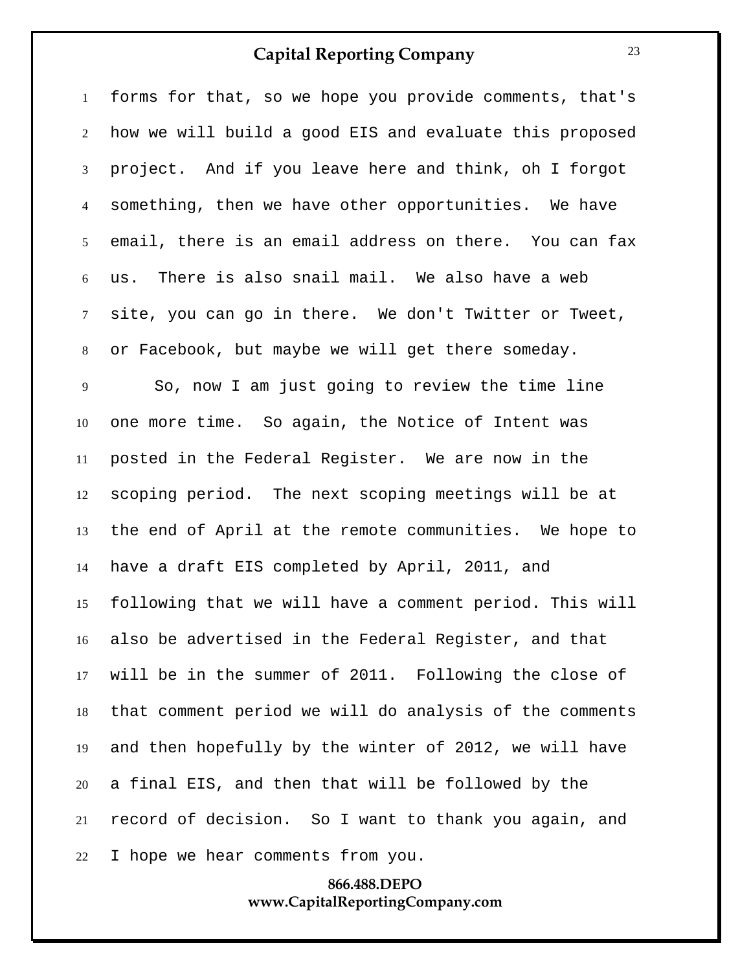forms for that, so we hope you provide comments, that's how we will build a good EIS and evaluate this proposed project. And if you leave here and think, oh I forgot something, then we have other opportunities. We have email, there is an email address on there. You can fax us. There is also snail mail. We also have a web site, you can go in there. We don't Twitter or Tweet, or Facebook, but maybe we will get there someday. So, now I am just going to review the time line one more time. So again, the Notice of Intent was posted in the Federal Register. We are now in the scoping period. The next scoping meetings will be at the end of April at the remote communities. We hope to have a draft EIS completed by April, 2011, and following that we will have a comment period. This will also be advertised in the Federal Register, and that will be in the summer of 2011. Following the close of that comment period we will do analysis of the comments and then hopefully by the winter of 2012, we will have a final EIS, and then that will be followed by the record of decision. So I want to thank you again, and I hope we hear comments from you.

#### **866.488.DEPO www.CapitalReportingCompany.com**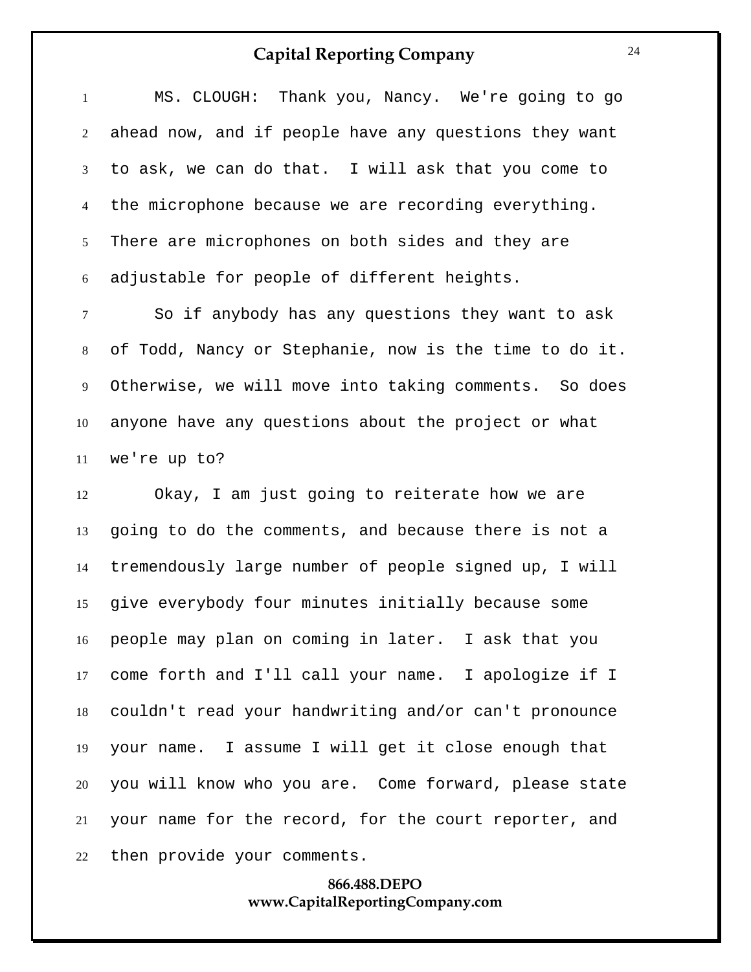MS. CLOUGH: Thank you, Nancy. We're going to go ahead now, and if people have any questions they want to ask, we can do that. I will ask that you come to the microphone because we are recording everything. There are microphones on both sides and they are adjustable for people of different heights.

 So if anybody has any questions they want to ask of Todd, Nancy or Stephanie, now is the time to do it. Otherwise, we will move into taking comments. So does anyone have any questions about the project or what we're up to?

 Okay, I am just going to reiterate how we are going to do the comments, and because there is not a tremendously large number of people signed up, I will give everybody four minutes initially because some people may plan on coming in later. I ask that you come forth and I'll call your name. I apologize if I couldn't read your handwriting and/or can't pronounce your name. I assume I will get it close enough that you will know who you are. Come forward, please state your name for the record, for the court reporter, and then provide your comments.

#### **866.488.DEPO www.CapitalReportingCompany.com**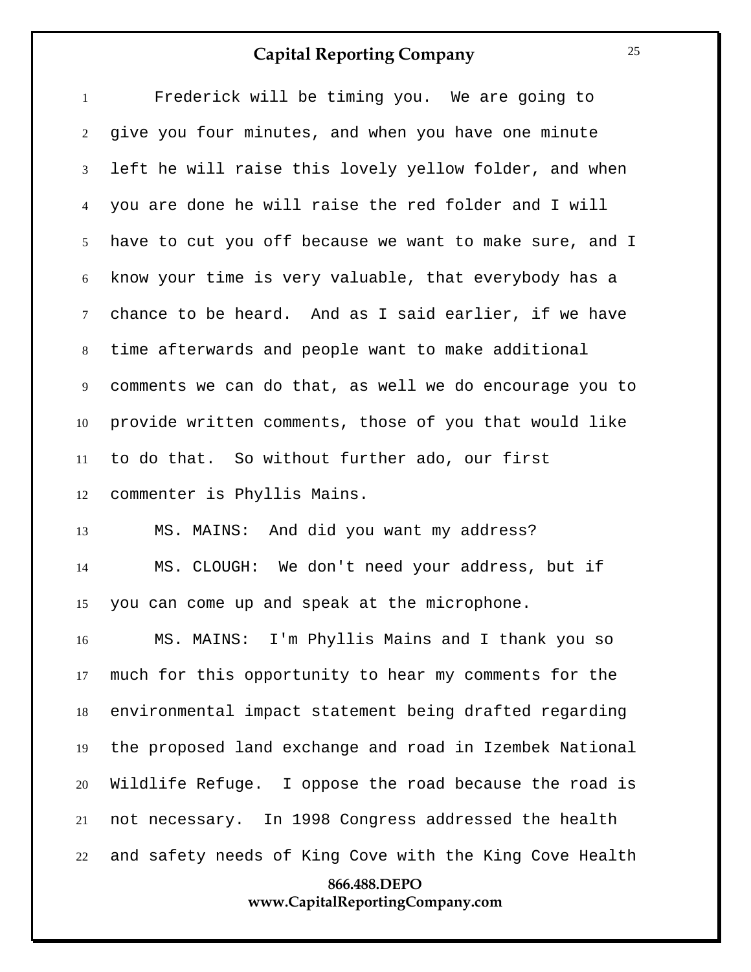| $\mathbf{1}$                    | Frederick will be timing you. We are going to           |  |  |
|---------------------------------|---------------------------------------------------------|--|--|
| $\overline{2}$                  | give you four minutes, and when you have one minute     |  |  |
| $\mathfrak{Z}$                  | left he will raise this lovely yellow folder, and when  |  |  |
| $\overline{4}$                  | you are done he will raise the red folder and I will    |  |  |
| 5 <sup>5</sup>                  | have to cut you off because we want to make sure, and I |  |  |
| 6                               | know your time is very valuable, that everybody has a   |  |  |
| $7\overline{ }$                 | chance to be heard. And as I said earlier, if we have   |  |  |
| 8                               | time afterwards and people want to make additional      |  |  |
| 9                               | comments we can do that, as well we do encourage you to |  |  |
| 10                              | provide written comments, those of you that would like  |  |  |
| 11                              | to do that. So without further ado, our first           |  |  |
| 12                              | commenter is Phyllis Mains.                             |  |  |
| 13                              | MS. MAINS: And did you want my address?                 |  |  |
| 14                              | MS. CLOUGH: We don't need your address, but if          |  |  |
| 15                              | you can come up and speak at the microphone.            |  |  |
| 16                              | MS. MAINS: I'm Phyllis Mains and I thank you so         |  |  |
| 17                              | much for this opportunity to hear my comments for the   |  |  |
| 18                              | environmental impact statement being drafted regarding  |  |  |
| 19                              | the proposed land exchange and road in Izembek National |  |  |
| 20                              | Wildlife Refuge. I oppose the road because the road is  |  |  |
| 21                              | not necessary. In 1998 Congress addressed the health    |  |  |
| 22                              | and safety needs of King Cove with the King Cove Health |  |  |
|                                 | 866.488.DEPO                                            |  |  |
| www.CapitalReportingCompany.com |                                                         |  |  |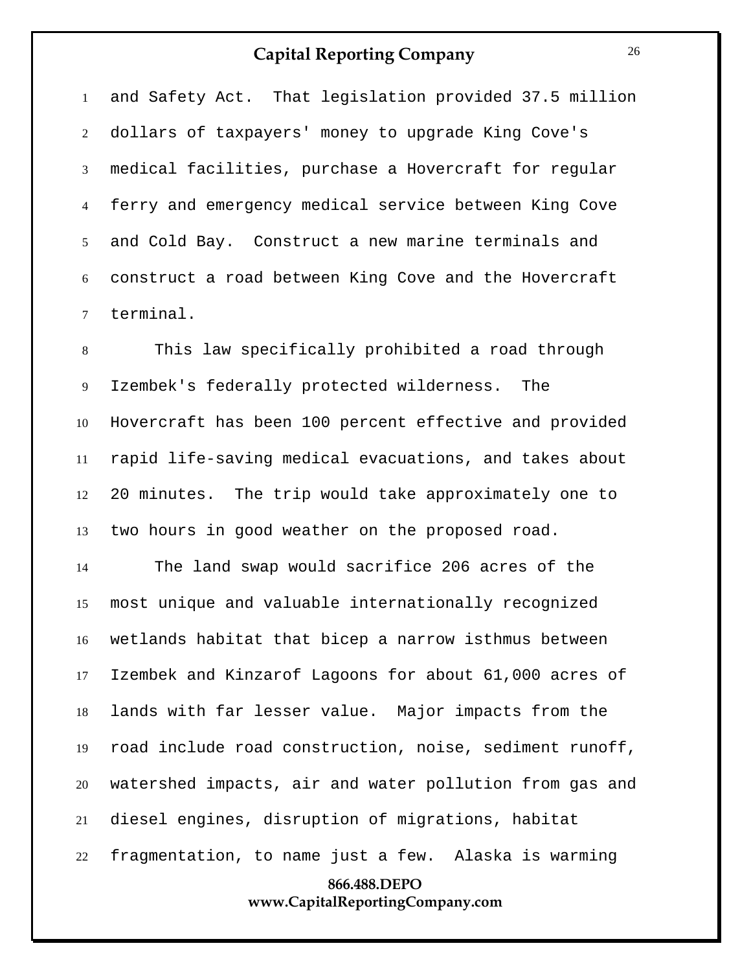and Safety Act. That legislation provided 37.5 million dollars of taxpayers' money to upgrade King Cove's medical facilities, purchase a Hovercraft for regular ferry and emergency medical service between King Cove and Cold Bay. Construct a new marine terminals and construct a road between King Cove and the Hovercraft terminal.

 This law specifically prohibited a road through Izembek's federally protected wilderness. The Hovercraft has been 100 percent effective and provided rapid life-saving medical evacuations, and takes about 20 minutes. The trip would take approximately one to two hours in good weather on the proposed road.

**866.488.DEPO** The land swap would sacrifice 206 acres of the most unique and valuable internationally recognized wetlands habitat that bicep a narrow isthmus between Izembek and Kinzarof Lagoons for about 61,000 acres of lands with far lesser value. Major impacts from the road include road construction, noise, sediment runoff, watershed impacts, air and water pollution from gas and diesel engines, disruption of migrations, habitat fragmentation, to name just a few. Alaska is warming

**www.CapitalReportingCompany.com**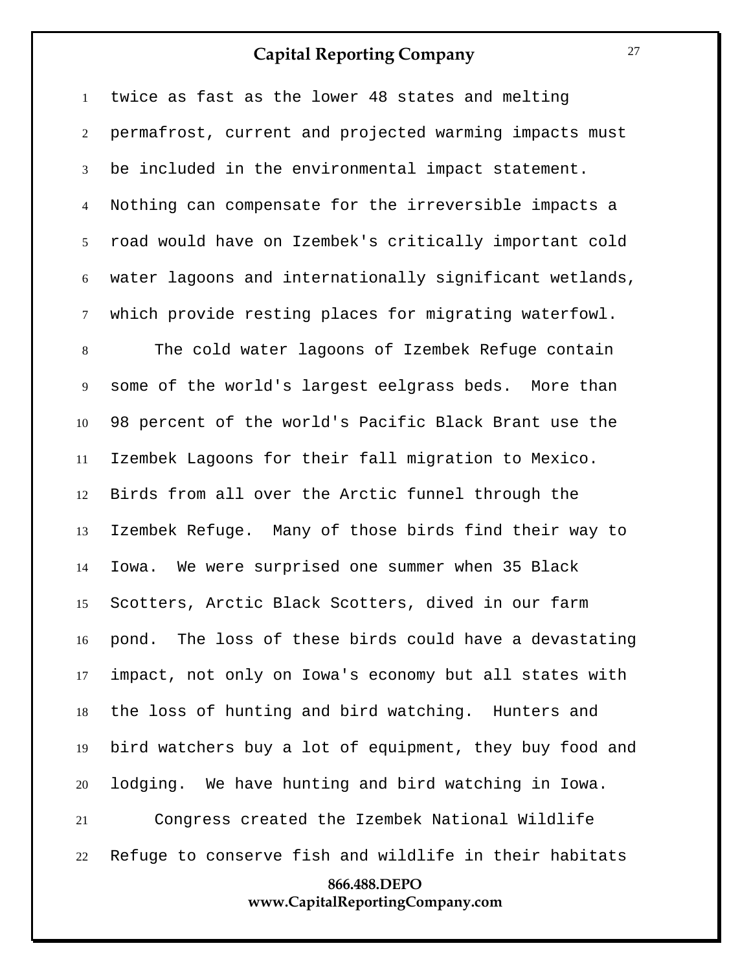twice as fast as the lower 48 states and melting permafrost, current and projected warming impacts must be included in the environmental impact statement. Nothing can compensate for the irreversible impacts a road would have on Izembek's critically important cold water lagoons and internationally significant wetlands, which provide resting places for migrating waterfowl.

 The cold water lagoons of Izembek Refuge contain some of the world's largest eelgrass beds. More than 98 percent of the world's Pacific Black Brant use the Izembek Lagoons for their fall migration to Mexico. Birds from all over the Arctic funnel through the Izembek Refuge. Many of those birds find their way to Iowa. We were surprised one summer when 35 Black Scotters, Arctic Black Scotters, dived in our farm pond. The loss of these birds could have a devastating impact, not only on Iowa's economy but all states with the loss of hunting and bird watching. Hunters and bird watchers buy a lot of equipment, they buy food and lodging. We have hunting and bird watching in Iowa. Congress created the Izembek National Wildlife Refuge to conserve fish and wildlife in their habitats

## **866.488.DEPO www.CapitalReportingCompany.com**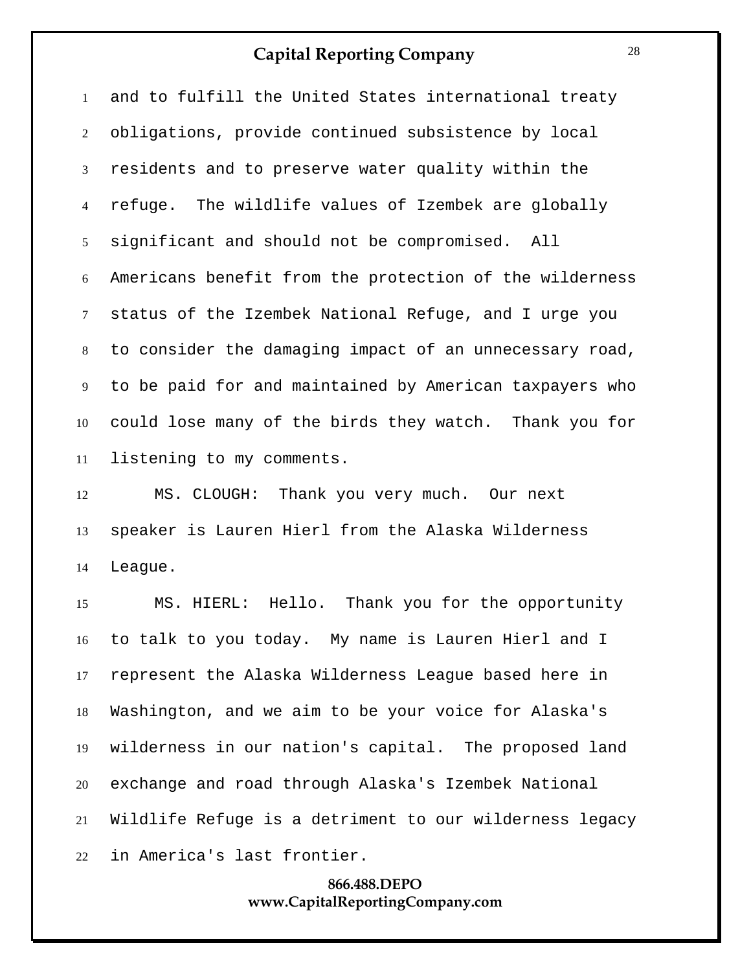and to fulfill the United States international treaty obligations, provide continued subsistence by local residents and to preserve water quality within the refuge. The wildlife values of Izembek are globally significant and should not be compromised. All Americans benefit from the protection of the wilderness status of the Izembek National Refuge, and I urge you to consider the damaging impact of an unnecessary road, to be paid for and maintained by American taxpayers who could lose many of the birds they watch. Thank you for listening to my comments.

 MS. CLOUGH: Thank you very much. Our next speaker is Lauren Hierl from the Alaska Wilderness League.

 MS. HIERL: Hello. Thank you for the opportunity to talk to you today. My name is Lauren Hierl and I represent the Alaska Wilderness League based here in Washington, and we aim to be your voice for Alaska's wilderness in our nation's capital. The proposed land exchange and road through Alaska's Izembek National Wildlife Refuge is a detriment to our wilderness legacy in America's last frontier.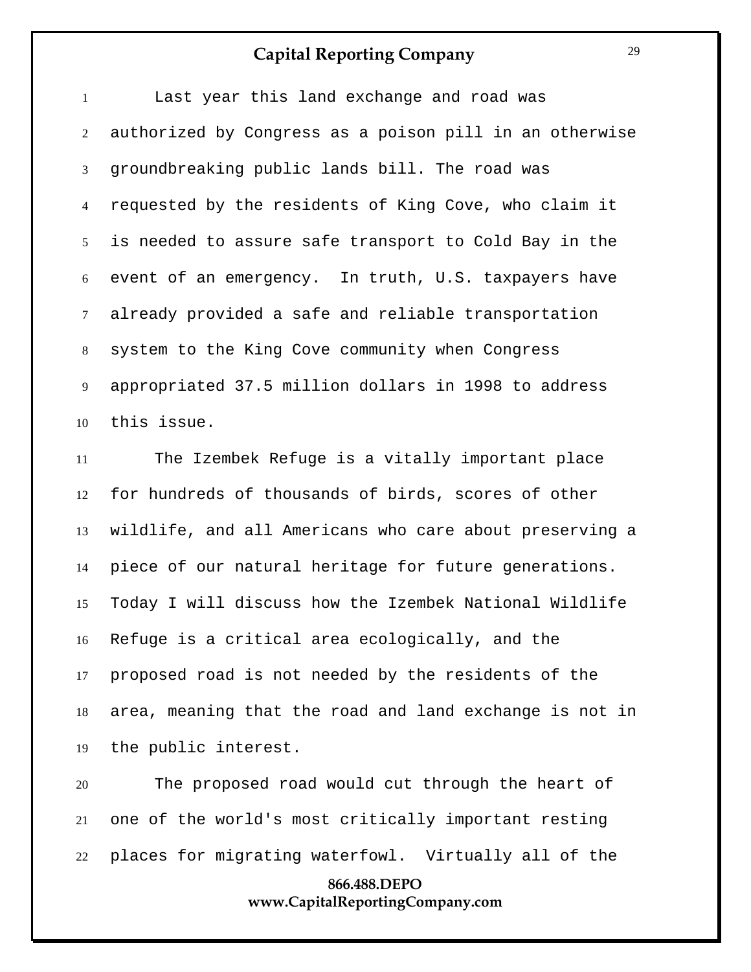Last year this land exchange and road was authorized by Congress as a poison pill in an otherwise groundbreaking public lands bill. The road was requested by the residents of King Cove, who claim it is needed to assure safe transport to Cold Bay in the event of an emergency. In truth, U.S. taxpayers have already provided a safe and reliable transportation system to the King Cove community when Congress appropriated 37.5 million dollars in 1998 to address this issue.

 The Izembek Refuge is a vitally important place for hundreds of thousands of birds, scores of other wildlife, and all Americans who care about preserving a piece of our natural heritage for future generations. Today I will discuss how the Izembek National Wildlife Refuge is a critical area ecologically, and the proposed road is not needed by the residents of the area, meaning that the road and land exchange is not in the public interest.

 The proposed road would cut through the heart of one of the world's most critically important resting places for migrating waterfowl. Virtually all of the

#### **866.488.DEPO www.CapitalReportingCompany.com**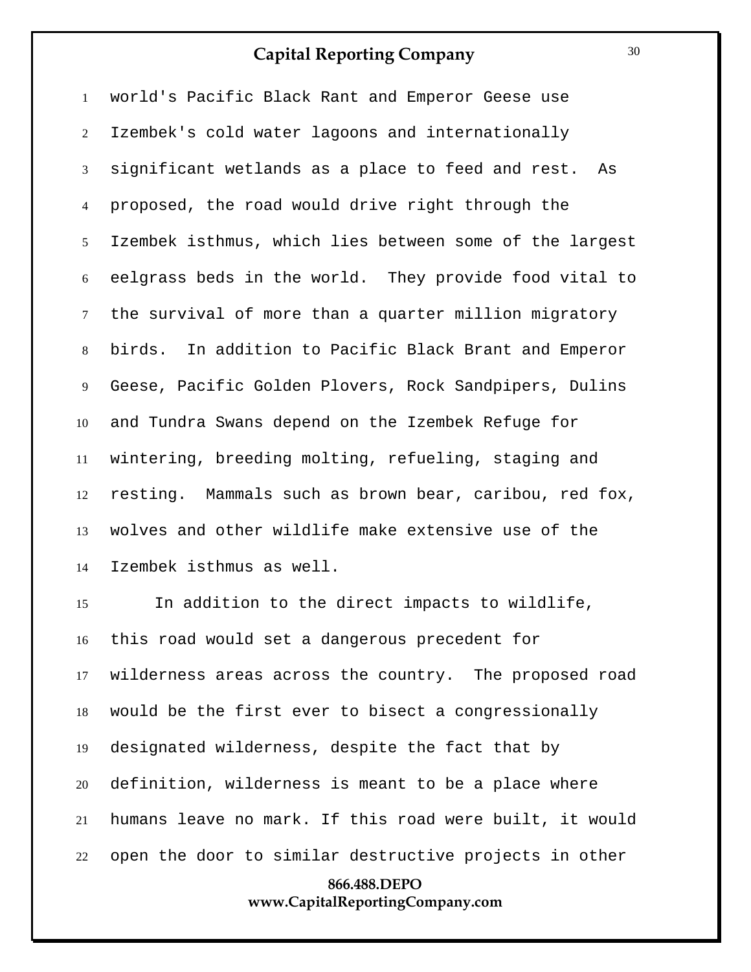world's Pacific Black Rant and Emperor Geese use Izembek's cold water lagoons and internationally significant wetlands as a place to feed and rest. As proposed, the road would drive right through the Izembek isthmus, which lies between some of the largest eelgrass beds in the world. They provide food vital to the survival of more than a quarter million migratory birds. In addition to Pacific Black Brant and Emperor Geese, Pacific Golden Plovers, Rock Sandpipers, Dulins and Tundra Swans depend on the Izembek Refuge for wintering, breeding molting, refueling, staging and resting. Mammals such as brown bear, caribou, red fox, wolves and other wildlife make extensive use of the Izembek isthmus as well.

 In addition to the direct impacts to wildlife, this road would set a dangerous precedent for wilderness areas across the country. The proposed road would be the first ever to bisect a congressionally designated wilderness, despite the fact that by definition, wilderness is meant to be a place where humans leave no mark. If this road were built, it would open the door to similar destructive projects in other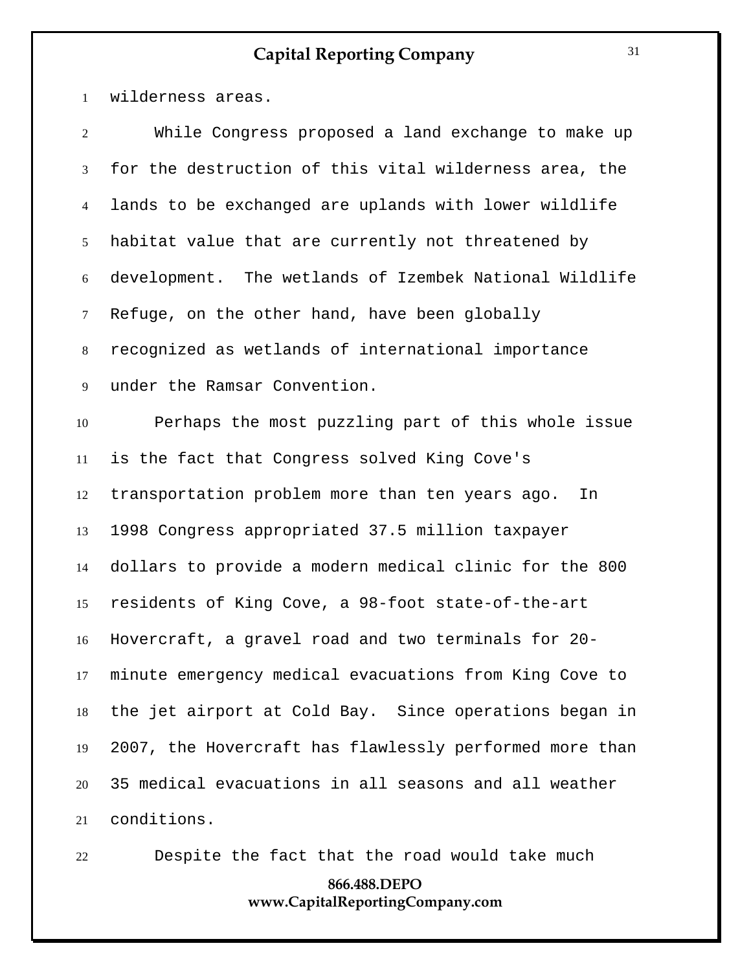wilderness areas.

| $\overline{2}$  | While Congress proposed a land exchange to make up      |
|-----------------|---------------------------------------------------------|
| $\mathfrak{Z}$  | for the destruction of this vital wilderness area, the  |
| $\overline{4}$  | lands to be exchanged are uplands with lower wildlife   |
| 5               | habitat value that are currently not threatened by      |
| 6               | development. The wetlands of Izembek National Wildlife  |
| $7\overline{ }$ | Refuge, on the other hand, have been globally           |
| 8               | recognized as wetlands of international importance      |
| 9               | under the Ramsar Convention.                            |
| 10              | Perhaps the most puzzling part of this whole issue      |
| 11              | is the fact that Congress solved King Cove's            |
| 12              | transportation problem more than ten years ago.<br>In   |
| 13              | 1998 Congress appropriated 37.5 million taxpayer        |
| 14              | dollars to provide a modern medical clinic for the 800  |
| 15              | residents of King Cove, a 98-foot state-of-the-art      |
| 16              | Hovercraft, a gravel road and two terminals for 20-     |
| 17              | minute emergency medical evacuations from King Cove to  |
| 18              | the jet airport at Cold Bay. Since operations began in  |
| 19              | 2007, the Hovercraft has flawlessly performed more than |
| 20              | 35 medical evacuations in all seasons and all weather   |
| 21              | conditions.                                             |

Despite the fact that the road would take much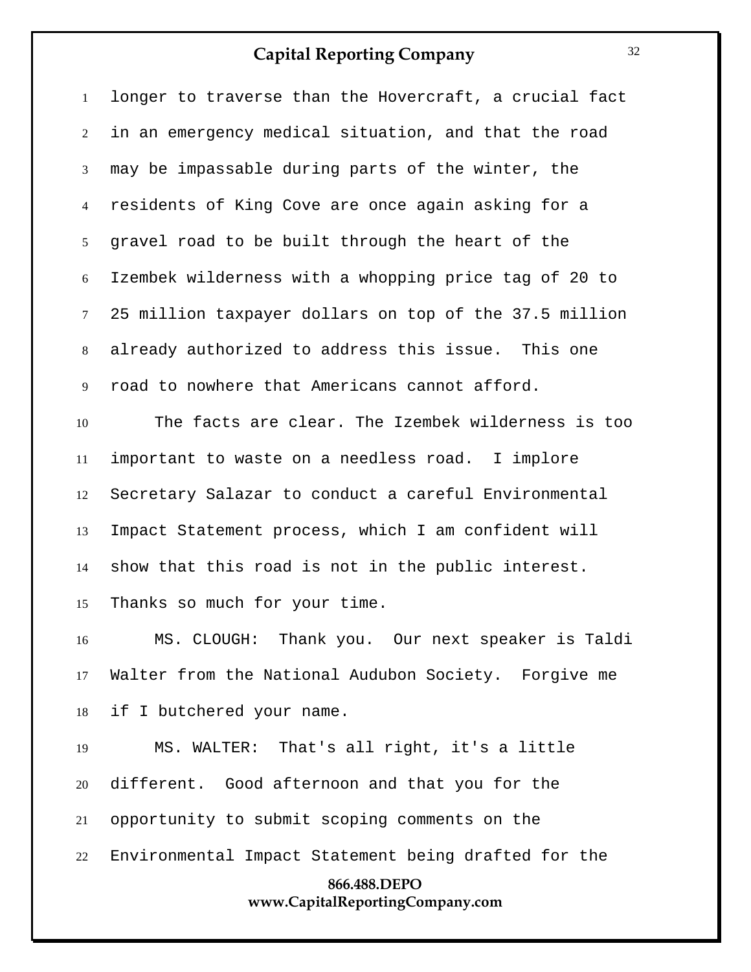longer to traverse than the Hovercraft, a crucial fact in an emergency medical situation, and that the road may be impassable during parts of the winter, the residents of King Cove are once again asking for a gravel road to be built through the heart of the Izembek wilderness with a whopping price tag of 20 to 25 million taxpayer dollars on top of the 37.5 million already authorized to address this issue. This one road to nowhere that Americans cannot afford. The facts are clear. The Izembek wilderness is too important to waste on a needless road. I implore Secretary Salazar to conduct a careful Environmental Impact Statement process, which I am confident will show that this road is not in the public interest.

Thanks so much for your time.

 MS. CLOUGH: Thank you. Our next speaker is Taldi Walter from the National Audubon Society. Forgive me if I butchered your name.

**866.488.DEPO** MS. WALTER: That's all right, it's a little different. Good afternoon and that you for the opportunity to submit scoping comments on the Environmental Impact Statement being drafted for the

#### **www.CapitalReportingCompany.com**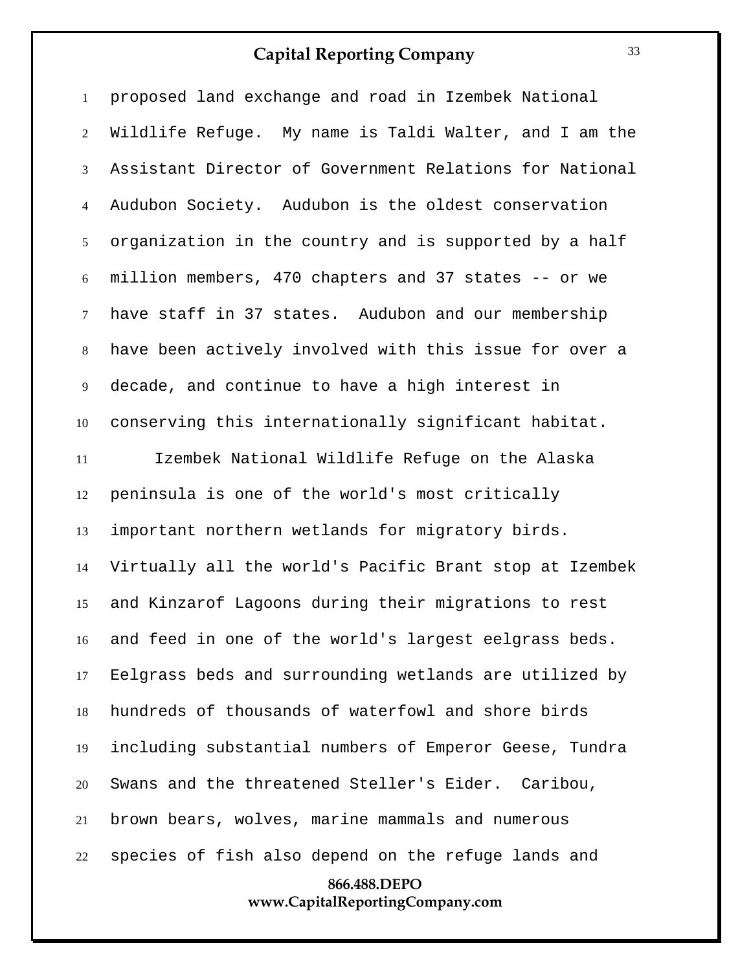proposed land exchange and road in Izembek National Wildlife Refuge. My name is Taldi Walter, and I am the Assistant Director of Government Relations for National Audubon Society. Audubon is the oldest conservation organization in the country and is supported by a half million members, 470 chapters and 37 states -- or we have staff in 37 states. Audubon and our membership have been actively involved with this issue for over a decade, and continue to have a high interest in conserving this internationally significant habitat. Izembek National Wildlife Refuge on the Alaska

**866.488.DEPO** peninsula is one of the world's most critically important northern wetlands for migratory birds. Virtually all the world's Pacific Brant stop at Izembek and Kinzarof Lagoons during their migrations to rest and feed in one of the world's largest eelgrass beds. Eelgrass beds and surrounding wetlands are utilized by hundreds of thousands of waterfowl and shore birds including substantial numbers of Emperor Geese, Tundra Swans and the threatened Steller's Eider. Caribou, brown bears, wolves, marine mammals and numerous species of fish also depend on the refuge lands and

## **www.CapitalReportingCompany.com**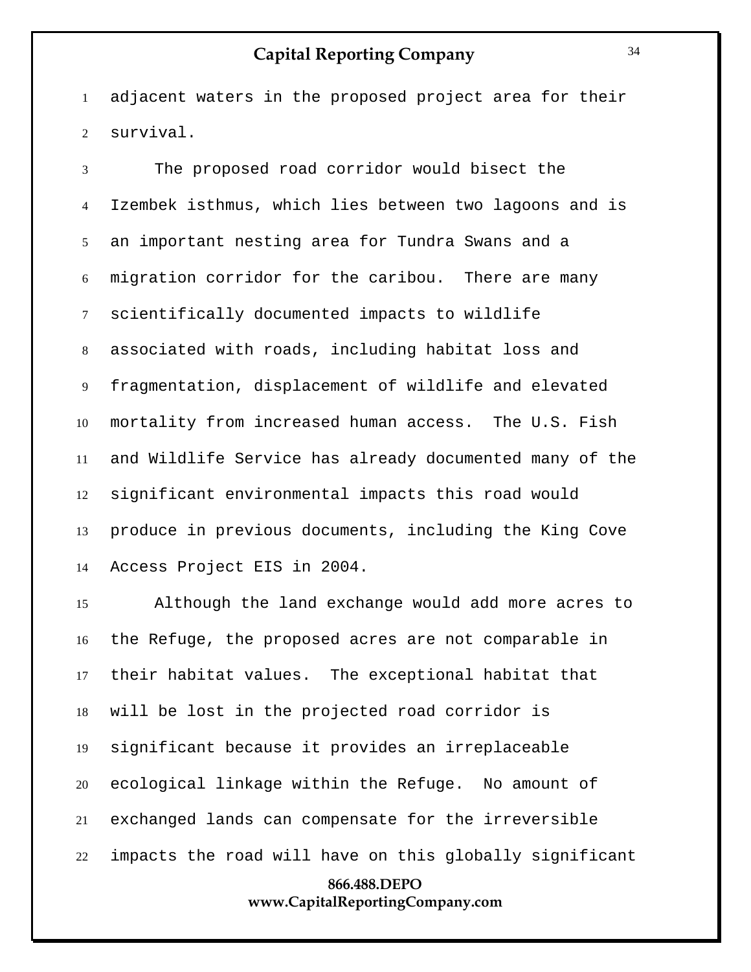adjacent waters in the proposed project area for their survival.

 The proposed road corridor would bisect the Izembek isthmus, which lies between two lagoons and is an important nesting area for Tundra Swans and a migration corridor for the caribou. There are many scientifically documented impacts to wildlife associated with roads, including habitat loss and fragmentation, displacement of wildlife and elevated mortality from increased human access. The U.S. Fish and Wildlife Service has already documented many of the significant environmental impacts this road would produce in previous documents, including the King Cove Access Project EIS in 2004.

**866.488.DEPO** Although the land exchange would add more acres to the Refuge, the proposed acres are not comparable in their habitat values. The exceptional habitat that will be lost in the projected road corridor is significant because it provides an irreplaceable ecological linkage within the Refuge. No amount of exchanged lands can compensate for the irreversible impacts the road will have on this globally significant

**www.CapitalReportingCompany.com**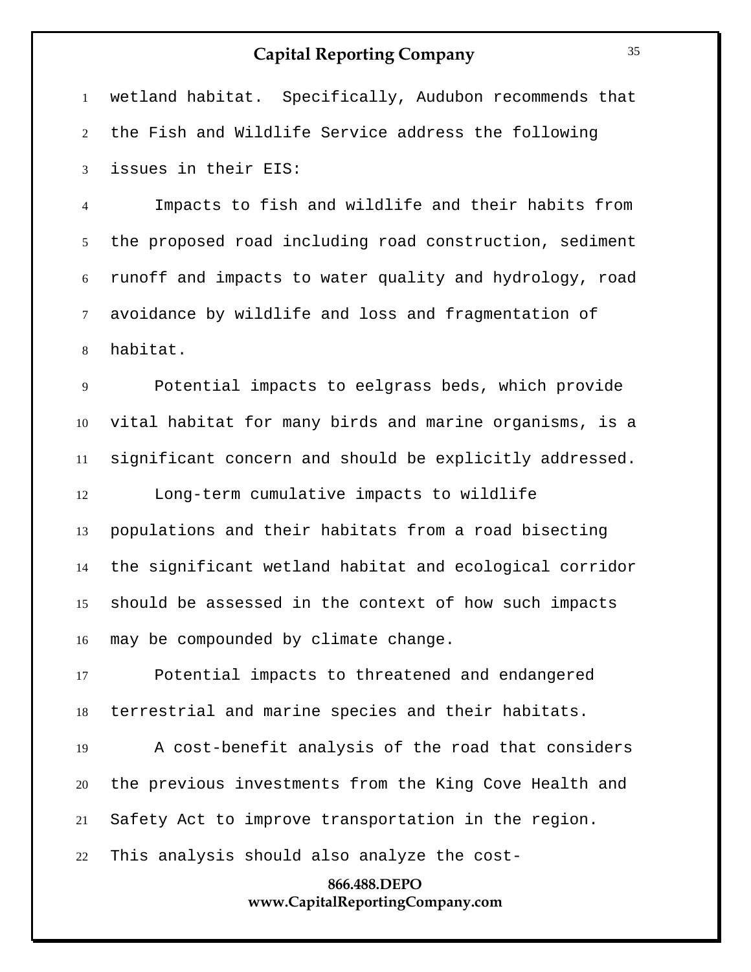**866.488.DEPO** wetland habitat. Specifically, Audubon recommends that the Fish and Wildlife Service address the following issues in their EIS: Impacts to fish and wildlife and their habits from the proposed road including road construction, sediment runoff and impacts to water quality and hydrology, road avoidance by wildlife and loss and fragmentation of habitat. Potential impacts to eelgrass beds, which provide vital habitat for many birds and marine organisms, is a significant concern and should be explicitly addressed. Long-term cumulative impacts to wildlife populations and their habitats from a road bisecting the significant wetland habitat and ecological corridor should be assessed in the context of how such impacts may be compounded by climate change. Potential impacts to threatened and endangered terrestrial and marine species and their habitats. A cost-benefit analysis of the road that considers the previous investments from the King Cove Health and Safety Act to improve transportation in the region. This analysis should also analyze the cost-

#### **www.CapitalReportingCompany.com**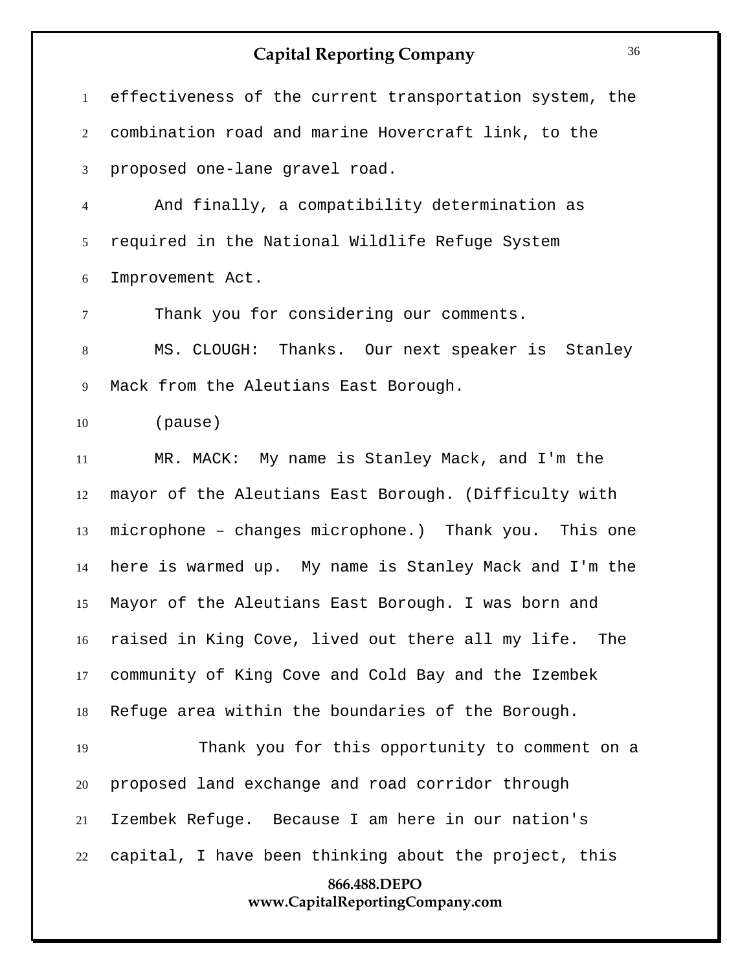| $\mathbf{1}$   | effectiveness of the current transportation system, the |
|----------------|---------------------------------------------------------|
| $\overline{2}$ | combination road and marine Hovercraft link, to the     |
| 3              | proposed one-lane gravel road.                          |
| $\overline{4}$ | And finally, a compatibility determination as           |
| 5              | required in the National Wildlife Refuge System         |
| 6              | Improvement Act.                                        |
| $\overline{7}$ | Thank you for considering our comments.                 |
| $8\,$          | MS. CLOUGH: Thanks. Our next speaker is Stanley         |
| 9              | Mack from the Aleutians East Borough.                   |
| 10             | (pause)                                                 |
| 11             | MR. MACK: My name is Stanley Mack, and I'm the          |
| 12             | mayor of the Aleutians East Borough. (Difficulty with   |
| 13             | microphone - changes microphone.) Thank you. This one   |
| 14             | here is warmed up. My name is Stanley Mack and I'm the  |
| 15             | Mayor of the Aleutians East Borough. I was born and     |
| 16             | raised in King Cove, lived out there all my life. The   |
| 17             | community of King Cove and Cold Bay and the Izembek     |
| 18             | Refuge area within the boundaries of the Borough.       |
| 19             | Thank you for this opportunity to comment on a          |
| 20             | proposed land exchange and road corridor through        |
| 21             | Izembek Refuge. Because I am here in our nation's       |
| 22             | capital, I have been thinking about the project, this   |
|                | 866.488.DEPO<br>www.CapitalReportingCompany.com         |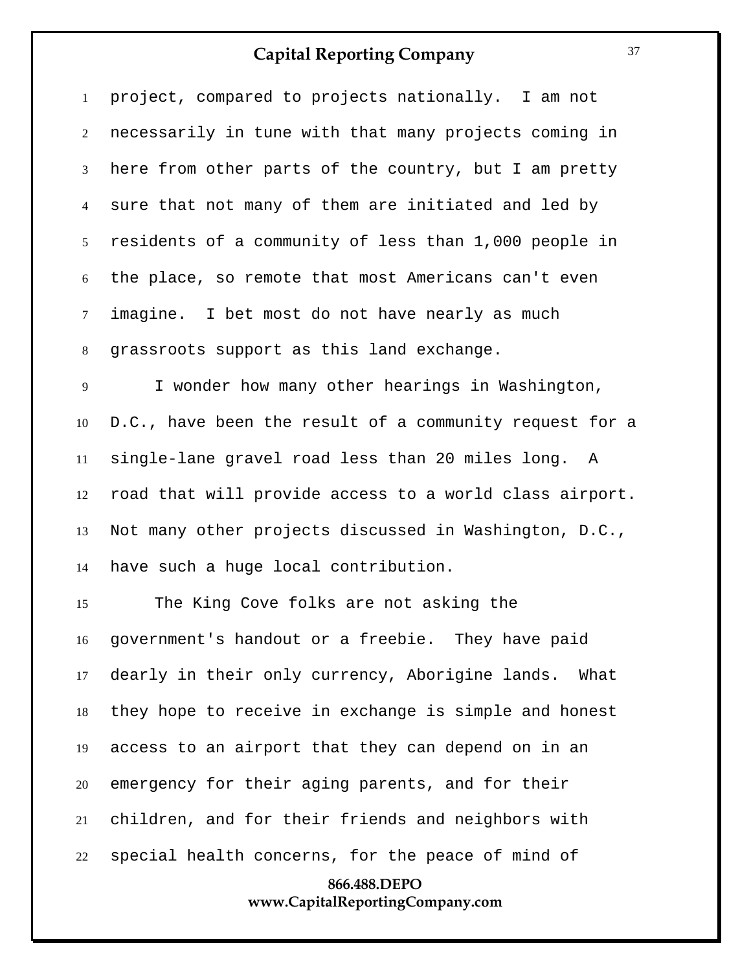project, compared to projects nationally. I am not necessarily in tune with that many projects coming in here from other parts of the country, but I am pretty sure that not many of them are initiated and led by residents of a community of less than 1,000 people in the place, so remote that most Americans can't even imagine. I bet most do not have nearly as much grassroots support as this land exchange. I wonder how many other hearings in Washington, D.C., have been the result of a community request for a single-lane gravel road less than 20 miles long. A road that will provide access to a world class airport.

 Not many other projects discussed in Washington, D.C., have such a huge local contribution.

**866.488.DEPO** The King Cove folks are not asking the government's handout or a freebie. They have paid dearly in their only currency, Aborigine lands. What they hope to receive in exchange is simple and honest access to an airport that they can depend on in an emergency for their aging parents, and for their children, and for their friends and neighbors with special health concerns, for the peace of mind of

# **www.CapitalReportingCompany.com**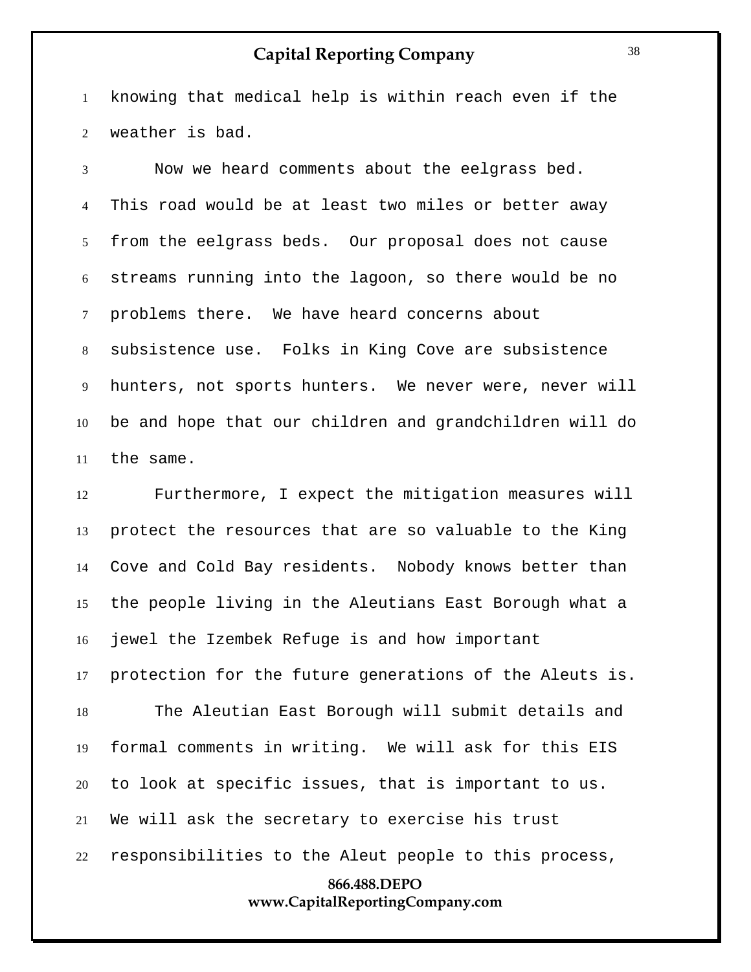knowing that medical help is within reach even if the weather is bad.

 Now we heard comments about the eelgrass bed. This road would be at least two miles or better away from the eelgrass beds. Our proposal does not cause streams running into the lagoon, so there would be no problems there. We have heard concerns about subsistence use. Folks in King Cove are subsistence hunters, not sports hunters. We never were, never will be and hope that our children and grandchildren will do the same.

**866.488.DEPO** Furthermore, I expect the mitigation measures will protect the resources that are so valuable to the King Cove and Cold Bay residents. Nobody knows better than the people living in the Aleutians East Borough what a jewel the Izembek Refuge is and how important protection for the future generations of the Aleuts is. The Aleutian East Borough will submit details and formal comments in writing. We will ask for this EIS to look at specific issues, that is important to us. We will ask the secretary to exercise his trust responsibilities to the Aleut people to this process,

#### **www.CapitalReportingCompany.com**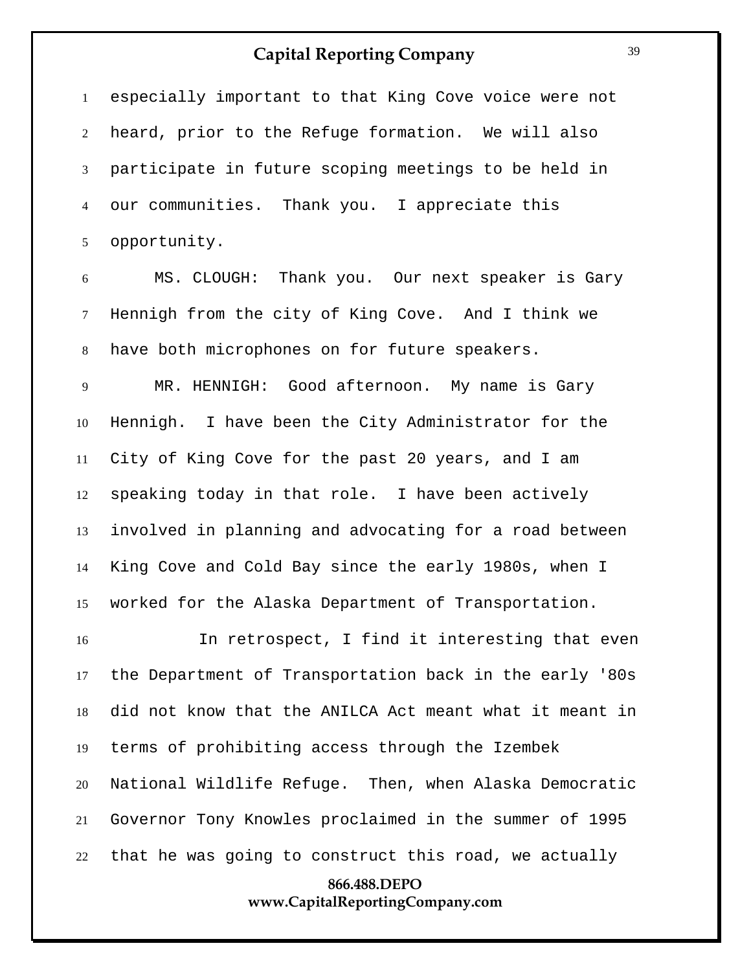especially important to that King Cove voice were not heard, prior to the Refuge formation. We will also participate in future scoping meetings to be held in our communities. Thank you. I appreciate this opportunity.

 MS. CLOUGH: Thank you. Our next speaker is Gary Hennigh from the city of King Cove. And I think we have both microphones on for future speakers.

 MR. HENNIGH: Good afternoon. My name is Gary Hennigh. I have been the City Administrator for the City of King Cove for the past 20 years, and I am speaking today in that role. I have been actively involved in planning and advocating for a road between King Cove and Cold Bay since the early 1980s, when I worked for the Alaska Department of Transportation.

 In retrospect, I find it interesting that even the Department of Transportation back in the early '80s did not know that the ANILCA Act meant what it meant in terms of prohibiting access through the Izembek National Wildlife Refuge. Then, when Alaska Democratic Governor Tony Knowles proclaimed in the summer of 1995 that he was going to construct this road, we actually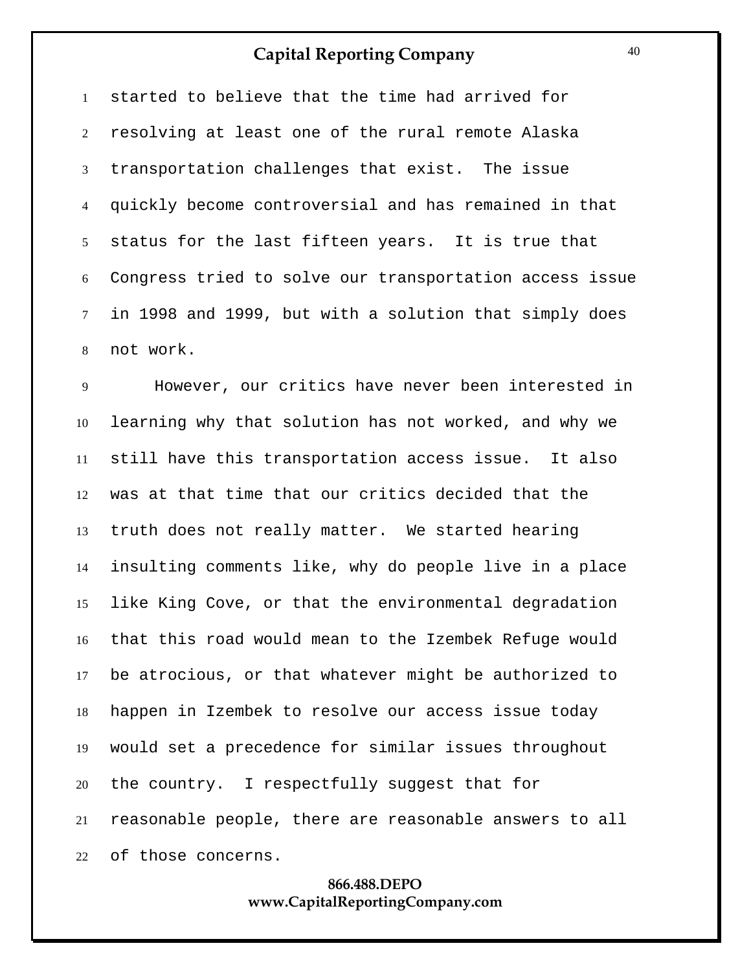started to believe that the time had arrived for resolving at least one of the rural remote Alaska transportation challenges that exist. The issue quickly become controversial and has remained in that status for the last fifteen years. It is true that Congress tried to solve our transportation access issue in 1998 and 1999, but with a solution that simply does not work.

 However, our critics have never been interested in learning why that solution has not worked, and why we still have this transportation access issue. It also was at that time that our critics decided that the truth does not really matter. We started hearing insulting comments like, why do people live in a place like King Cove, or that the environmental degradation that this road would mean to the Izembek Refuge would be atrocious, or that whatever might be authorized to happen in Izembek to resolve our access issue today would set a precedence for similar issues throughout the country. I respectfully suggest that for reasonable people, there are reasonable answers to all of those concerns.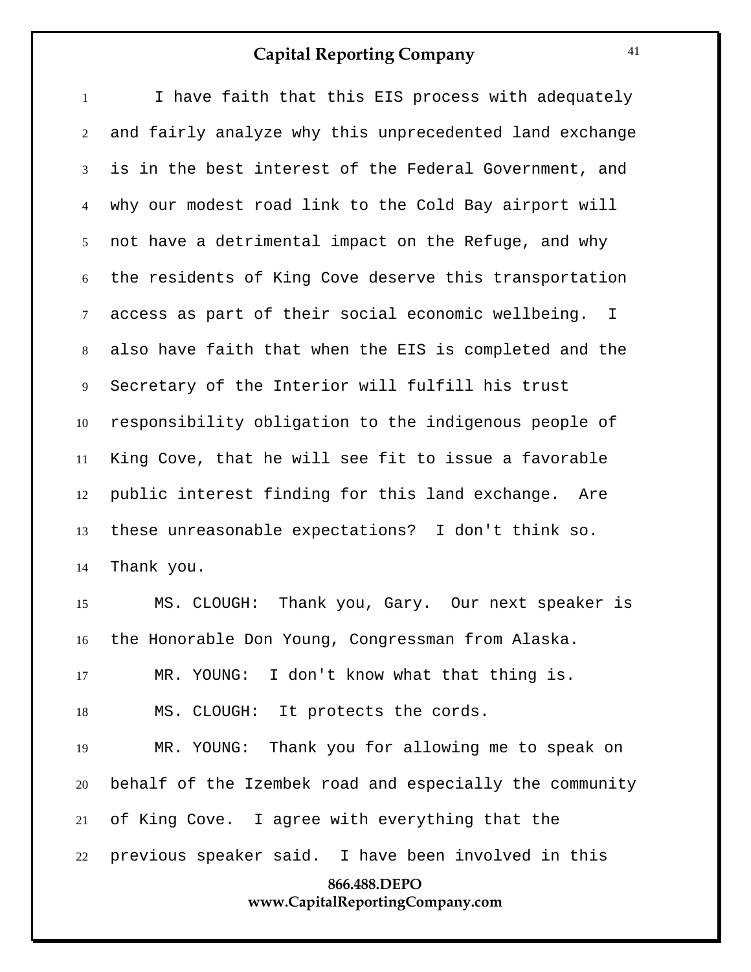| $\mathbf{1}$   | I have faith that this EIS process with adequately                |
|----------------|-------------------------------------------------------------------|
| 2              | and fairly analyze why this unprecedented land exchange           |
| 3              | is in the best interest of the Federal Government, and            |
| $\overline{4}$ | why our modest road link to the Cold Bay airport will             |
| 5 <sup>5</sup> | not have a detrimental impact on the Refuge, and why              |
| 6              | the residents of King Cove deserve this transportation            |
| $\tau$         | access as part of their social economic wellbeing.<br>$\mathbf I$ |
| 8              | also have faith that when the EIS is completed and the            |
| 9              | Secretary of the Interior will fulfill his trust                  |
| 10             | responsibility obligation to the indigenous people of             |
| 11             | King Cove, that he will see fit to issue a favorable              |
| 12             | public interest finding for this land exchange. Are               |
| 13             | these unreasonable expectations? I don't think so.                |
| 14             | Thank you.                                                        |
| 15             | Thank you, Gary. Our next speaker is<br>MS. CLOUGH:               |
| 16             | the Honorable Don Young, Congressman from Alaska.                 |
| 17             | MR. YOUNG: I don't know what that thing is.                       |
| 18             | MS. CLOUGH: It protects the cords.                                |
| 19             | MR. YOUNG: Thank you for allowing me to speak on                  |
| 20             | behalf of the Izembek road and especially the community           |
| 21             | of King Cove. I agree with everything that the                    |
| 22             | previous speaker said. I have been involved in this               |
|                | 866.488.DEPO                                                      |
|                | www.CapitalReportingCompany.com                                   |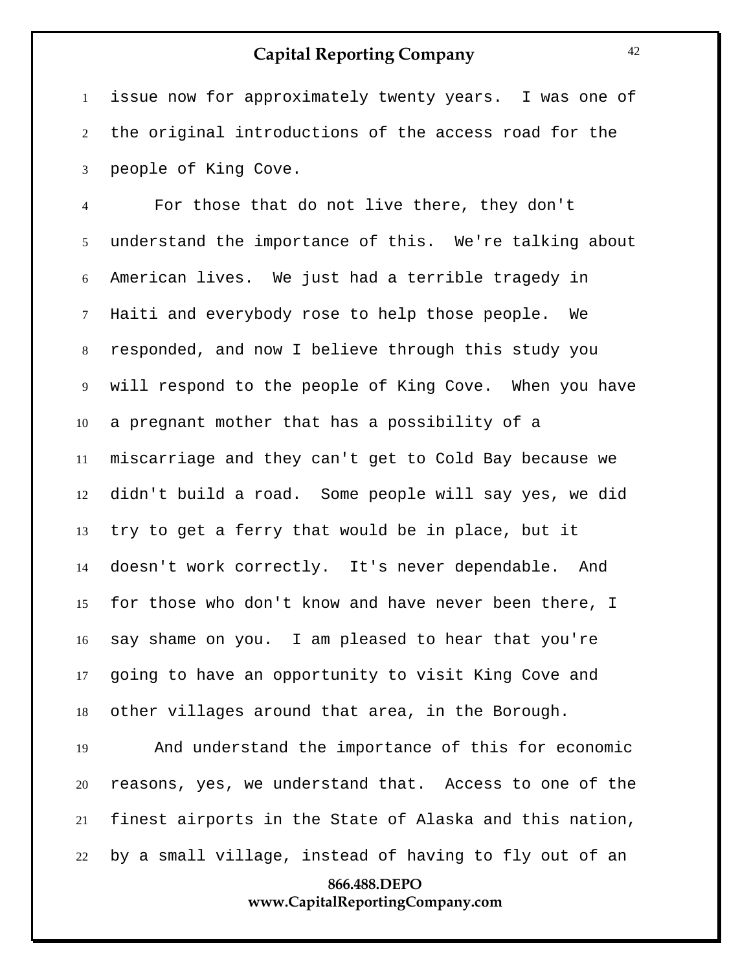issue now for approximately twenty years. I was one of the original introductions of the access road for the people of King Cove.

 For those that do not live there, they don't understand the importance of this. We're talking about American lives. We just had a terrible tragedy in Haiti and everybody rose to help those people. We responded, and now I believe through this study you will respond to the people of King Cove. When you have a pregnant mother that has a possibility of a miscarriage and they can't get to Cold Bay because we didn't build a road. Some people will say yes, we did try to get a ferry that would be in place, but it doesn't work correctly. It's never dependable. And for those who don't know and have never been there, I say shame on you. I am pleased to hear that you're going to have an opportunity to visit King Cove and other villages around that area, in the Borough.

 And understand the importance of this for economic reasons, yes, we understand that. Access to one of the finest airports in the State of Alaska and this nation, by a small village, instead of having to fly out of an

## **866.488.DEPO www.CapitalReportingCompany.com**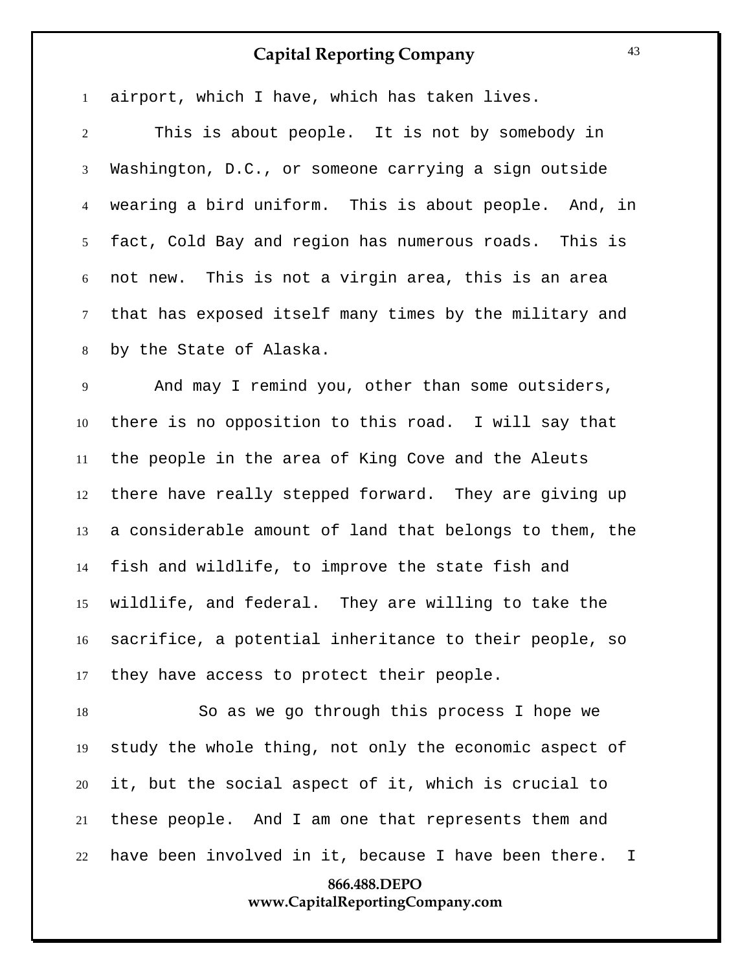**866.488.DEPO** airport, which I have, which has taken lives. This is about people. It is not by somebody in Washington, D.C., or someone carrying a sign outside wearing a bird uniform. This is about people. And, in fact, Cold Bay and region has numerous roads. This is not new. This is not a virgin area, this is an area that has exposed itself many times by the military and by the State of Alaska. And may I remind you, other than some outsiders, there is no opposition to this road. I will say that the people in the area of King Cove and the Aleuts there have really stepped forward. They are giving up a considerable amount of land that belongs to them, the fish and wildlife, to improve the state fish and wildlife, and federal. They are willing to take the sacrifice, a potential inheritance to their people, so they have access to protect their people. So as we go through this process I hope we study the whole thing, not only the economic aspect of it, but the social aspect of it, which is crucial to these people. And I am one that represents them and have been involved in it, because I have been there. I

# **www.CapitalReportingCompany.com**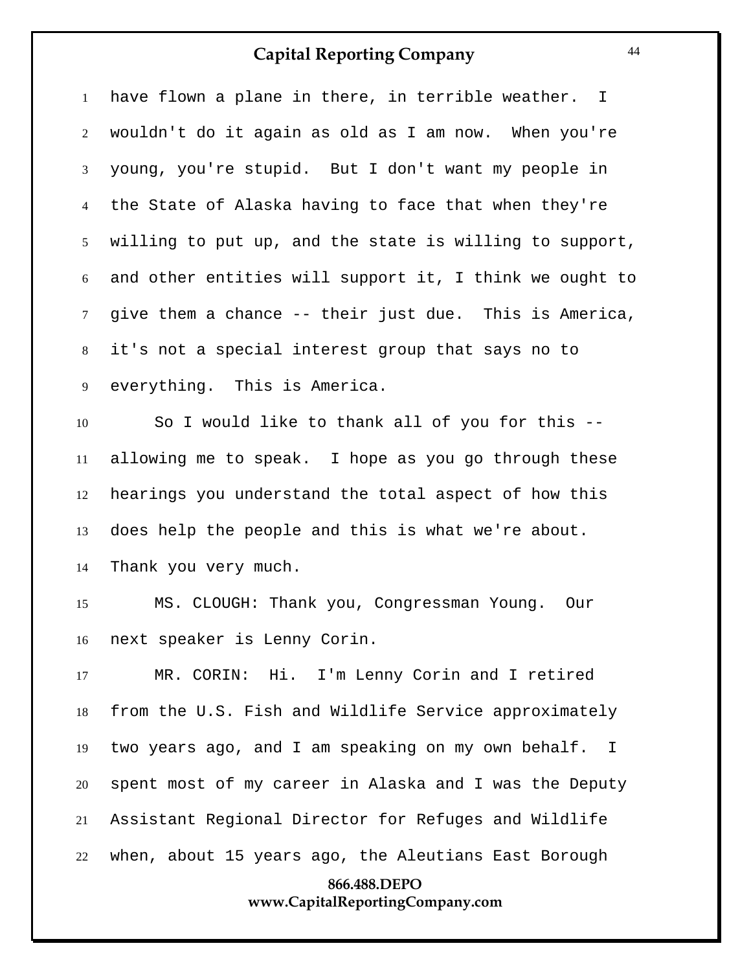have flown a plane in there, in terrible weather. I wouldn't do it again as old as I am now. When you're young, you're stupid. But I don't want my people in the State of Alaska having to face that when they're willing to put up, and the state is willing to support, and other entities will support it, I think we ought to give them a chance -- their just due. This is America, it's not a special interest group that says no to everything. This is America.

 So I would like to thank all of you for this -- allowing me to speak. I hope as you go through these hearings you understand the total aspect of how this does help the people and this is what we're about. Thank you very much.

 MS. CLOUGH: Thank you, Congressman Young. Our next speaker is Lenny Corin.

**866.488.DEPO** MR. CORIN: Hi. I'm Lenny Corin and I retired from the U.S. Fish and Wildlife Service approximately two years ago, and I am speaking on my own behalf. I spent most of my career in Alaska and I was the Deputy Assistant Regional Director for Refuges and Wildlife when, about 15 years ago, the Aleutians East Borough

# **www.CapitalReportingCompany.com**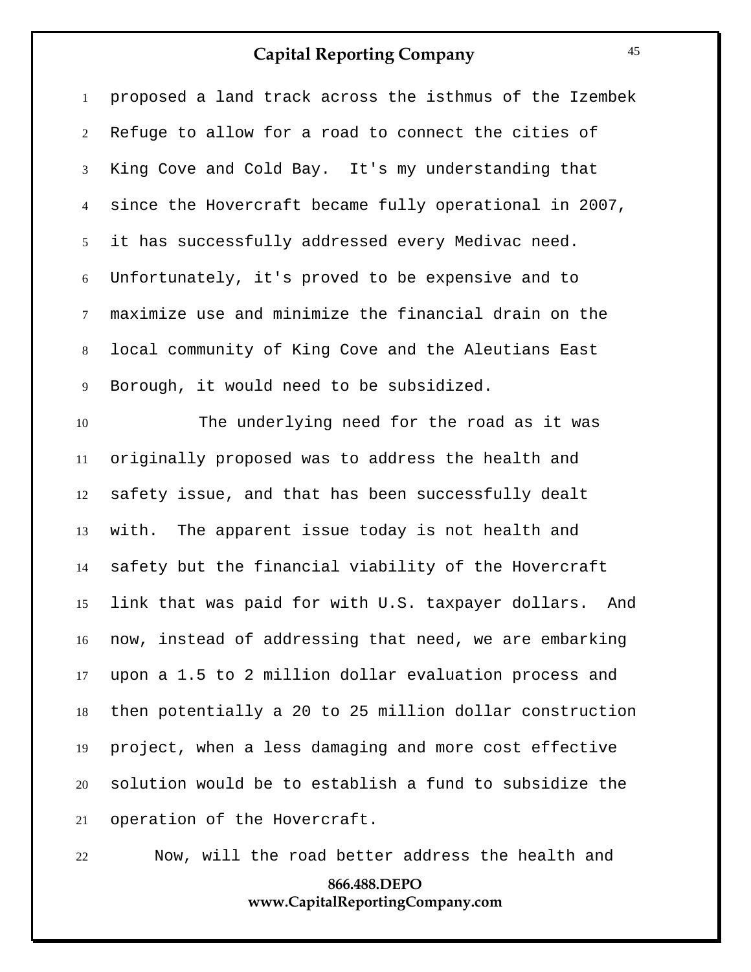| $\mathbf{1}$   | proposed a land track across the isthmus of the Izembek   |
|----------------|-----------------------------------------------------------|
| $\overline{2}$ | Refuge to allow for a road to connect the cities of       |
| 3              | King Cove and Cold Bay. It's my understanding that        |
| $\overline{4}$ | since the Hovercraft became fully operational in 2007,    |
| 5 <sup>5</sup> | it has successfully addressed every Medivac need.         |
| 6              | Unfortunately, it's proved to be expensive and to         |
| $\tau$         | maximize use and minimize the financial drain on the      |
| 8              | local community of King Cove and the Aleutians East       |
| 9              | Borough, it would need to be subsidized.                  |
| 10             | The underlying need for the road as it was                |
| 11             | originally proposed was to address the health and         |
| 12             | safety issue, and that has been successfully dealt        |
| 13             | with. The apparent issue today is not health and          |
| 14             | safety but the financial viability of the Hovercraft      |
| 15             | link that was paid for with U.S. taxpayer dollars. And    |
|                | 16 now, instead of addressing that need, we are embarking |
| 17             | upon a 1.5 to 2 million dollar evaluation process and     |
| 18             | then potentially a 20 to 25 million dollar construction   |
| 19             | project, when a less damaging and more cost effective     |
| 20             | solution would be to establish a fund to subsidize the    |
| 21             | operation of the Hovercraft.                              |

Now, will the road better address the health and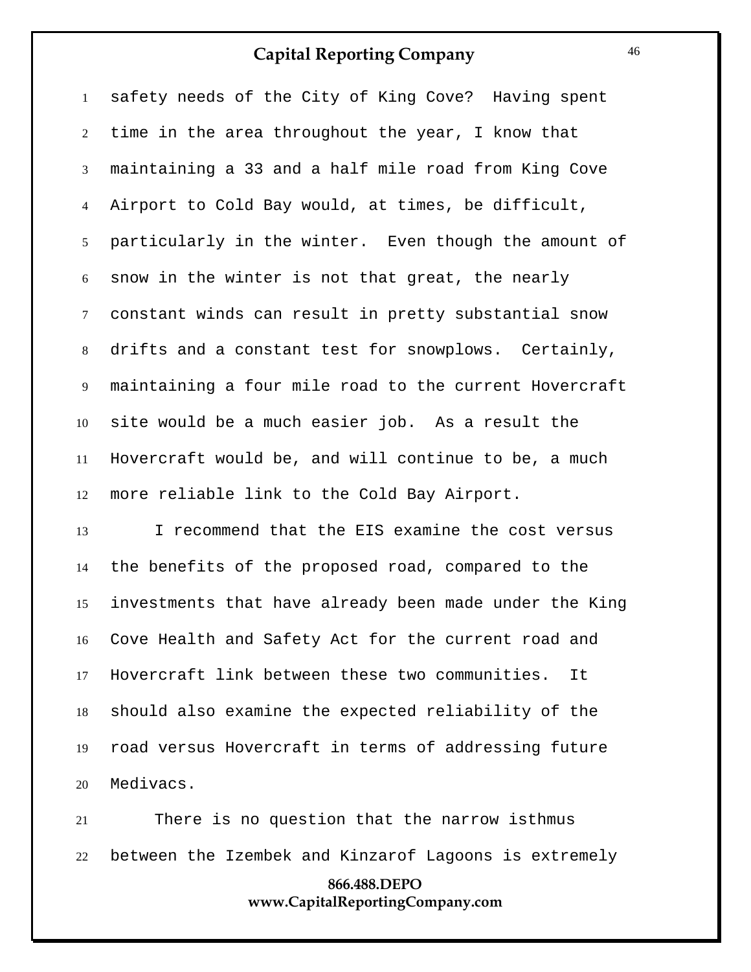safety needs of the City of King Cove? Having spent time in the area throughout the year, I know that maintaining a 33 and a half mile road from King Cove Airport to Cold Bay would, at times, be difficult, particularly in the winter. Even though the amount of snow in the winter is not that great, the nearly constant winds can result in pretty substantial snow drifts and a constant test for snowplows. Certainly, maintaining a four mile road to the current Hovercraft site would be a much easier job. As a result the Hovercraft would be, and will continue to be, a much more reliable link to the Cold Bay Airport.

 I recommend that the EIS examine the cost versus the benefits of the proposed road, compared to the investments that have already been made under the King Cove Health and Safety Act for the current road and Hovercraft link between these two communities. It should also examine the expected reliability of the road versus Hovercraft in terms of addressing future Medivacs.

**866.488.DEPO www.CapitalReportingCompany.com** There is no question that the narrow isthmus between the Izembek and Kinzarof Lagoons is extremely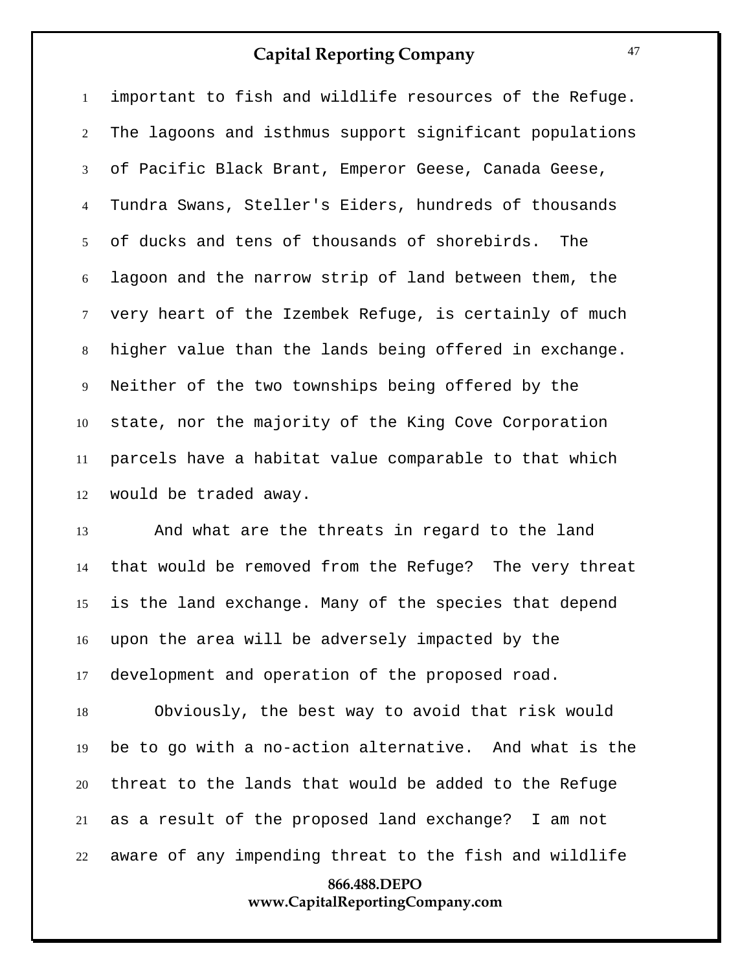important to fish and wildlife resources of the Refuge. The lagoons and isthmus support significant populations of Pacific Black Brant, Emperor Geese, Canada Geese, Tundra Swans, Steller's Eiders, hundreds of thousands of ducks and tens of thousands of shorebirds. The lagoon and the narrow strip of land between them, the very heart of the Izembek Refuge, is certainly of much higher value than the lands being offered in exchange. Neither of the two townships being offered by the state, nor the majority of the King Cove Corporation parcels have a habitat value comparable to that which would be traded away.

 And what are the threats in regard to the land that would be removed from the Refuge? The very threat is the land exchange. Many of the species that depend upon the area will be adversely impacted by the development and operation of the proposed road.

 Obviously, the best way to avoid that risk would be to go with a no-action alternative. And what is the threat to the lands that would be added to the Refuge as a result of the proposed land exchange? I am not aware of any impending threat to the fish and wildlife

## **866.488.DEPO www.CapitalReportingCompany.com**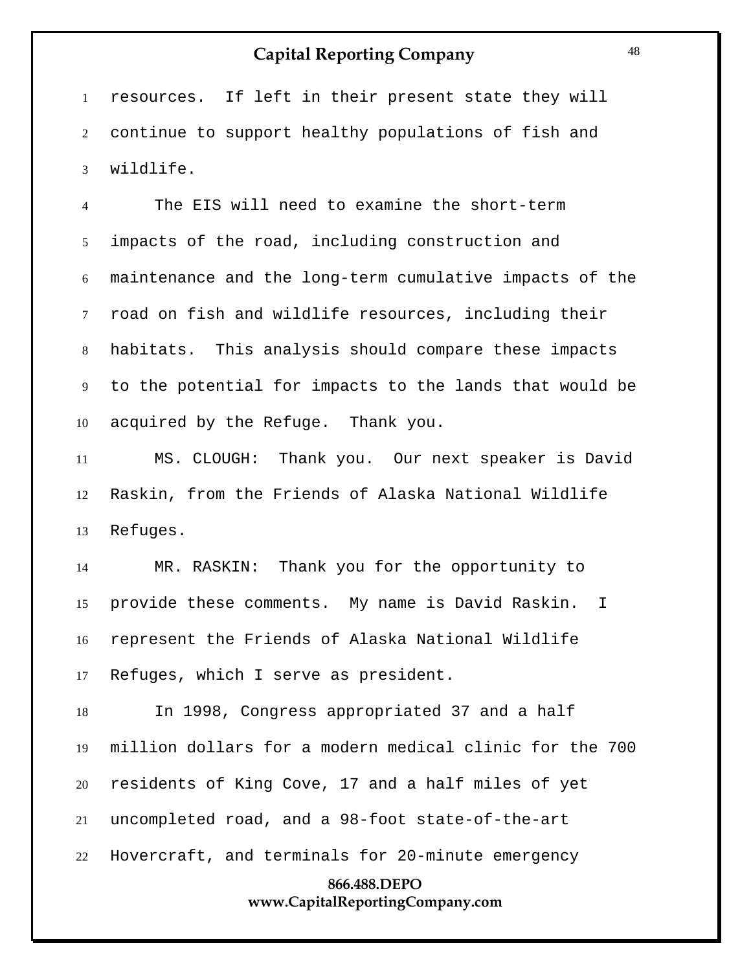resources. If left in their present state they will continue to support healthy populations of fish and wildlife.

 The EIS will need to examine the short-term impacts of the road, including construction and maintenance and the long-term cumulative impacts of the road on fish and wildlife resources, including their habitats. This analysis should compare these impacts to the potential for impacts to the lands that would be acquired by the Refuge. Thank you.

 MS. CLOUGH: Thank you. Our next speaker is David Raskin, from the Friends of Alaska National Wildlife Refuges.

 MR. RASKIN: Thank you for the opportunity to provide these comments. My name is David Raskin. I represent the Friends of Alaska National Wildlife Refuges, which I serve as president.

 In 1998, Congress appropriated 37 and a half million dollars for a modern medical clinic for the 700 residents of King Cove, 17 and a half miles of yet uncompleted road, and a 98-foot state-of-the-art Hovercraft, and terminals for 20-minute emergency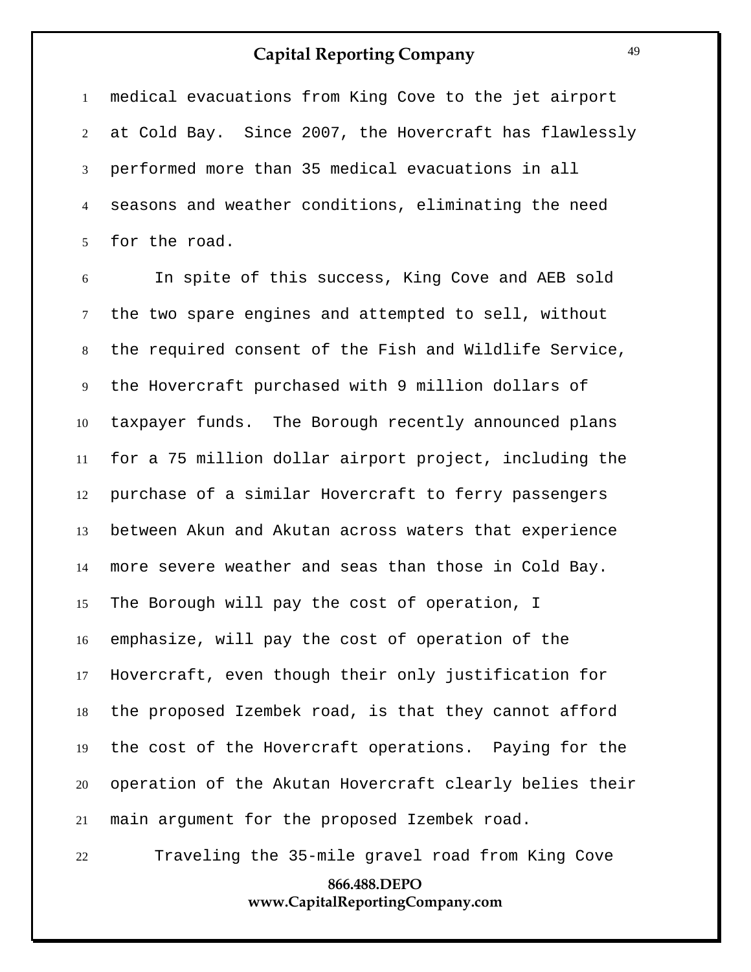medical evacuations from King Cove to the jet airport at Cold Bay. Since 2007, the Hovercraft has flawlessly performed more than 35 medical evacuations in all seasons and weather conditions, eliminating the need for the road.

 In spite of this success, King Cove and AEB sold the two spare engines and attempted to sell, without the required consent of the Fish and Wildlife Service, the Hovercraft purchased with 9 million dollars of taxpayer funds. The Borough recently announced plans for a 75 million dollar airport project, including the purchase of a similar Hovercraft to ferry passengers between Akun and Akutan across waters that experience more severe weather and seas than those in Cold Bay. The Borough will pay the cost of operation, I emphasize, will pay the cost of operation of the Hovercraft, even though their only justification for the proposed Izembek road, is that they cannot afford the cost of the Hovercraft operations. Paying for the operation of the Akutan Hovercraft clearly belies their main argument for the proposed Izembek road.

Traveling the 35-mile gravel road from King Cove

## **866.488.DEPO www.CapitalReportingCompany.com**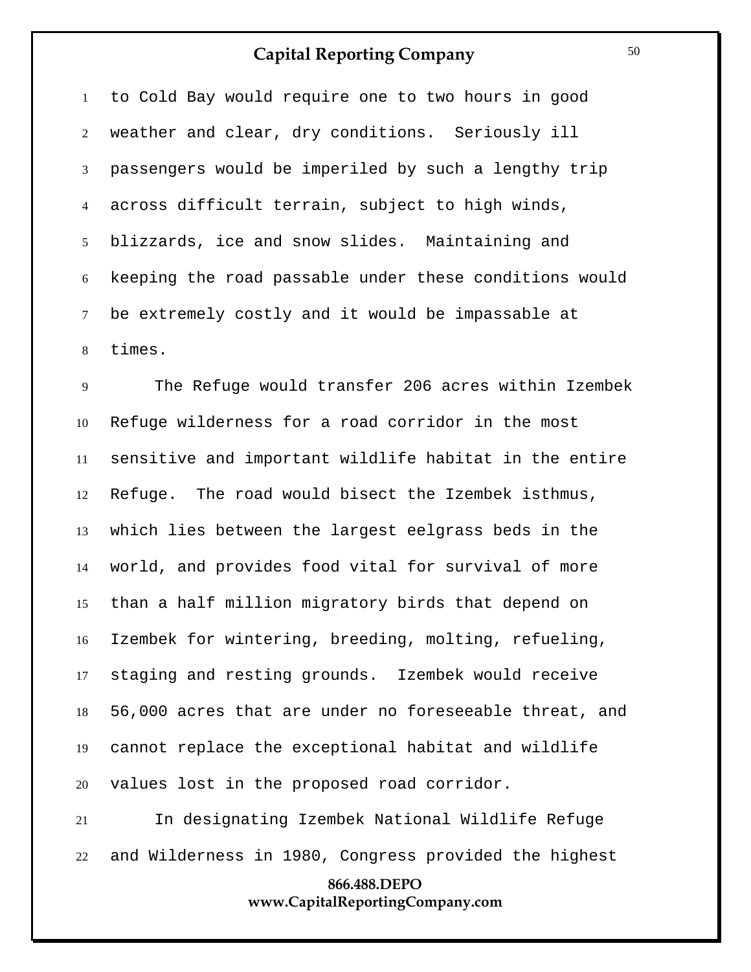to Cold Bay would require one to two hours in good weather and clear, dry conditions. Seriously ill passengers would be imperiled by such a lengthy trip across difficult terrain, subject to high winds, blizzards, ice and snow slides. Maintaining and keeping the road passable under these conditions would be extremely costly and it would be impassable at times.

 The Refuge would transfer 206 acres within Izembek Refuge wilderness for a road corridor in the most sensitive and important wildlife habitat in the entire Refuge. The road would bisect the Izembek isthmus, which lies between the largest eelgrass beds in the world, and provides food vital for survival of more than a half million migratory birds that depend on Izembek for wintering, breeding, molting, refueling, staging and resting grounds. Izembek would receive 56,000 acres that are under no foreseeable threat, and cannot replace the exceptional habitat and wildlife values lost in the proposed road corridor.

 In designating Izembek National Wildlife Refuge and Wilderness in 1980, Congress provided the highest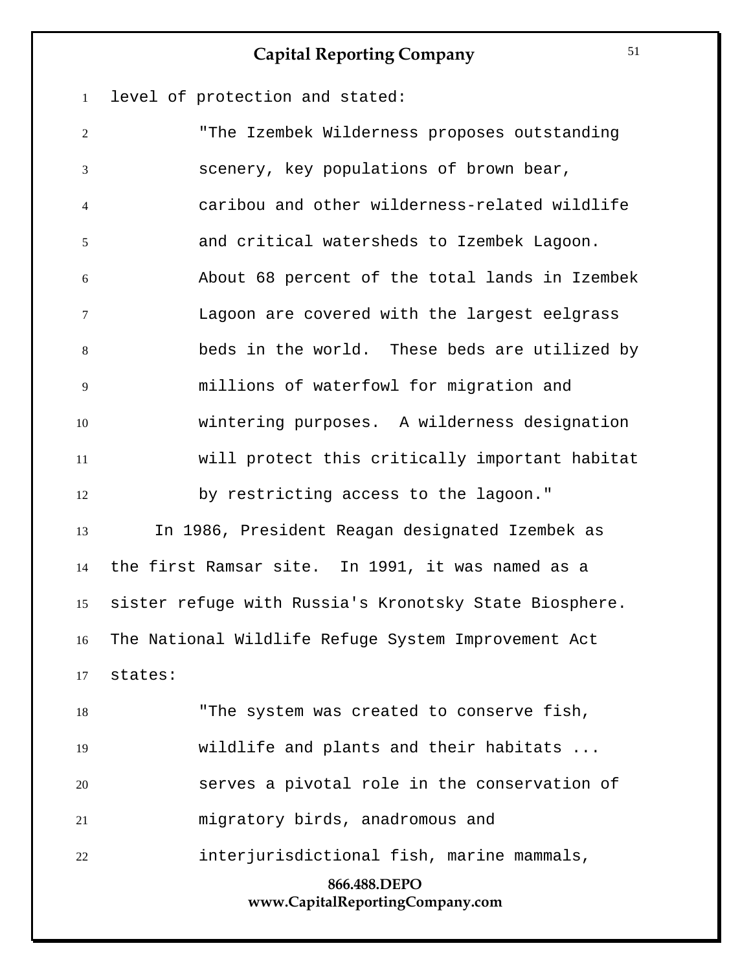level of protection and stated:

**866.488.DEPO www.CapitalReportingCompany.com** "The Izembek Wilderness proposes outstanding scenery, key populations of brown bear, caribou and other wilderness-related wildlife and critical watersheds to Izembek Lagoon. About 68 percent of the total lands in Izembek Lagoon are covered with the largest eelgrass beds in the world. These beds are utilized by millions of waterfowl for migration and wintering purposes. A wilderness designation will protect this critically important habitat by restricting access to the lagoon." In 1986, President Reagan designated Izembek as the first Ramsar site. In 1991, it was named as a sister refuge with Russia's Kronotsky State Biosphere. The National Wildlife Refuge System Improvement Act states: "The system was created to conserve fish, wildlife and plants and their habitats ... serves a pivotal role in the conservation of migratory birds, anadromous and interjurisdictional fish, marine mammals,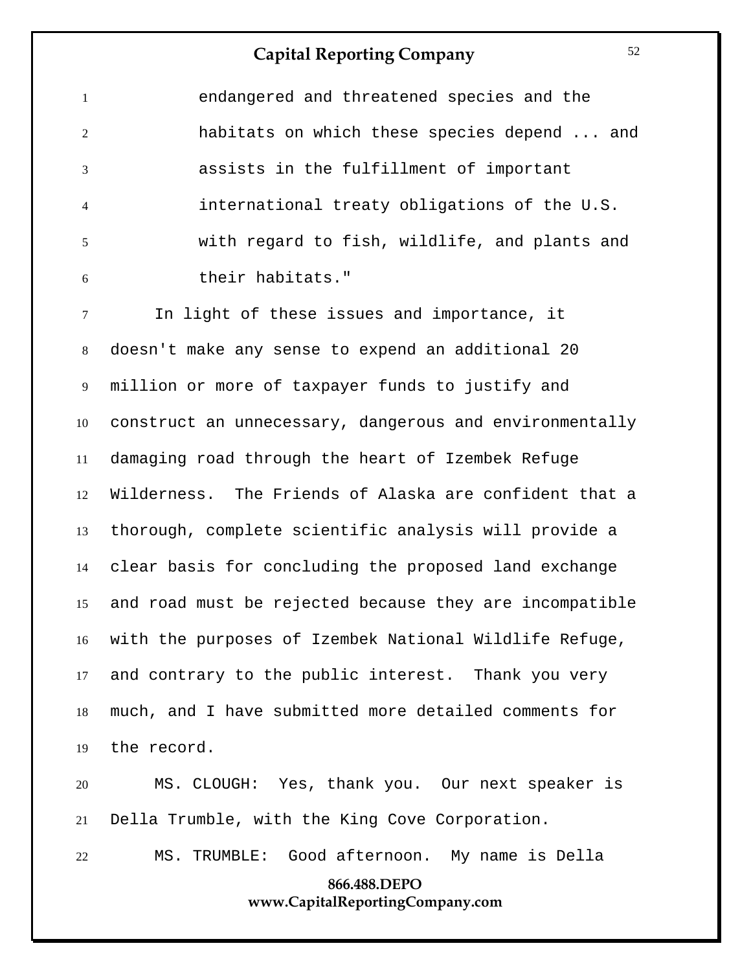endangered and threatened species and the habitats on which these species depend ... and assists in the fulfillment of important international treaty obligations of the U.S. with regard to fish, wildlife, and plants and their habitats."

 In light of these issues and importance, it doesn't make any sense to expend an additional 20 million or more of taxpayer funds to justify and construct an unnecessary, dangerous and environmentally damaging road through the heart of Izembek Refuge Wilderness. The Friends of Alaska are confident that a thorough, complete scientific analysis will provide a clear basis for concluding the proposed land exchange and road must be rejected because they are incompatible with the purposes of Izembek National Wildlife Refuge, and contrary to the public interest. Thank you very much, and I have submitted more detailed comments for the record.

 MS. CLOUGH: Yes, thank you. Our next speaker is Della Trumble, with the King Cove Corporation.

MS. TRUMBLE: Good afternoon. My name is Della

## **866.488.DEPO www.CapitalReportingCompany.com**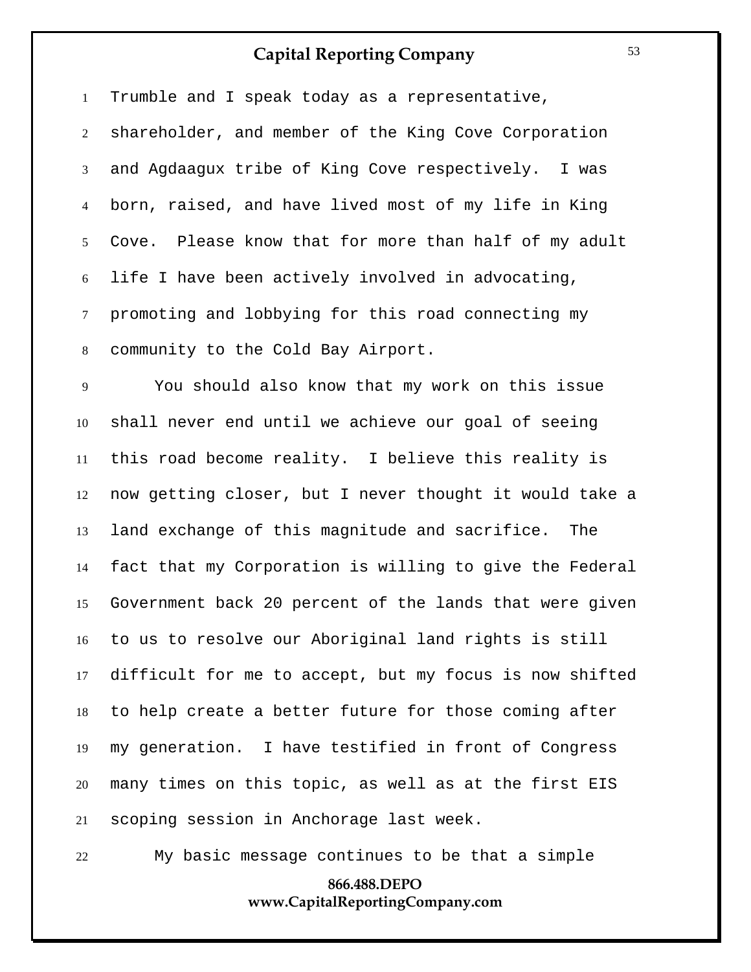Trumble and I speak today as a representative, shareholder, and member of the King Cove Corporation and Agdaagux tribe of King Cove respectively. I was born, raised, and have lived most of my life in King Cove. Please know that for more than half of my adult life I have been actively involved in advocating, promoting and lobbying for this road connecting my community to the Cold Bay Airport.

 You should also know that my work on this issue shall never end until we achieve our goal of seeing this road become reality. I believe this reality is now getting closer, but I never thought it would take a land exchange of this magnitude and sacrifice. The fact that my Corporation is willing to give the Federal Government back 20 percent of the lands that were given to us to resolve our Aboriginal land rights is still difficult for me to accept, but my focus is now shifted to help create a better future for those coming after my generation. I have testified in front of Congress many times on this topic, as well as at the first EIS scoping session in Anchorage last week.

My basic message continues to be that a simple

## **866.488.DEPO www.CapitalReportingCompany.com**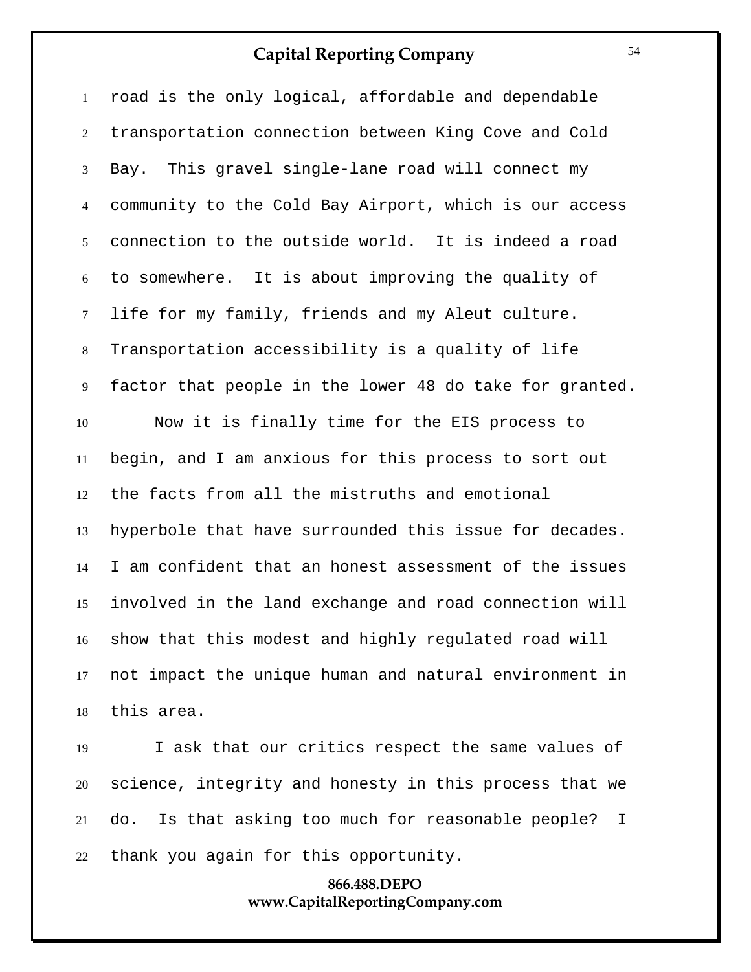road is the only logical, affordable and dependable transportation connection between King Cove and Cold Bay. This gravel single-lane road will connect my community to the Cold Bay Airport, which is our access connection to the outside world. It is indeed a road to somewhere. It is about improving the quality of life for my family, friends and my Aleut culture. Transportation accessibility is a quality of life factor that people in the lower 48 do take for granted. Now it is finally time for the EIS process to begin, and I am anxious for this process to sort out the facts from all the mistruths and emotional hyperbole that have surrounded this issue for decades. I am confident that an honest assessment of the issues involved in the land exchange and road connection will show that this modest and highly regulated road will not impact the unique human and natural environment in this area. I ask that our critics respect the same values of

 science, integrity and honesty in this process that we do. Is that asking too much for reasonable people? I thank you again for this opportunity.

## **866.488.DEPO www.CapitalReportingCompany.com**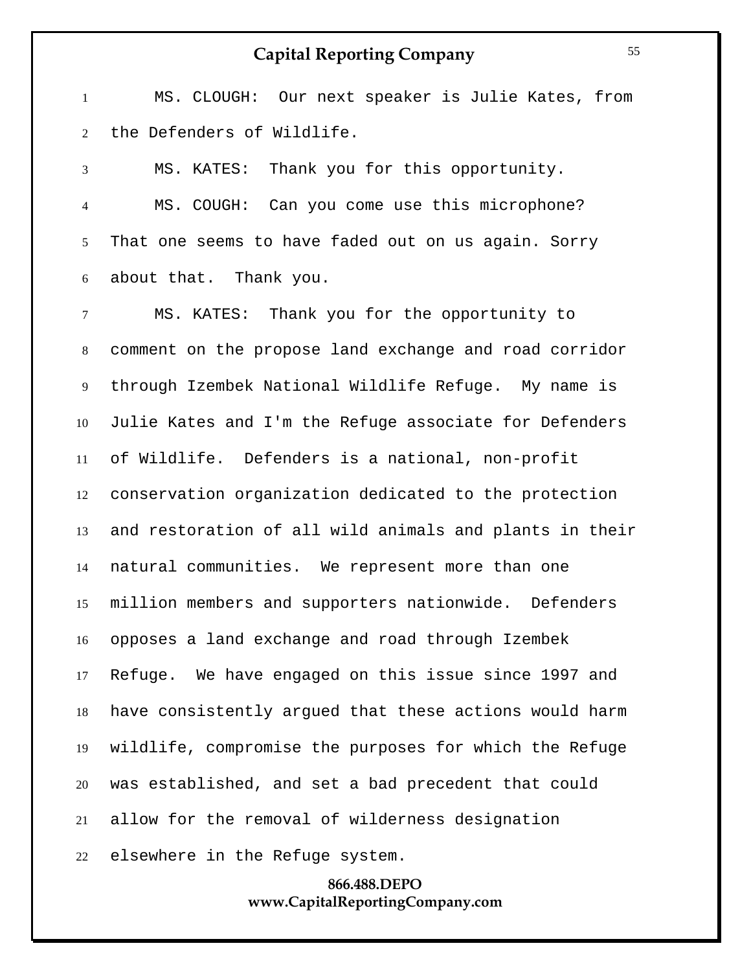MS. CLOUGH: Our next speaker is Julie Kates, from the Defenders of Wildlife.

 MS. KATES: Thank you for this opportunity. MS. COUGH: Can you come use this microphone? That one seems to have faded out on us again. Sorry about that. Thank you.

 MS. KATES: Thank you for the opportunity to comment on the propose land exchange and road corridor through Izembek National Wildlife Refuge. My name is Julie Kates and I'm the Refuge associate for Defenders of Wildlife. Defenders is a national, non-profit conservation organization dedicated to the protection and restoration of all wild animals and plants in their natural communities. We represent more than one million members and supporters nationwide. Defenders opposes a land exchange and road through Izembek Refuge. We have engaged on this issue since 1997 and have consistently argued that these actions would harm wildlife, compromise the purposes for which the Refuge was established, and set a bad precedent that could allow for the removal of wilderness designation

## **866.488.DEPO www.CapitalReportingCompany.com**

elsewhere in the Refuge system.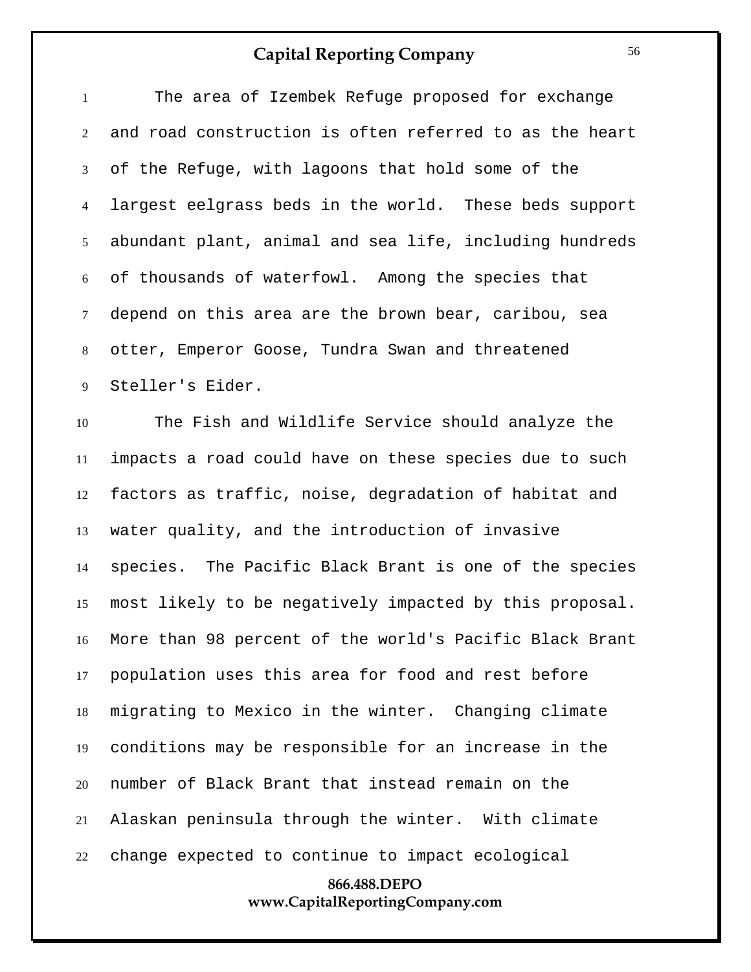| $\mathbf{1}$   | The area of Izembek Refuge proposed for exchange           |
|----------------|------------------------------------------------------------|
| $\overline{2}$ | and road construction is often referred to as the heart    |
| 3              | of the Refuge, with lagoons that hold some of the          |
| $\overline{4}$ | largest eelgrass beds in the world. These beds support     |
| 5 <sup>5</sup> | abundant plant, animal and sea life, including hundreds    |
| 6              | of thousands of waterfowl. Among the species that          |
| $\tau$         | depend on this area are the brown bear, caribou, sea       |
| 8              | otter, Emperor Goose, Tundra Swan and threatened           |
| 9              | Steller's Eider.                                           |
| 10             | The Fish and Wildlife Service should analyze the           |
| 11             | impacts a road could have on these species due to such     |
| 12             | factors as traffic, noise, degradation of habitat and      |
| 13             | water quality, and the introduction of invasive            |
| 14             | species. The Pacific Black Brant is one of the species     |
| 15             | most likely to be negatively impacted by this proposal.    |
|                | 16 More than 98 percent of the world's Pacific Black Brant |
| 17             | population uses this area for food and rest before         |
| 18             | migrating to Mexico in the winter. Changing climate        |
| 19             | conditions may be responsible for an increase in the       |
| 20             | number of Black Brant that instead remain on the           |
| 21             | Alaskan peninsula through the winter. With climate         |
| 22             | change expected to continue to impact ecological           |

# **866.488.DEPO www.CapitalReportingCompany.com**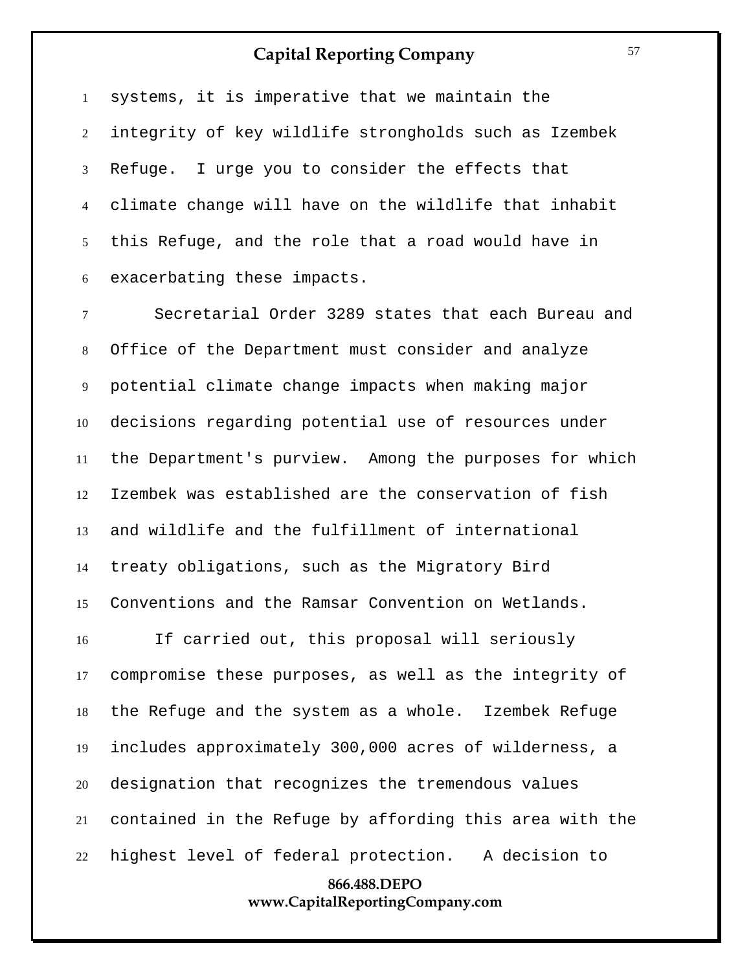systems, it is imperative that we maintain the integrity of key wildlife strongholds such as Izembek Refuge. I urge you to consider the effects that climate change will have on the wildlife that inhabit this Refuge, and the role that a road would have in exacerbating these impacts.

 Secretarial Order 3289 states that each Bureau and Office of the Department must consider and analyze potential climate change impacts when making major decisions regarding potential use of resources under the Department's purview. Among the purposes for which Izembek was established are the conservation of fish and wildlife and the fulfillment of international treaty obligations, such as the Migratory Bird Conventions and the Ramsar Convention on Wetlands.

 If carried out, this proposal will seriously compromise these purposes, as well as the integrity of the Refuge and the system as a whole. Izembek Refuge includes approximately 300,000 acres of wilderness, a designation that recognizes the tremendous values contained in the Refuge by affording this area with the highest level of federal protection. A decision to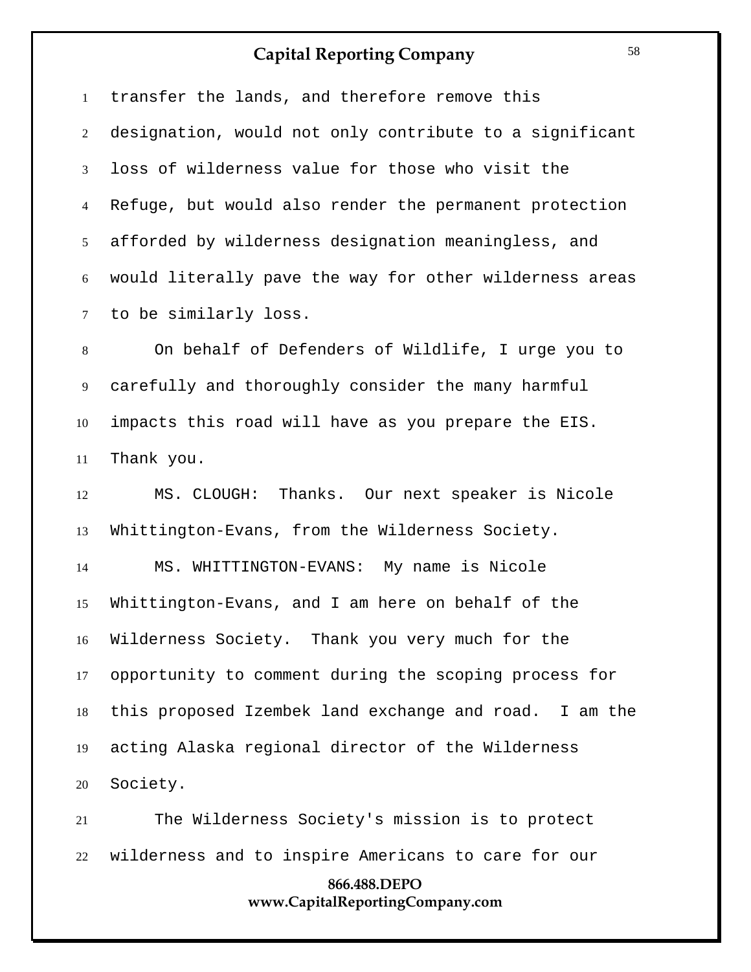transfer the lands, and therefore remove this designation, would not only contribute to a significant loss of wilderness value for those who visit the Refuge, but would also render the permanent protection afforded by wilderness designation meaningless, and would literally pave the way for other wilderness areas to be similarly loss.

 On behalf of Defenders of Wildlife, I urge you to carefully and thoroughly consider the many harmful impacts this road will have as you prepare the EIS. Thank you.

 MS. CLOUGH: Thanks. Our next speaker is Nicole Whittington-Evans, from the Wilderness Society.

 MS. WHITTINGTON-EVANS: My name is Nicole Whittington-Evans, and I am here on behalf of the Wilderness Society. Thank you very much for the opportunity to comment during the scoping process for this proposed Izembek land exchange and road. I am the acting Alaska regional director of the Wilderness Society.

 The Wilderness Society's mission is to protect wilderness and to inspire Americans to care for our

## **866.488.DEPO www.CapitalReportingCompany.com**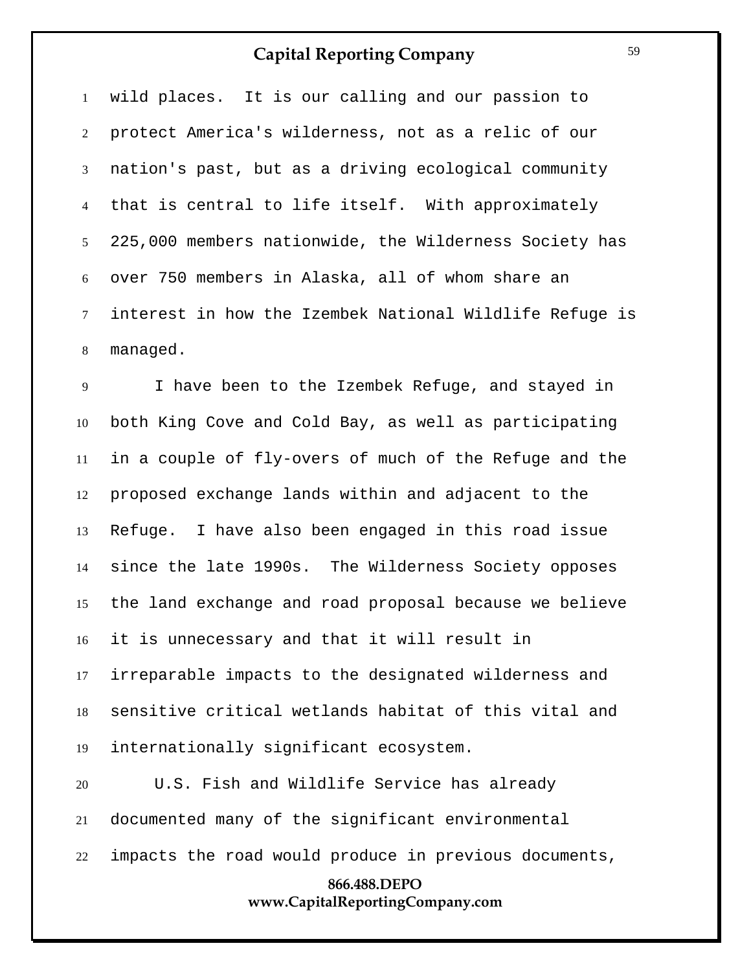wild places. It is our calling and our passion to protect America's wilderness, not as a relic of our nation's past, but as a driving ecological community that is central to life itself. With approximately 225,000 members nationwide, the Wilderness Society has over 750 members in Alaska, all of whom share an interest in how the Izembek National Wildlife Refuge is managed.

 I have been to the Izembek Refuge, and stayed in both King Cove and Cold Bay, as well as participating in a couple of fly-overs of much of the Refuge and the proposed exchange lands within and adjacent to the Refuge. I have also been engaged in this road issue since the late 1990s. The Wilderness Society opposes the land exchange and road proposal because we believe it is unnecessary and that it will result in irreparable impacts to the designated wilderness and sensitive critical wetlands habitat of this vital and internationally significant ecosystem.

**866.488.DEPO www.CapitalReportingCompany.com** U.S. Fish and Wildlife Service has already documented many of the significant environmental impacts the road would produce in previous documents,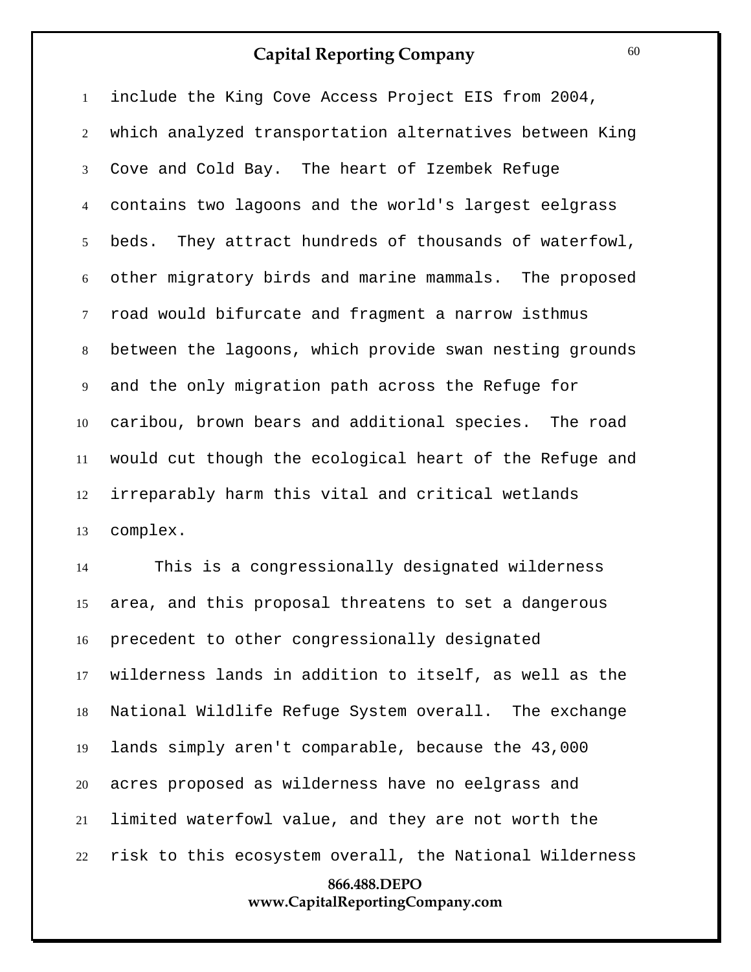include the King Cove Access Project EIS from 2004, which analyzed transportation alternatives between King Cove and Cold Bay. The heart of Izembek Refuge contains two lagoons and the world's largest eelgrass beds. They attract hundreds of thousands of waterfowl, other migratory birds and marine mammals. The proposed road would bifurcate and fragment a narrow isthmus between the lagoons, which provide swan nesting grounds and the only migration path across the Refuge for caribou, brown bears and additional species. The road would cut though the ecological heart of the Refuge and irreparably harm this vital and critical wetlands complex.

**866.488.DEPO** This is a congressionally designated wilderness area, and this proposal threatens to set a dangerous precedent to other congressionally designated wilderness lands in addition to itself, as well as the National Wildlife Refuge System overall. The exchange lands simply aren't comparable, because the 43,000 acres proposed as wilderness have no eelgrass and limited waterfowl value, and they are not worth the risk to this ecosystem overall, the National Wilderness

#### **www.CapitalReportingCompany.com**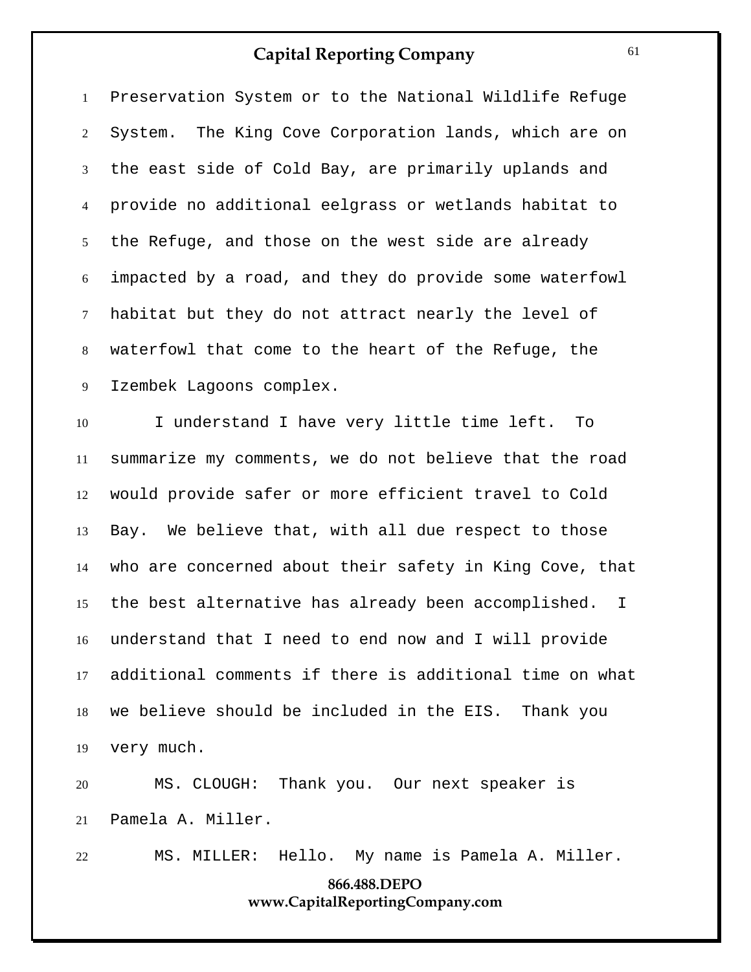Preservation System or to the National Wildlife Refuge System. The King Cove Corporation lands, which are on the east side of Cold Bay, are primarily uplands and provide no additional eelgrass or wetlands habitat to the Refuge, and those on the west side are already impacted by a road, and they do provide some waterfowl habitat but they do not attract nearly the level of waterfowl that come to the heart of the Refuge, the Izembek Lagoons complex.

 I understand I have very little time left. To summarize my comments, we do not believe that the road would provide safer or more efficient travel to Cold Bay. We believe that, with all due respect to those who are concerned about their safety in King Cove, that the best alternative has already been accomplished. I understand that I need to end now and I will provide additional comments if there is additional time on what we believe should be included in the EIS. Thank you very much.

 MS. CLOUGH: Thank you. Our next speaker is Pamela A. Miller.

```
22 MS. MILLER: Hello. My name is Pamela A. Miller.
```
## **866.488.DEPO www.CapitalReportingCompany.com**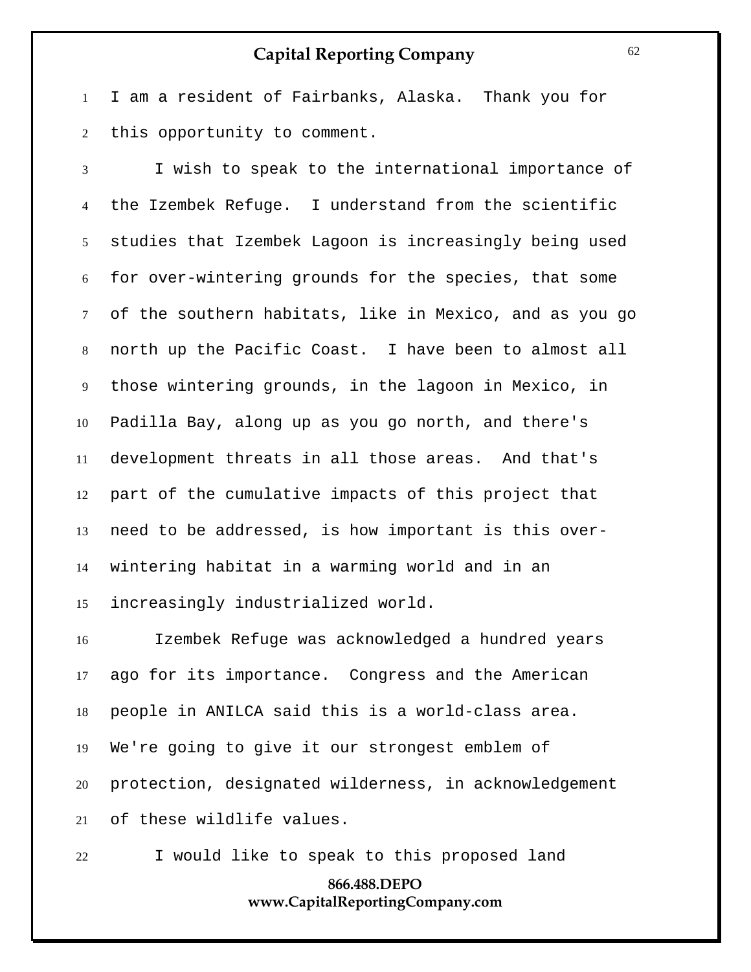I am a resident of Fairbanks, Alaska. Thank you for this opportunity to comment.

 I wish to speak to the international importance of the Izembek Refuge. I understand from the scientific studies that Izembek Lagoon is increasingly being used for over-wintering grounds for the species, that some of the southern habitats, like in Mexico, and as you go north up the Pacific Coast. I have been to almost all those wintering grounds, in the lagoon in Mexico, in Padilla Bay, along up as you go north, and there's development threats in all those areas. And that's part of the cumulative impacts of this project that need to be addressed, is how important is this over- wintering habitat in a warming world and in an increasingly industrialized world.

 Izembek Refuge was acknowledged a hundred years ago for its importance. Congress and the American people in ANILCA said this is a world-class area. We're going to give it our strongest emblem of protection, designated wilderness, in acknowledgement of these wildlife values.

I would like to speak to this proposed land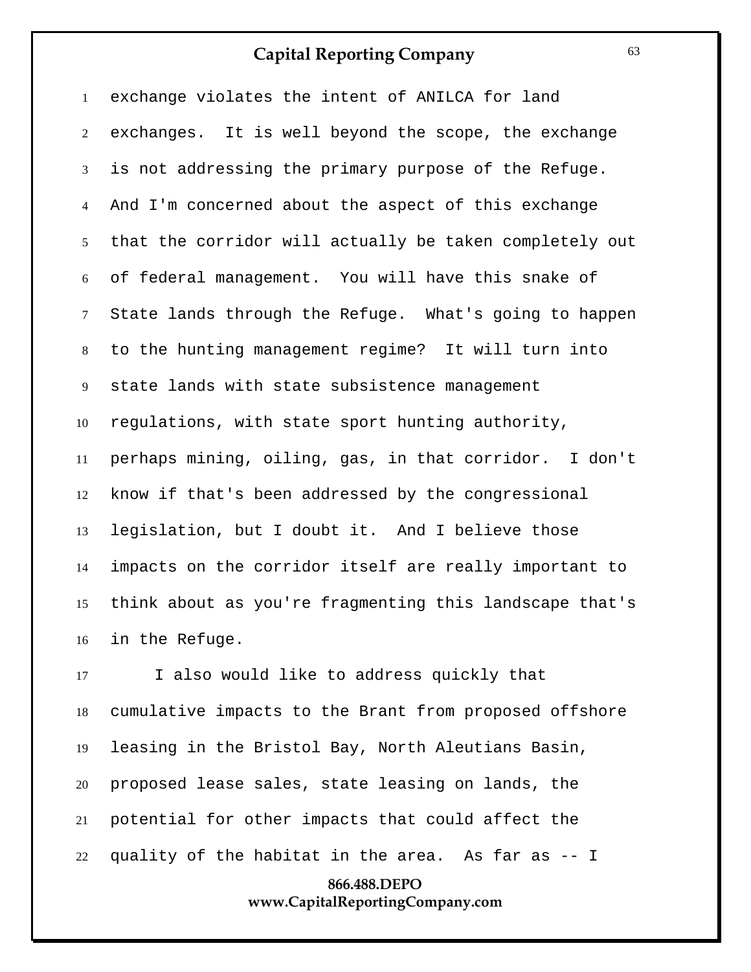exchange violates the intent of ANILCA for land exchanges. It is well beyond the scope, the exchange is not addressing the primary purpose of the Refuge. And I'm concerned about the aspect of this exchange that the corridor will actually be taken completely out of federal management. You will have this snake of State lands through the Refuge. What's going to happen to the hunting management regime? It will turn into state lands with state subsistence management regulations, with state sport hunting authority, perhaps mining, oiling, gas, in that corridor. I don't know if that's been addressed by the congressional legislation, but I doubt it. And I believe those impacts on the corridor itself are really important to think about as you're fragmenting this landscape that's in the Refuge.

 I also would like to address quickly that cumulative impacts to the Brant from proposed offshore leasing in the Bristol Bay, North Aleutians Basin, proposed lease sales, state leasing on lands, the potential for other impacts that could affect the quality of the habitat in the area. As far as -- I

### **866.488.DEPO www.CapitalReportingCompany.com**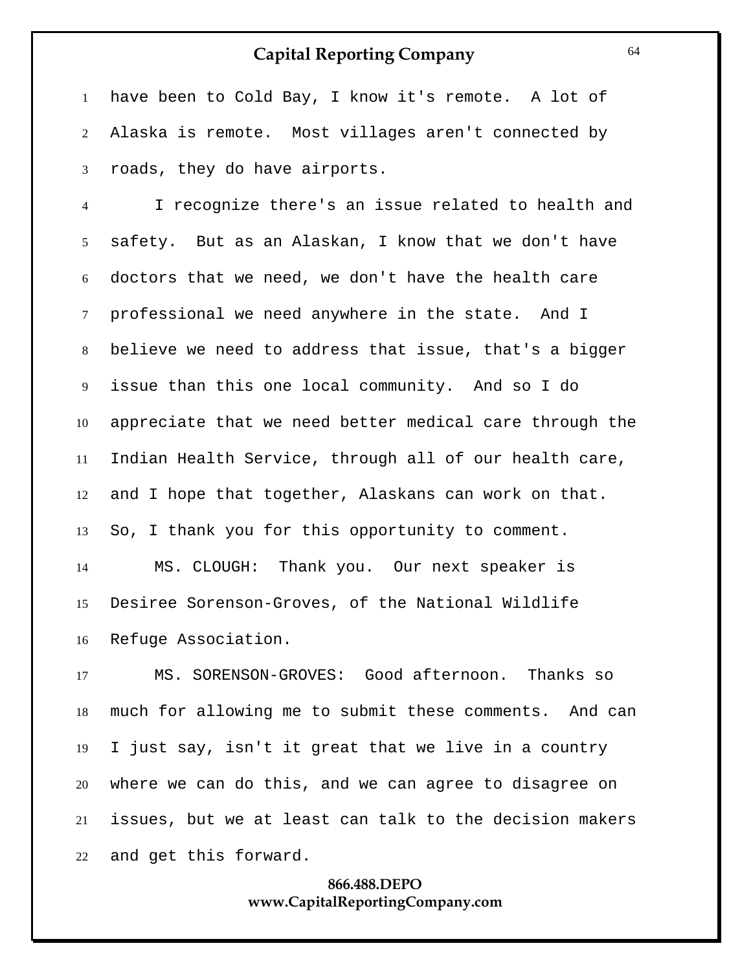have been to Cold Bay, I know it's remote. A lot of Alaska is remote. Most villages aren't connected by roads, they do have airports.

 I recognize there's an issue related to health and safety. But as an Alaskan, I know that we don't have doctors that we need, we don't have the health care professional we need anywhere in the state. And I believe we need to address that issue, that's a bigger issue than this one local community. And so I do appreciate that we need better medical care through the Indian Health Service, through all of our health care, and I hope that together, Alaskans can work on that. So, I thank you for this opportunity to comment.

 MS. CLOUGH: Thank you. Our next speaker is Desiree Sorenson-Groves, of the National Wildlife Refuge Association.

 MS. SORENSON-GROVES: Good afternoon. Thanks so much for allowing me to submit these comments. And can I just say, isn't it great that we live in a country where we can do this, and we can agree to disagree on issues, but we at least can talk to the decision makers and get this forward.

## **866.488.DEPO www.CapitalReportingCompany.com**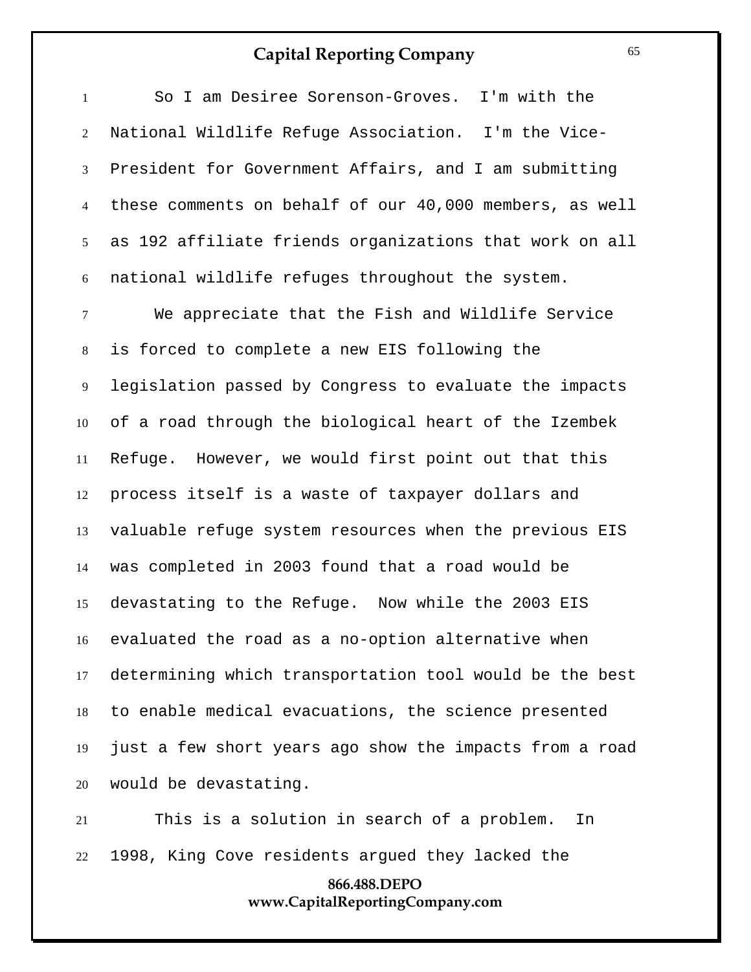| $\mathbf{1}$     | So I am Desiree Sorenson-Groves. I'm with the           |
|------------------|---------------------------------------------------------|
| 2                | National Wildlife Refuge Association. I'm the Vice-     |
| 3                | President for Government Affairs, and I am submitting   |
| $\overline{4}$   | these comments on behalf of our 40,000 members, as well |
| 5 <sup>5</sup>   | as 192 affiliate friends organizations that work on all |
| $\boldsymbol{6}$ | national wildlife refuges throughout the system.        |
| $\tau$           | We appreciate that the Fish and Wildlife Service        |
| $8\,$            | is forced to complete a new EIS following the           |
| 9                | legislation passed by Congress to evaluate the impacts  |
| 10               | of a road through the biological heart of the Izembek   |
| 11               | However, we would first point out that this<br>Refuge.  |
| 12               | process itself is a waste of taxpayer dollars and       |
| 13               | valuable refuge system resources when the previous EIS  |
| 14               | was completed in 2003 found that a road would be        |
| 15               | devastating to the Refuge. Now while the 2003 EIS       |
| 16               | evaluated the road as a no-option alternative when      |
| 17               | determining which transportation tool would be the best |
| 18               | to enable medical evacuations, the science presented    |
| 19               | just a few short years ago show the impacts from a road |
| 20               | would be devastating.                                   |

 This is a solution in search of a problem. In 1998, King Cove residents argued they lacked the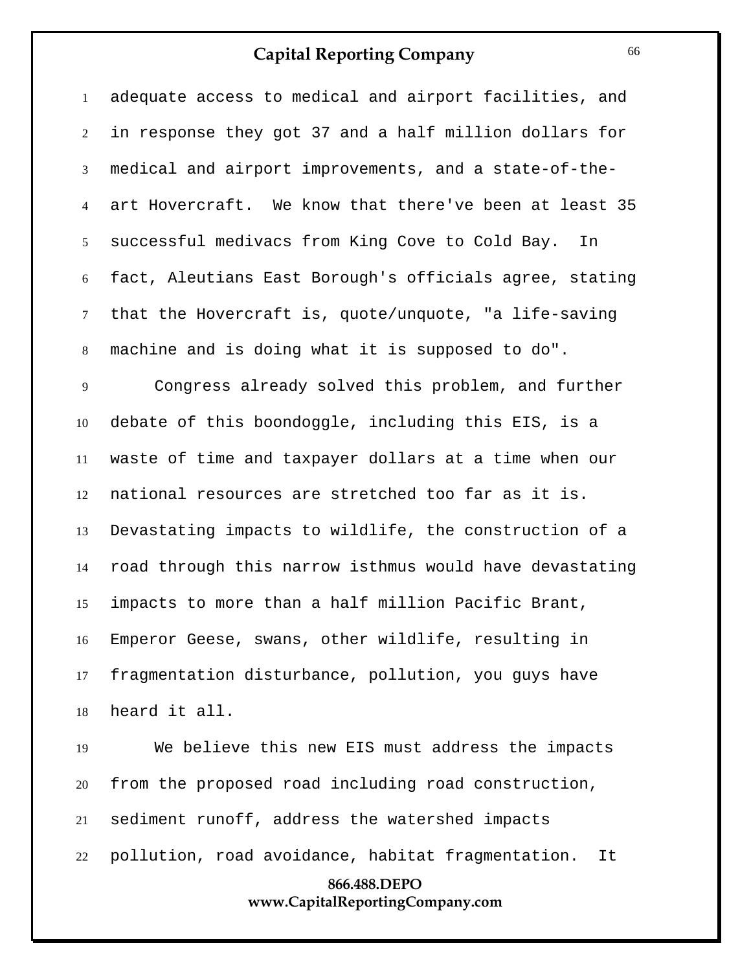adequate access to medical and airport facilities, and in response they got 37 and a half million dollars for medical and airport improvements, and a state-of-the- art Hovercraft. We know that there've been at least 35 successful medivacs from King Cove to Cold Bay. In fact, Aleutians East Borough's officials agree, stating that the Hovercraft is, quote/unquote, "a life-saving machine and is doing what it is supposed to do".

 Congress already solved this problem, and further debate of this boondoggle, including this EIS, is a waste of time and taxpayer dollars at a time when our national resources are stretched too far as it is. Devastating impacts to wildlife, the construction of a road through this narrow isthmus would have devastating impacts to more than a half million Pacific Brant, Emperor Geese, swans, other wildlife, resulting in fragmentation disturbance, pollution, you guys have heard it all.

**866.488.DEPO** We believe this new EIS must address the impacts from the proposed road including road construction, sediment runoff, address the watershed impacts pollution, road avoidance, habitat fragmentation. It

#### **www.CapitalReportingCompany.com**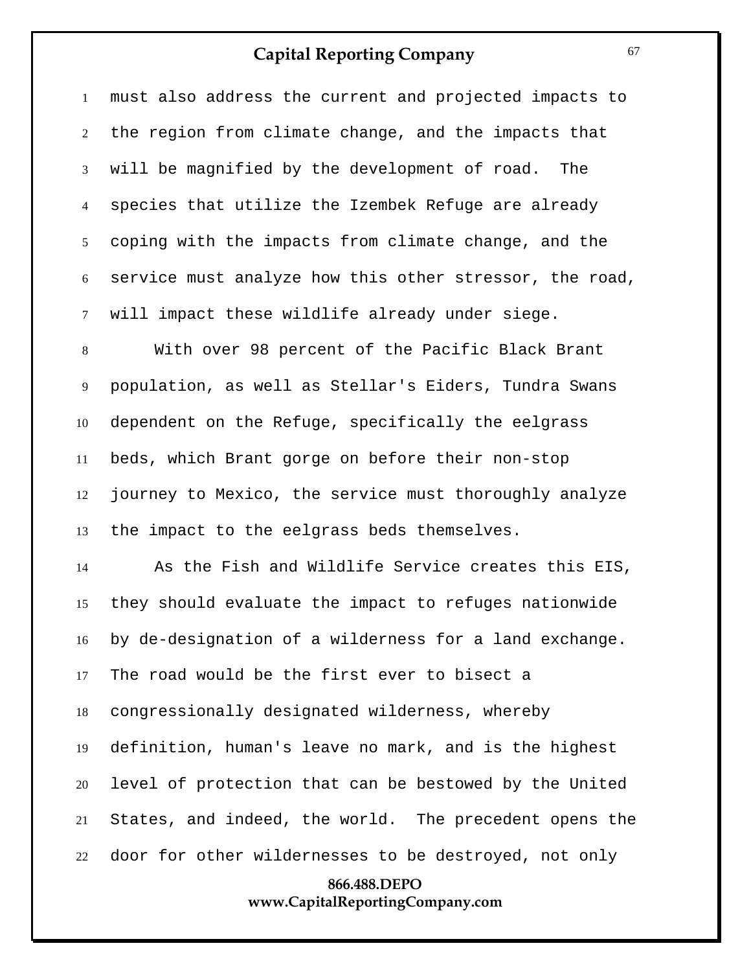must also address the current and projected impacts to the region from climate change, and the impacts that will be magnified by the development of road. The species that utilize the Izembek Refuge are already coping with the impacts from climate change, and the service must analyze how this other stressor, the road, will impact these wildlife already under siege.

 With over 98 percent of the Pacific Black Brant population, as well as Stellar's Eiders, Tundra Swans dependent on the Refuge, specifically the eelgrass beds, which Brant gorge on before their non-stop journey to Mexico, the service must thoroughly analyze the impact to the eelgrass beds themselves.

 As the Fish and Wildlife Service creates this EIS, they should evaluate the impact to refuges nationwide by de-designation of a wilderness for a land exchange. The road would be the first ever to bisect a congressionally designated wilderness, whereby definition, human's leave no mark, and is the highest level of protection that can be bestowed by the United States, and indeed, the world. The precedent opens the door for other wildernesses to be destroyed, not only

## **866.488.DEPO www.CapitalReportingCompany.com**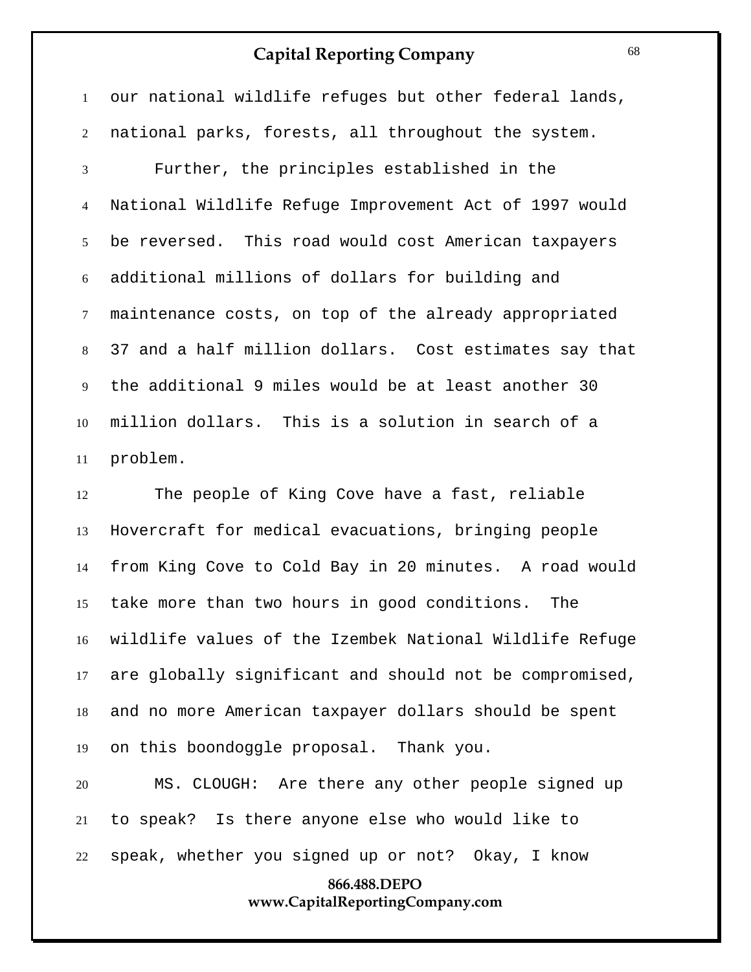our national wildlife refuges but other federal lands, national parks, forests, all throughout the system. Further, the principles established in the National Wildlife Refuge Improvement Act of 1997 would be reversed. This road would cost American taxpayers additional millions of dollars for building and maintenance costs, on top of the already appropriated 37 and a half million dollars. Cost estimates say that the additional 9 miles would be at least another 30 million dollars. This is a solution in search of a problem.

 The people of King Cove have a fast, reliable Hovercraft for medical evacuations, bringing people from King Cove to Cold Bay in 20 minutes. A road would take more than two hours in good conditions. The wildlife values of the Izembek National Wildlife Refuge are globally significant and should not be compromised, and no more American taxpayer dollars should be spent on this boondoggle proposal. Thank you.

 MS. CLOUGH: Are there any other people signed up to speak? Is there anyone else who would like to speak, whether you signed up or not? Okay, I know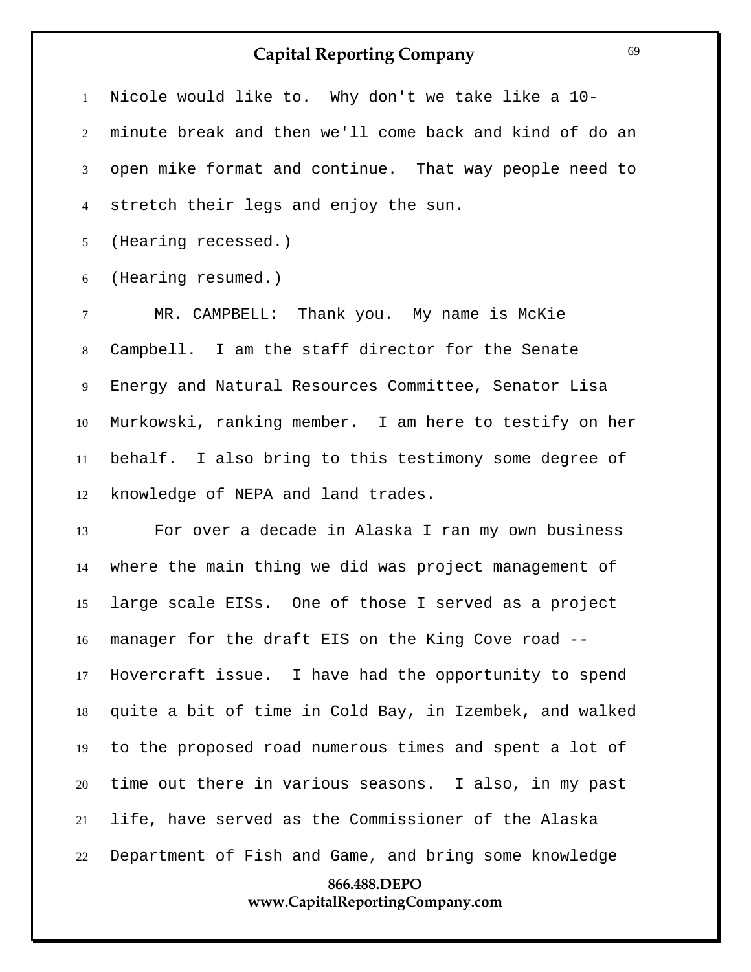Nicole would like to. Why don't we take like a 10- minute break and then we'll come back and kind of do an open mike format and continue. That way people need to stretch their legs and enjoy the sun.

(Hearing recessed.)

(Hearing resumed.)

 MR. CAMPBELL: Thank you. My name is McKie Campbell. I am the staff director for the Senate Energy and Natural Resources Committee, Senator Lisa Murkowski, ranking member. I am here to testify on her behalf. I also bring to this testimony some degree of knowledge of NEPA and land trades.

**866.488.DEPO** For over a decade in Alaska I ran my own business where the main thing we did was project management of large scale EISs. One of those I served as a project manager for the draft EIS on the King Cove road -- Hovercraft issue. I have had the opportunity to spend quite a bit of time in Cold Bay, in Izembek, and walked to the proposed road numerous times and spent a lot of time out there in various seasons. I also, in my past life, have served as the Commissioner of the Alaska Department of Fish and Game, and bring some knowledge

# **www.CapitalReportingCompany.com**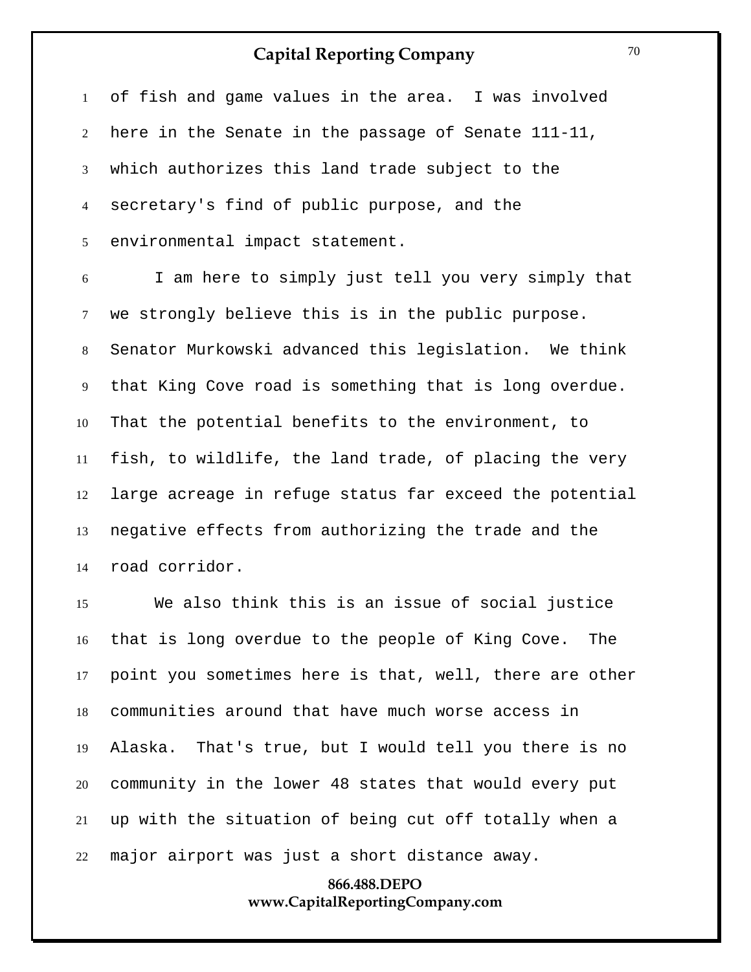of fish and game values in the area. I was involved here in the Senate in the passage of Senate 111-11, which authorizes this land trade subject to the secretary's find of public purpose, and the environmental impact statement.

 I am here to simply just tell you very simply that we strongly believe this is in the public purpose. Senator Murkowski advanced this legislation. We think that King Cove road is something that is long overdue. That the potential benefits to the environment, to fish, to wildlife, the land trade, of placing the very large acreage in refuge status far exceed the potential negative effects from authorizing the trade and the road corridor.

 We also think this is an issue of social justice that is long overdue to the people of King Cove. The point you sometimes here is that, well, there are other communities around that have much worse access in Alaska. That's true, but I would tell you there is no community in the lower 48 states that would every put up with the situation of being cut off totally when a major airport was just a short distance away.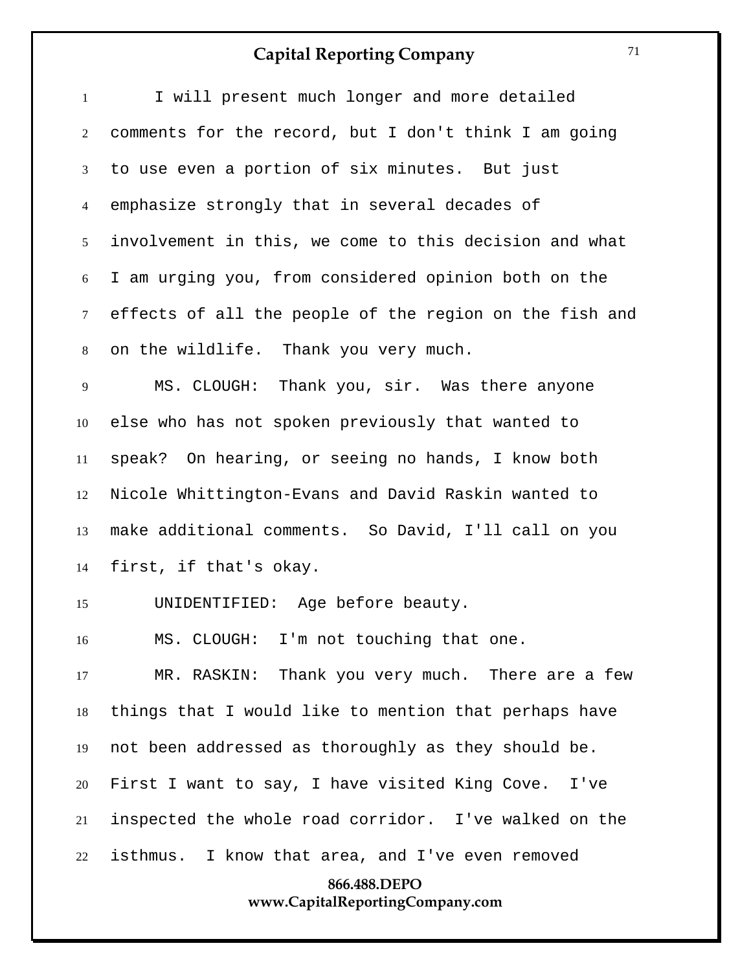| $\mathbf{1}$   | I will present much longer and more detailed            |
|----------------|---------------------------------------------------------|
| $\overline{2}$ | comments for the record, but I don't think I am going   |
| 3              | to use even a portion of six minutes. But just          |
| $\overline{4}$ | emphasize strongly that in several decades of           |
| 5 <sup>5</sup> | involvement in this, we come to this decision and what  |
| 6              | I am urging you, from considered opinion both on the    |
| $\tau$         | effects of all the people of the region on the fish and |
| 8              | on the wildlife. Thank you very much.                   |
| 9              | MS. CLOUGH: Thank you, sir. Was there anyone            |
| 10             | else who has not spoken previously that wanted to       |
| 11             | speak? On hearing, or seeing no hands, I know both      |
| 12             | Nicole Whittington-Evans and David Raskin wanted to     |
| 13             | make additional comments. So David, I'll call on you    |
| 14             | first, if that's okay.                                  |
| 15             | UNIDENTIFIED: Age before beauty.                        |
| 16             | MS. CLOUGH: I'm not touching that one.                  |
| 17             | MR. RASKIN: Thank you very much. There are a few        |
| 18             | things that I would like to mention that perhaps have   |
| 19             | not been addressed as thoroughly as they should be.     |
| 20             | First I want to say, I have visited King Cove. I've     |
| 21             | inspected the whole road corridor. I've walked on the   |
| 22             | isthmus. I know that area, and I've even removed        |
|                | 866.488.DEPO<br>www.CapitalReportingCompany.com         |
|                |                                                         |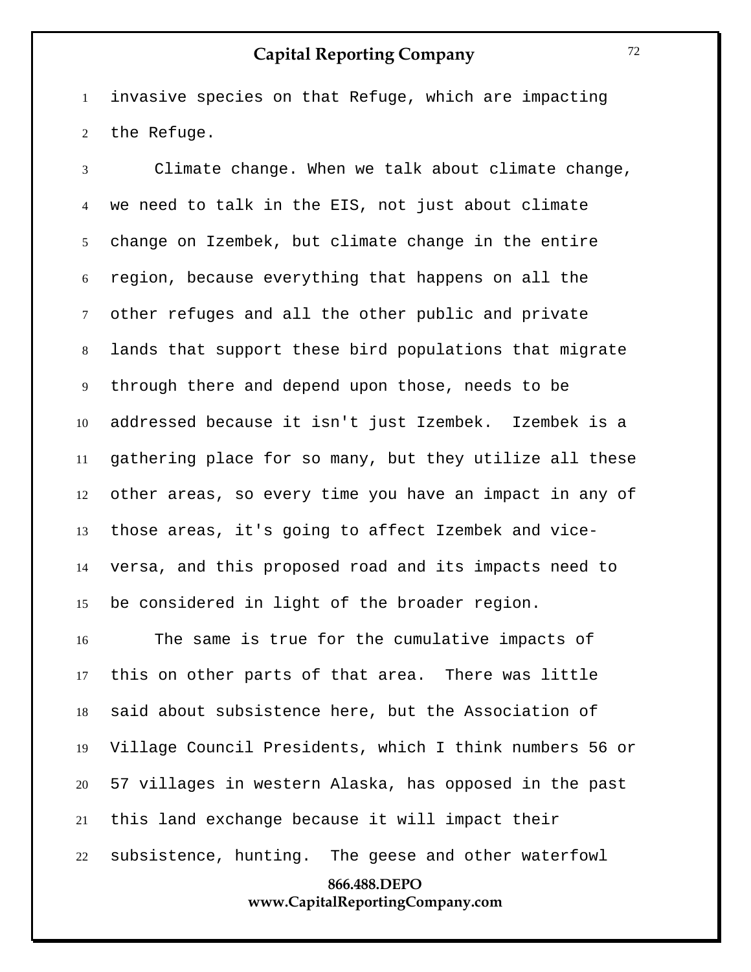invasive species on that Refuge, which are impacting the Refuge.

 Climate change. When we talk about climate change, we need to talk in the EIS, not just about climate change on Izembek, but climate change in the entire region, because everything that happens on all the other refuges and all the other public and private lands that support these bird populations that migrate through there and depend upon those, needs to be addressed because it isn't just Izembek. Izembek is a gathering place for so many, but they utilize all these other areas, so every time you have an impact in any of those areas, it's going to affect Izembek and vice- versa, and this proposed road and its impacts need to be considered in light of the broader region.

 The same is true for the cumulative impacts of this on other parts of that area. There was little said about subsistence here, but the Association of Village Council Presidents, which I think numbers 56 or 57 villages in western Alaska, has opposed in the past this land exchange because it will impact their subsistence, hunting. The geese and other waterfowl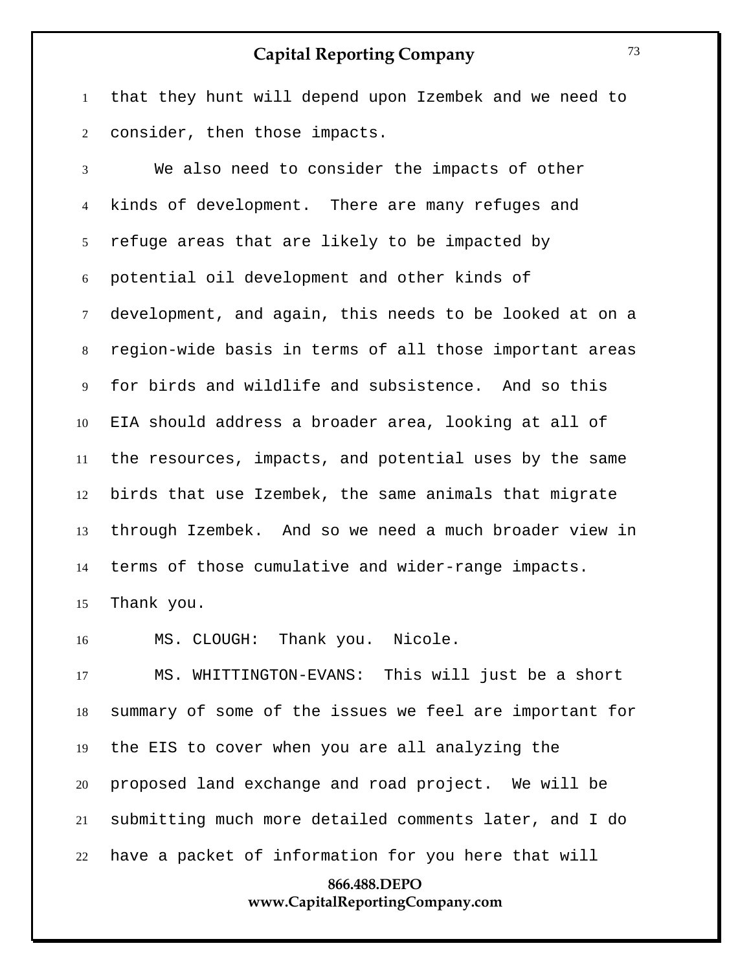that they hunt will depend upon Izembek and we need to consider, then those impacts.

 We also need to consider the impacts of other kinds of development. There are many refuges and refuge areas that are likely to be impacted by potential oil development and other kinds of development, and again, this needs to be looked at on a region-wide basis in terms of all those important areas for birds and wildlife and subsistence. And so this EIA should address a broader area, looking at all of the resources, impacts, and potential uses by the same birds that use Izembek, the same animals that migrate through Izembek. And so we need a much broader view in terms of those cumulative and wider-range impacts. Thank you.

MS. CLOUGH: Thank you. Nicole.

 MS. WHITTINGTON-EVANS: This will just be a short summary of some of the issues we feel are important for the EIS to cover when you are all analyzing the proposed land exchange and road project. We will be submitting much more detailed comments later, and I do have a packet of information for you here that will

#### **866.488.DEPO www.CapitalReportingCompany.com**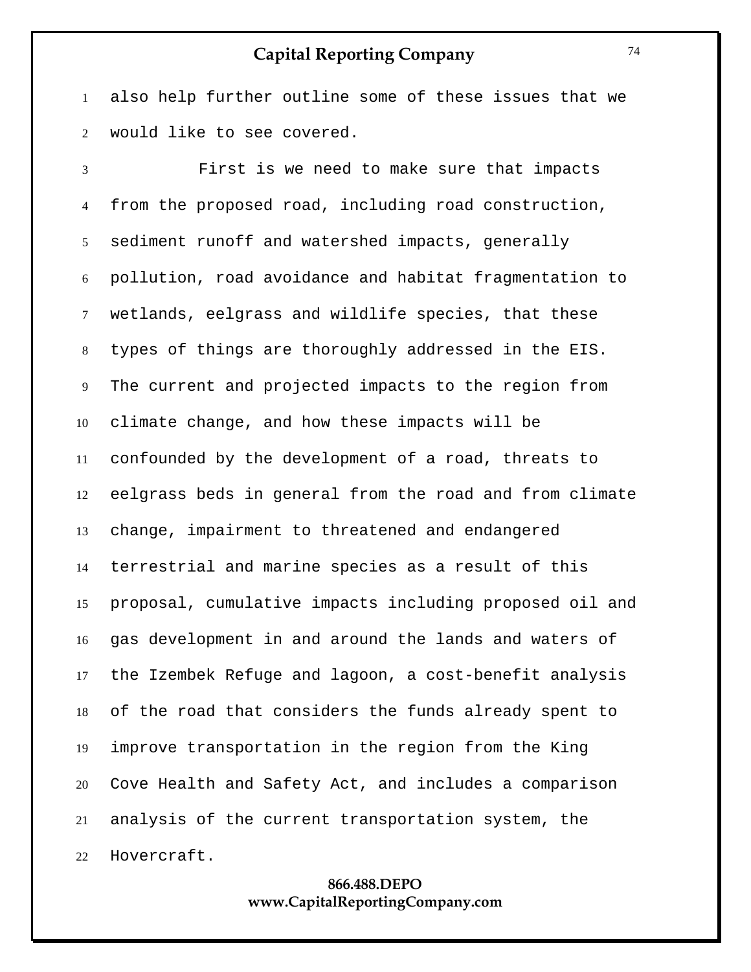also help further outline some of these issues that we would like to see covered.

 First is we need to make sure that impacts from the proposed road, including road construction, sediment runoff and watershed impacts, generally pollution, road avoidance and habitat fragmentation to wetlands, eelgrass and wildlife species, that these types of things are thoroughly addressed in the EIS. The current and projected impacts to the region from climate change, and how these impacts will be confounded by the development of a road, threats to eelgrass beds in general from the road and from climate change, impairment to threatened and endangered terrestrial and marine species as a result of this proposal, cumulative impacts including proposed oil and gas development in and around the lands and waters of the Izembek Refuge and lagoon, a cost-benefit analysis of the road that considers the funds already spent to improve transportation in the region from the King Cove Health and Safety Act, and includes a comparison analysis of the current transportation system, the Hovercraft.

#### **866.488.DEPO www.CapitalReportingCompany.com**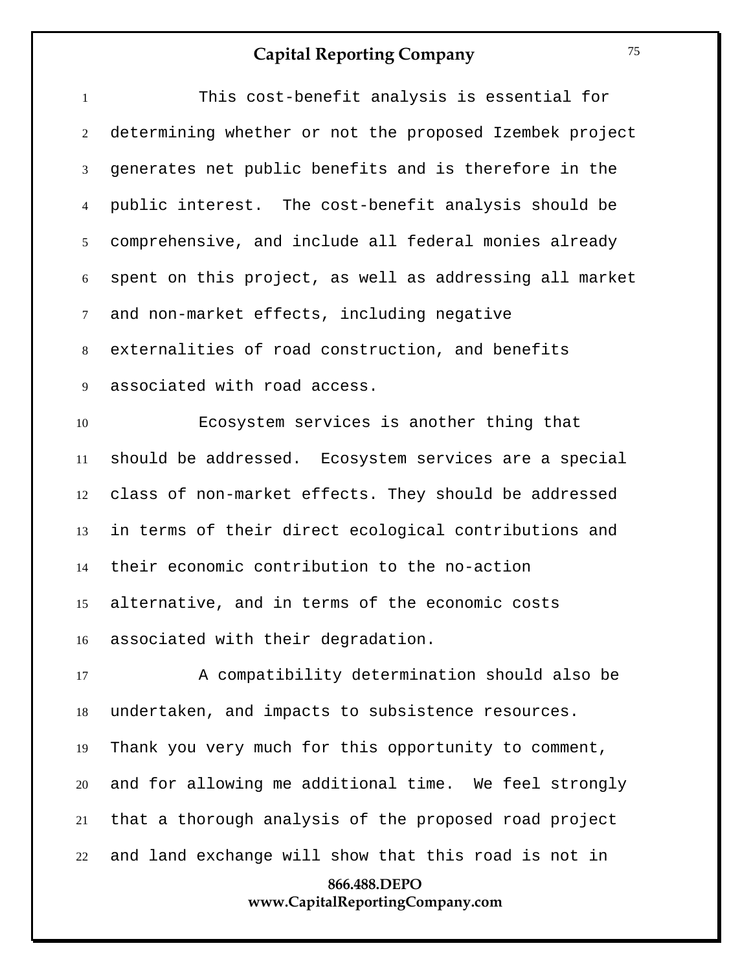| 866.488.DEPO<br>www.CapitalReportingCompany.com |                                                         |  |
|-------------------------------------------------|---------------------------------------------------------|--|
| 22                                              | and land exchange will show that this road is not in    |  |
| 21                                              | that a thorough analysis of the proposed road project   |  |
| 20                                              | and for allowing me additional time. We feel strongly   |  |
| 19                                              | Thank you very much for this opportunity to comment,    |  |
| 18                                              | undertaken, and impacts to subsistence resources.       |  |
| 17                                              | A compatibility determination should also be            |  |
|                                                 | 16 associated with their degradation.                   |  |
| 15                                              | alternative, and in terms of the economic costs         |  |
| 14                                              | their economic contribution to the no-action            |  |
| 13                                              | in terms of their direct ecological contributions and   |  |
| 12                                              | class of non-market effects. They should be addressed   |  |
| 11                                              | should be addressed. Ecosystem services are a special   |  |
| 10                                              | Ecosystem services is another thing that                |  |
| 9                                               | associated with road access.                            |  |
| 8                                               | externalities of road construction, and benefits        |  |
| $\tau$                                          | and non-market effects, including negative              |  |
| $\boldsymbol{6}$                                | spent on this project, as well as addressing all market |  |
| 5                                               | comprehensive, and include all federal monies already   |  |
| $\overline{4}$                                  | public interest. The cost-benefit analysis should be    |  |
| $\mathfrak{Z}$                                  | generates net public benefits and is therefore in the   |  |
| 2                                               | determining whether or not the proposed Izembek project |  |
| $\mathbf{1}$                                    | This cost-benefit analysis is essential for             |  |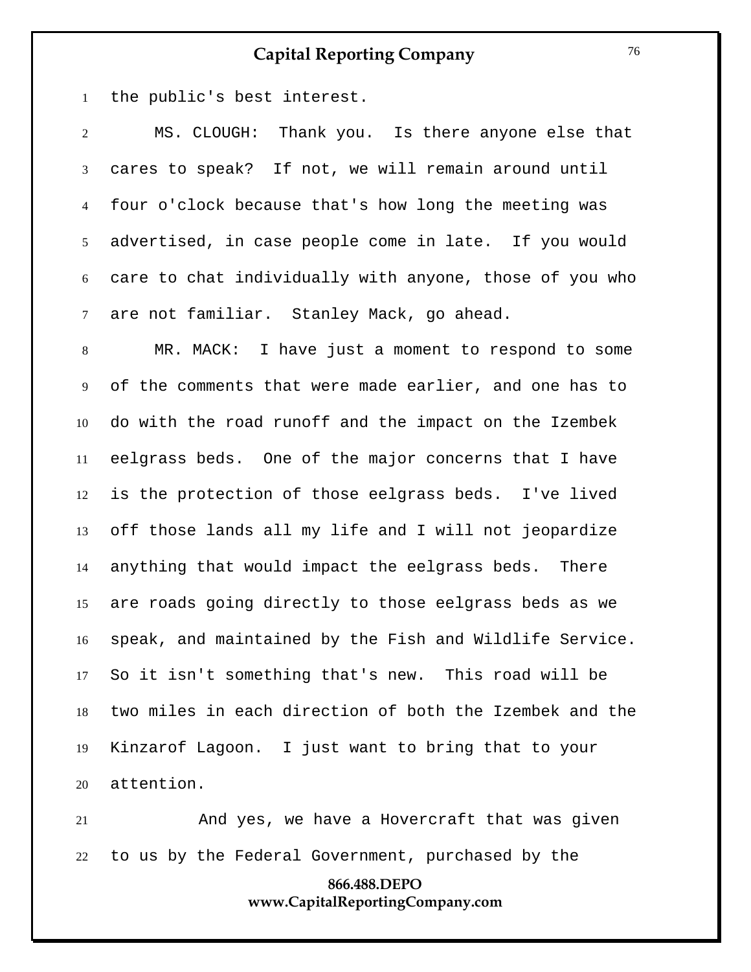the public's best interest.

 MS. CLOUGH: Thank you. Is there anyone else that cares to speak? If not, we will remain around until four o'clock because that's how long the meeting was advertised, in case people come in late. If you would care to chat individually with anyone, those of you who are not familiar. Stanley Mack, go ahead.

 MR. MACK: I have just a moment to respond to some of the comments that were made earlier, and one has to do with the road runoff and the impact on the Izembek eelgrass beds. One of the major concerns that I have is the protection of those eelgrass beds. I've lived off those lands all my life and I will not jeopardize anything that would impact the eelgrass beds. There are roads going directly to those eelgrass beds as we speak, and maintained by the Fish and Wildlife Service. So it isn't something that's new. This road will be two miles in each direction of both the Izembek and the Kinzarof Lagoon. I just want to bring that to your attention.

 And yes, we have a Hovercraft that was given to us by the Federal Government, purchased by the

#### **866.488.DEPO www.CapitalReportingCompany.com**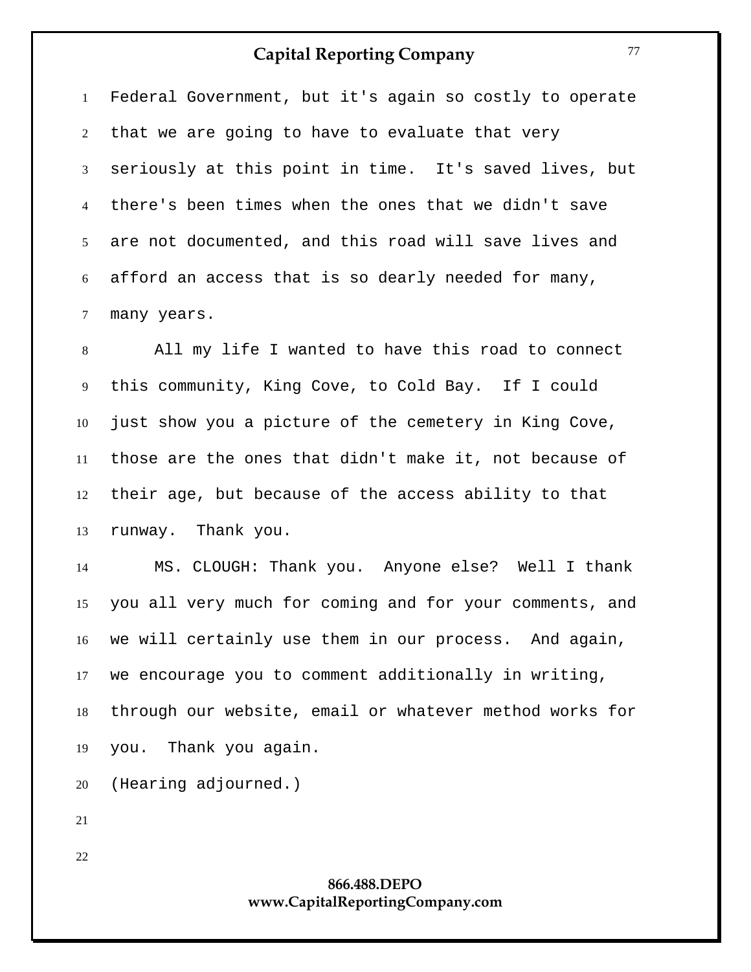Federal Government, but it's again so costly to operate that we are going to have to evaluate that very seriously at this point in time. It's saved lives, but there's been times when the ones that we didn't save are not documented, and this road will save lives and afford an access that is so dearly needed for many, many years.

 All my life I wanted to have this road to connect this community, King Cove, to Cold Bay. If I could just show you a picture of the cemetery in King Cove, those are the ones that didn't make it, not because of their age, but because of the access ability to that runway. Thank you.

 MS. CLOUGH: Thank you. Anyone else? Well I thank you all very much for coming and for your comments, and we will certainly use them in our process. And again, we encourage you to comment additionally in writing, through our website, email or whatever method works for you. Thank you again.

(Hearing adjourned.)

#### **866.488.DEPO www.CapitalReportingCompany.com**